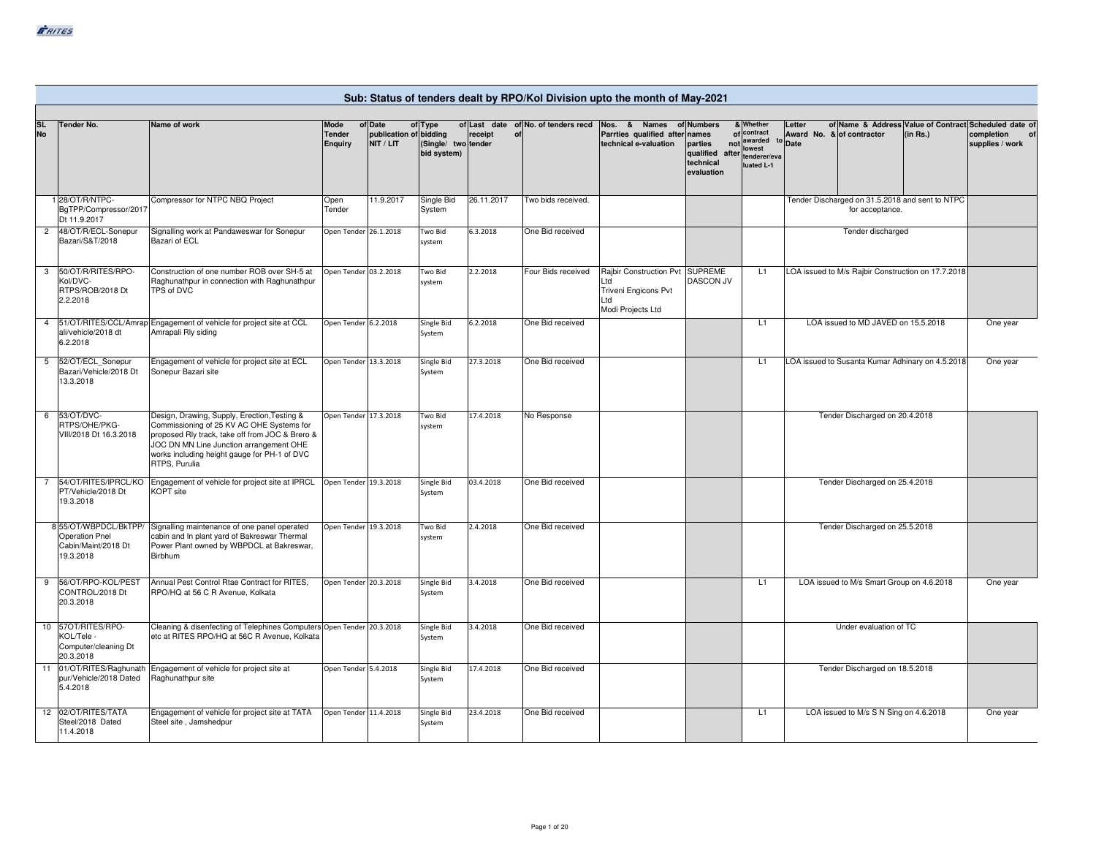|                        |                                                                                   |                                                                                                                                                                                                                                                          |                                  |                                                |                                               |               |                                     | Sub: Status of tenders dealt by RPO/Kol Division upto the month of May-2021                |                                                                             |                                                       |                                |                                                                    |          |                                                                                                     |
|------------------------|-----------------------------------------------------------------------------------|----------------------------------------------------------------------------------------------------------------------------------------------------------------------------------------------------------------------------------------------------------|----------------------------------|------------------------------------------------|-----------------------------------------------|---------------|-------------------------------------|--------------------------------------------------------------------------------------------|-----------------------------------------------------------------------------|-------------------------------------------------------|--------------------------------|--------------------------------------------------------------------|----------|-----------------------------------------------------------------------------------------------------|
| <b>SL</b><br><b>No</b> | <b>Tender No.</b>                                                                 | Name of work                                                                                                                                                                                                                                             | Mode<br>Tender<br><b>Enquiry</b> | of Date<br>publication of bidding<br>NIT / LIT | of Type<br>(Single/ two tender<br>bid system) | receipt<br>of | of Last date of No. of tenders recd | Nos. & Names of Numbers<br>Parrties qualified after<br>technical e-valuation               | names<br>parties<br>qualified after tenderer/eva<br>technical<br>evaluation | & Whether<br>of contract<br>not awarded<br>luated L-1 | Letter<br>to Date              | Award No. & of contractor                                          | (in Rs.) | of Name & Address Value of Contract Scheduled date of<br>completion<br><b>of</b><br>supplies / work |
|                        | 128/OT/R/NTPC-<br>BgTPP/Compressor/2017<br>Dt 11.9.2017                           | Compressor for NTPC NBQ Project                                                                                                                                                                                                                          | Open<br>Tender                   | 11.9.2017                                      | Single Bid<br>System                          | 26.11.2017    | Two bids received.                  |                                                                                            |                                                                             |                                                       |                                | Tender Discharged on 31.5.2018 and sent to NTPC<br>for acceptance. |          |                                                                                                     |
| $\overline{2}$         | 48/OT/R/ECL-Sonepur<br>Bazari/S&T/2018                                            | Signalling work at Pandaweswar for Sonepur<br>Bazari of ECL                                                                                                                                                                                              | Open Tender 26.1.2018            |                                                | Two Bid<br>system                             | 6.3.2018      | One Bid received                    |                                                                                            |                                                                             |                                                       |                                | Tender discharged                                                  |          |                                                                                                     |
|                        | 3 50/OT/R/RITES/RPO-<br>Kol/DVC-<br>RTPS/ROB/2018 Dt<br>2.2.2018                  | Construction of one number ROB over SH-5 at<br>Raghunathpur in connection with Raghunathpur<br>TPS of DVC                                                                                                                                                | Open Tender 03.2.2018            |                                                | Two Bid<br>system                             | 2.2.2018      | Four Bids received                  | Rajbir Construction Pvt SUPREME<br>Ltd<br>Triveni Engicons Pvt<br>Ltd<br>Modi Projects Ltd | <b>DASCON JV</b>                                                            | L1                                                    |                                | LOA issued to M/s Rajbir Construction on 17.7.2018                 |          |                                                                                                     |
| $\overline{4}$         | ali/vehicle/2018 dt<br>6.2.2018                                                   | 51/OT/RITES/CCL/Amrap Engagement of vehicle for project site at CCL<br>Amrapali Rly siding                                                                                                                                                               | Open Tender 6.2.2018             |                                                | Single Bid<br>System                          | 6.2.2018      | One Bid received                    |                                                                                            |                                                                             | L1                                                    |                                | LOA issued to MD JAVED on 15.5.2018                                |          | One year                                                                                            |
| 5                      | 52/OT/ECL Sonepur<br>Bazari/Vehicle/2018 Dt<br>13.3.2018                          | Engagement of vehicle for project site at ECL<br>Sonepur Bazari site                                                                                                                                                                                     | Open Tender 13.3.2018            |                                                | Single Bid<br>System                          | 27.3.2018     | One Bid received                    |                                                                                            |                                                                             | L1                                                    |                                | LOA issued to Susanta Kumar Adhinary on 4.5.2018                   |          | One year                                                                                            |
| 6                      | 53/OT/DVC-<br>RTPS/OHE/PKG-<br>VIII/2018 Dt 16.3.2018                             | Design, Drawing, Supply, Erection, Testing &<br>Commissioning of 25 KV AC OHE Systems for<br>proposed Rly track, take off from JOC & Brero &<br>JOC DN MN Line Junction arrangement OHE<br>works including height gauge for PH-1 of DVC<br>RTPS, Purulia | Open Tender 17.3.2018            |                                                | Two Bid<br>system                             | 17.4.2018     | No Response                         |                                                                                            |                                                                             |                                                       | Tender Discharged on 20.4.2018 |                                                                    |          |                                                                                                     |
|                        | 54/OT/RITES/IPRCL/KO<br>PT/Vehicle/2018 Dt<br>19.3.2018                           | Engagement of vehicle for project site at IPRCL<br>KOPT site                                                                                                                                                                                             | Open Tender 19.3.2018            |                                                | Single Bid<br>System                          | 03.4.2018     | One Bid received                    |                                                                                            |                                                                             |                                                       |                                | Tender Discharged on 25.4.2018                                     |          |                                                                                                     |
|                        | 855/OT/WBPDCL/BkTPP/<br><b>Operation Pnel</b><br>Cabin/Maint/2018 Dt<br>19.3.2018 | Signalling maintenance of one panel operated<br>cabin and In plant yard of Bakreswar Thermal<br>Power Plant owned by WBPDCL at Bakreswar,<br>Birbhum                                                                                                     | Open Tender 19.3.2018            |                                                | Two Bid<br>system                             | 2.4.2018      | One Bid received                    |                                                                                            |                                                                             |                                                       |                                | Tender Discharged on 25.5.2018                                     |          |                                                                                                     |
| 9                      | 56/OT/RPO-KOL/PEST<br>CONTROL/2018 Dt<br>20.3.2018                                | Annual Pest Control Rtae Contract for RITES,<br>RPO/HQ at 56 C R Avenue, Kolkata                                                                                                                                                                         | Open Tender 20.3.2018            |                                                | Single Bid<br>System                          | 3.4.2018      | One Bid received                    |                                                                                            |                                                                             | L1                                                    |                                | LOA issued to M/s Smart Group on 4.6.2018                          |          | One year                                                                                            |
|                        | 10 57OT/RITES/RPO-<br>KOL/Tele -<br>Computer/cleaning Dt<br>20.3.2018             | Cleaning & disenfecting of Telephines Computers Open Tender 20.3.2018<br>etc at RITES RPO/HQ at 56C R Avenue, Kolkata                                                                                                                                    |                                  |                                                | Single Bid<br>System                          | 3.4.2018      | One Bid received                    |                                                                                            |                                                                             |                                                       |                                | Under evaluation of TC                                             |          |                                                                                                     |
| 11                     | 01/OT/RITES/Raghunath<br>pur/Vehicle/2018 Dated<br>5.4.2018                       | Engagement of vehicle for project site at<br>Raghunathpur site                                                                                                                                                                                           | Open Tender 5.4.2018             |                                                | Single Bid<br>System                          | 17.4.2018     | One Bid received                    |                                                                                            |                                                                             |                                                       |                                | Tender Discharged on 18.5.2018                                     |          |                                                                                                     |
|                        | 12 02/OT/RITES/TATA<br>Steel/2018 Dated<br>11.4.2018                              | Engagement of vehicle for project site at TATA<br>Steel site, Jamshedpur                                                                                                                                                                                 | Open Tender 11.4.2018            |                                                | Single Bid<br>System                          | 23.4.2018     | One Bid received                    |                                                                                            |                                                                             | L1                                                    |                                | LOA issued to M/s S N Sing on 4.6.2018                             |          | One year                                                                                            |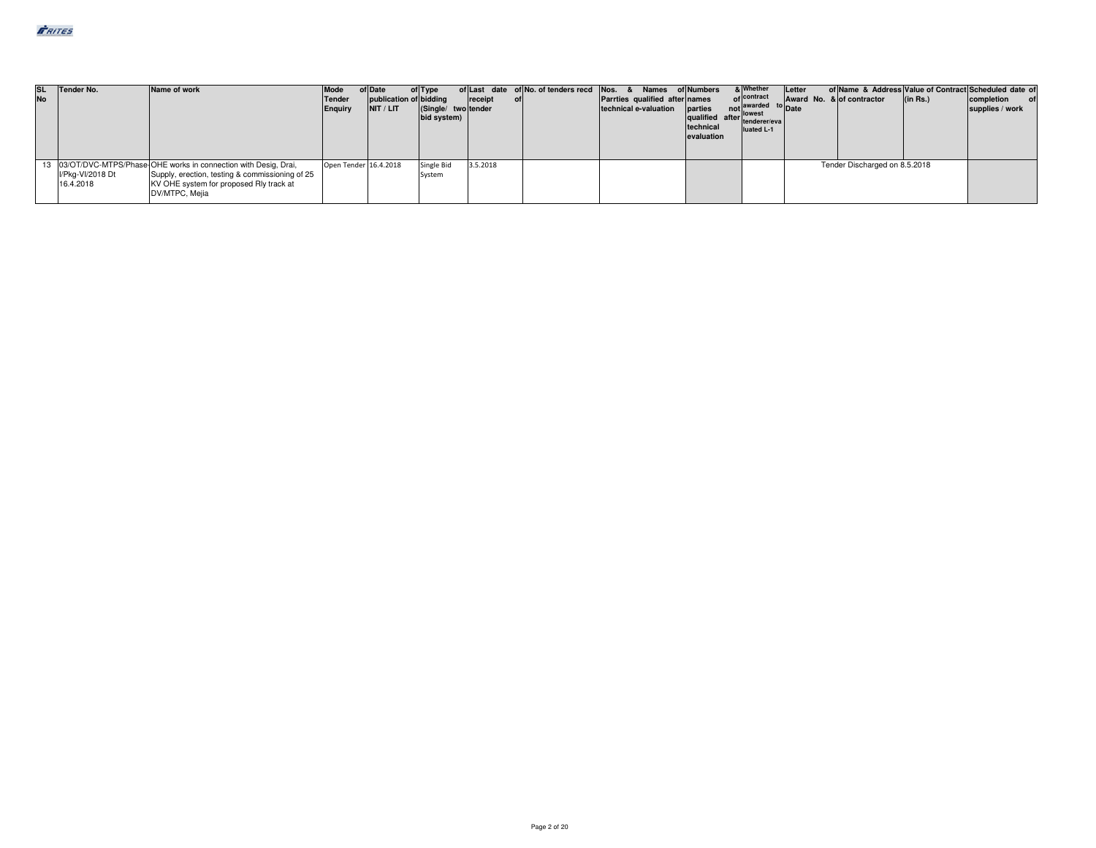| <b>No</b> | SL Tender No.                 | Name of work                                                                                                                                                                      | Mode<br>Tender<br>Enquiry | of Date<br>publication of bidding<br>NIT / LIT | of Type<br>(Single/ two tender<br>bid system) | receipt<br>ofl | of Last date of No. of tenders recd Nos. & Names of Numbers<br>Parrties qualified after names<br>technical e-valuation | arties not awarded to Date<br>technical<br>evaluation | & Whether<br>of contract<br>luated L-1 | Letter | Award No. & of contractor     | (in Rs.) | of Name & Address Value of Contract Scheduled date of<br>completion<br>supplies / work |
|-----------|-------------------------------|-----------------------------------------------------------------------------------------------------------------------------------------------------------------------------------|---------------------------|------------------------------------------------|-----------------------------------------------|----------------|------------------------------------------------------------------------------------------------------------------------|-------------------------------------------------------|----------------------------------------|--------|-------------------------------|----------|----------------------------------------------------------------------------------------|
|           | I/Pkg-VI/2018 Dt<br>16.4.2018 | 13 03/OT/DVC-MTPS/Phase-OHE works in connection with Desig, Drai,<br>Supply, erection, testing & commissioning of 25<br>KV OHE system for proposed Rly track at<br>DV/MTPC, Mejia | Open Tender 16.4.2018     |                                                | Single Bid<br>System                          | 3.5.2018       |                                                                                                                        |                                                       |                                        |        | Tender Discharged on 8.5.2018 |          |                                                                                        |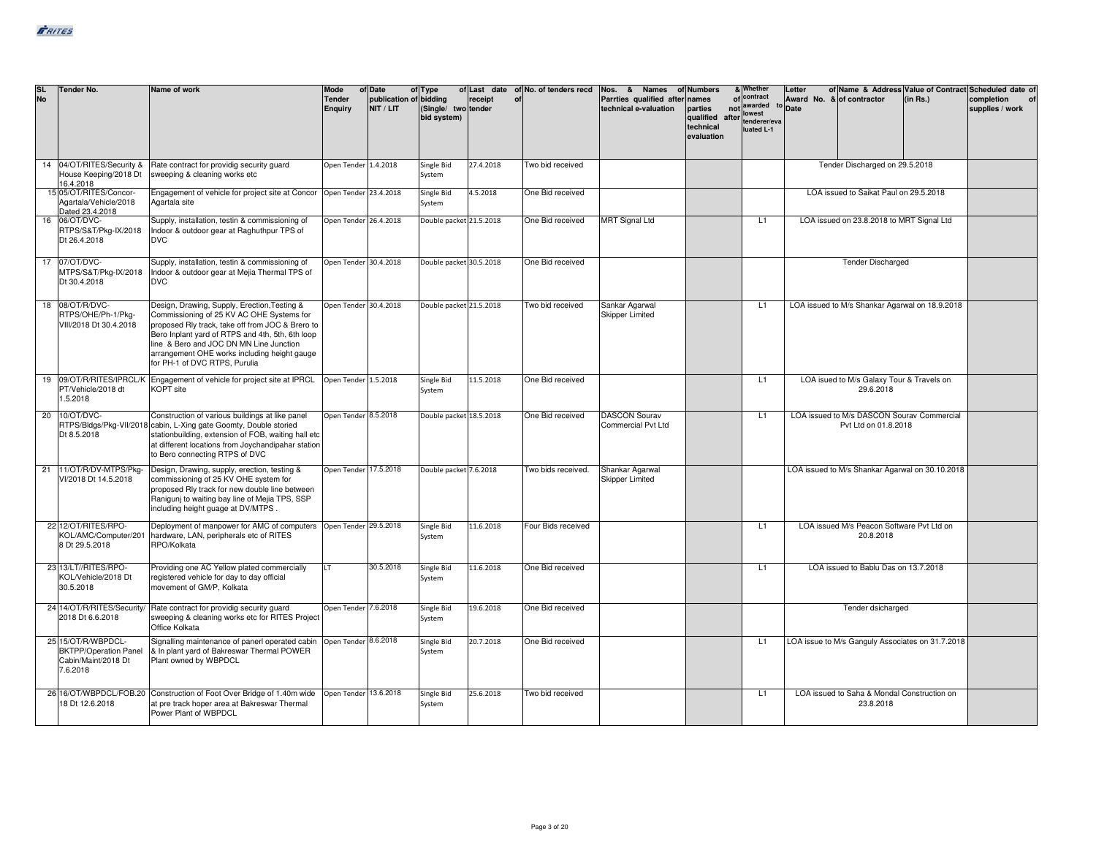| <b>SL</b><br><b>No</b> |    | Tender No.                                                                            | Name of work                                                                                                                                                                                                                                                                                                                  | Mode<br><b>Tender</b><br>Enquiry | of Date<br>publication of bidding<br>NIT / LIT | of Type<br>(Single/ two tender<br>bid system) | receipt   | of Last date of No. of tenders recd<br>of | Nos. & Names of Numbers<br>Parrties qualified after names<br>technical e-valuation | parties<br>qualified after towest<br>technical<br>evaluation | & Whether<br>of contract<br>not awarded<br>luated L-1 | Letter<br>Award No. & of contractor<br><sup>to</sup> Date |                                                                    | (in Rs.) | of Name & Address Value of Contract Scheduled date of<br>completion<br>supplies / work |
|------------------------|----|---------------------------------------------------------------------------------------|-------------------------------------------------------------------------------------------------------------------------------------------------------------------------------------------------------------------------------------------------------------------------------------------------------------------------------|----------------------------------|------------------------------------------------|-----------------------------------------------|-----------|-------------------------------------------|------------------------------------------------------------------------------------|--------------------------------------------------------------|-------------------------------------------------------|-----------------------------------------------------------|--------------------------------------------------------------------|----------|----------------------------------------------------------------------------------------|
|                        | 14 | 04/OT/RITES/Security &<br>House Keeping/2018 Dt<br>16.4.2018                          | Rate contract for providig security quard<br>sweeping & cleaning works etc                                                                                                                                                                                                                                                    | Open Tender 1.4.2018             |                                                | Single Bid<br>System                          | 27.4.2018 | Two bid received                          |                                                                                    |                                                              |                                                       |                                                           | Tender Discharged on 29.5.2018                                     |          |                                                                                        |
|                        |    | 15 05/OT/RITES/Concor-<br>Agartala/Vehicle/2018<br>Dated 23.4.2018                    | Engagement of vehicle for project site at Concor   Open Tender 23.4.2018<br>Agartala site                                                                                                                                                                                                                                     |                                  |                                                | Single Bid<br>System                          | 4.5.2018  | One Bid received                          |                                                                                    |                                                              |                                                       |                                                           | LOA issued to Saikat Paul on 29.5.2018                             |          |                                                                                        |
|                        | 16 | 06/OT/DVC-<br>RTPS/S&T/Pkg-IX/2018<br>Dt 26.4.2018                                    | Supply, installation, testin & commissioning of<br>Indoor & outdoor gear at Raghuthpur TPS of<br><b>DVC</b>                                                                                                                                                                                                                   | Open Tender 26.4.2018            |                                                | Double packet 21.5.2018                       |           | One Bid received                          | <b>MRT Signal Ltd</b>                                                              |                                                              | L1                                                    |                                                           | LOA issued on 23.8.2018 to MRT Signal Ltd                          |          |                                                                                        |
|                        |    | 17 07/OT/DVC-<br>MTPS/S&T/Pkg-IX/2018<br>Dt 30.4.2018                                 | Supply, installation, testin & commissioning of<br>Indoor & outdoor gear at Mejia Thermal TPS of<br><b>DVC</b>                                                                                                                                                                                                                | Open Tender 30.4.2018            |                                                | Double packet 30.5.2018                       |           | One Bid received                          |                                                                                    |                                                              |                                                       |                                                           | <b>Tender Discharged</b>                                           |          |                                                                                        |
|                        |    | 18 08/OT/R/DVC-<br>RTPS/OHE/Ph-1/Pkg-<br>VIII/2018 Dt 30.4.2018                       | Design, Drawing, Supply, Erection, Testing &<br>Commissioning of 25 KV AC OHE Systems for<br>proposed Rly track, take off from JOC & Brero to<br>Bero Inplant yard of RTPS and 4th, 5th, 6th loop<br>line & Bero and JOC DN MN Line Junction<br>arrangement OHE works including height gauge<br>for PH-1 of DVC RTPS, Purulia | Open Tender 30.4.2018            |                                                | Double packet 21.5.2018                       |           | Two bid received                          | Sankar Agarwal<br><b>Skipper Limited</b>                                           |                                                              | L1                                                    |                                                           | LOA issued to M/s Shankar Agarwal on 18.9.2018                     |          |                                                                                        |
|                        | 19 | PT/Vehicle/2018 dt<br>1.5.2018                                                        | 09/OT/R/RITES/IPRCL/K Engagement of vehicle for project site at IPRCL<br><b>KOPT</b> site                                                                                                                                                                                                                                     | Open Tender 1.5.2018             |                                                | Single Bid<br>System                          | 11.5.2018 | One Bid received                          |                                                                                    |                                                              | L <sub>1</sub>                                        |                                                           | LOA isued to M/s Galaxy Tour & Travels on<br>29.6.2018             |          |                                                                                        |
|                        | 20 | 10/OT/DVC-<br>RTPS/Bldgs/Pkg-VII/2018<br>Dt 8.5.2018                                  | Construction of various buildings at like panel<br>cabin, L-Xing gate Goomty, Double storied<br>stationbuilding, extension of FOB, waiting hall etc<br>at different locations from Joychandipahar station<br>to Bero connecting RTPS of DVC                                                                                   | Open Tender 8.5.2018             |                                                | Double packet 18.5.2018                       |           | One Bid received                          | <b>DASCON Sourav</b><br>Commercial Pvt Ltd                                         |                                                              | L1                                                    |                                                           | LOA issued to M/s DASCON Sourav Commercial<br>Pvt Ltd on 01.8.2018 |          |                                                                                        |
|                        | 21 | 11/OT/R/DV-MTPS/Pkg-<br>VI/2018 Dt 14.5.2018                                          | Design, Drawing, supply, erection, testing &<br>commissioning of 25 KV OHE system for<br>proposed Rly track for new double line between<br>Ranigunj to waiting bay line of Mejia TPS, SSP<br>including height guage at DV/MTPS.                                                                                               | Open Tender 17.5.2018            |                                                | Double packet 7.6.2018                        |           | Two bids received.                        | Shankar Agarwal<br><b>Skipper Limited</b>                                          |                                                              |                                                       |                                                           | LOA issued to M/s Shankar Agarwal on 30.10.2018                    |          |                                                                                        |
|                        |    | 22 12/OT/RITES/RPO-<br>KOL/AMC/Computer/201<br>8 Dt 29.5.2018                         | Deployment of manpower for AMC of computers Open Tender 29.5.2018<br>hardware, LAN, peripherals etc of RITES<br>RPO/Kolkata                                                                                                                                                                                                   |                                  |                                                | Single Bid<br>System                          | 11.6.2018 | Four Bids received                        |                                                                                    |                                                              | L1                                                    |                                                           | LOA issued M/s Peacon Software Pvt Ltd on<br>20.8.2018             |          |                                                                                        |
|                        |    | 23 13/LT//RITES/RPO-<br>KOL/Vehicle/2018 Dt<br>30.5.2018                              | Providing one AC Yellow plated commercially<br>registered vehicle for day to day official<br>movement of GM/P. Kolkata                                                                                                                                                                                                        | LT.                              | 30.5.2018                                      | Single Bid<br>System                          | 11.6.2018 | One Bid received                          |                                                                                    |                                                              | L1                                                    |                                                           | LOA issued to Bablu Das on 13.7.2018                               |          |                                                                                        |
|                        |    | 24 14/OT/R/RITES/Security/<br>2018 Dt 6.6.2018                                        | Rate contract for providig security quard<br>sweeping & cleaning works etc for RITES Project<br>Office Kolkata                                                                                                                                                                                                                | Open Tender 7.6.2018             |                                                | Single Bid<br>System                          | 19.6.2018 | One Bid received                          |                                                                                    |                                                              |                                                       |                                                           | Tender dsicharged                                                  |          |                                                                                        |
|                        |    | 25 15/OT/R/WBPDCL-<br><b>BKTPP/Operation Panel</b><br>Cabin/Maint/2018 Dt<br>7.6.2018 | Signalling maintenance of panerl operated cabin<br>& In plant yard of Bakreswar Thermal POWER<br>Plant owned by WBPDCL                                                                                                                                                                                                        | Open Tender 8.6.2018             |                                                | Single Bid<br>System                          | 20.7.2018 | One Bid received                          |                                                                                    |                                                              | L1                                                    |                                                           | LOA issue to M/s Ganguly Associates on 31.7.2018                   |          |                                                                                        |
|                        |    | 18 Dt 12.6.2018                                                                       | 26 16/OT/WBPDCL/FOB.20 Construction of Foot Over Bridge of 1.40m wide<br>at pre track hoper area at Bakreswar Thermal<br>Power Plant of WBPDCL                                                                                                                                                                                | Open Tender 13.6.2018            |                                                | Single Bid<br>System                          | 25.6.2018 | Two bid received                          |                                                                                    |                                                              | L1                                                    |                                                           | LOA issued to Saha & Mondal Construction on<br>23.8.2018           |          |                                                                                        |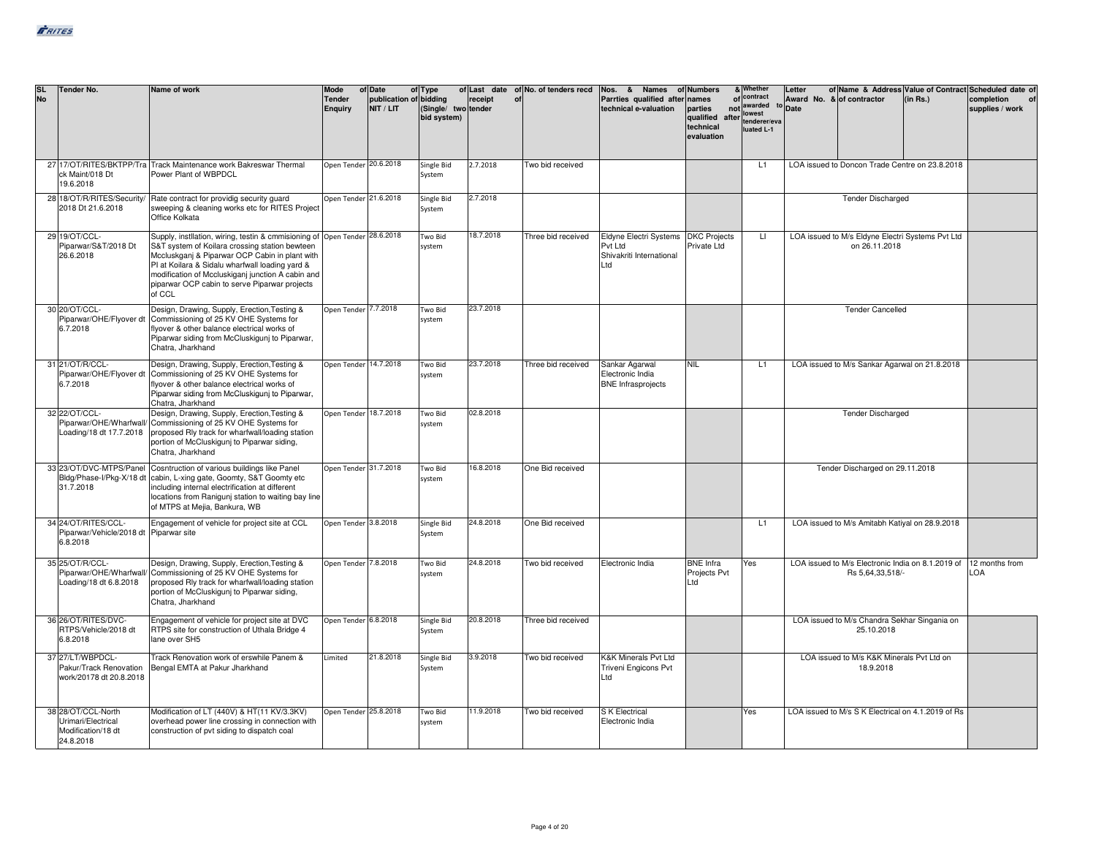| <b>SL</b><br><b>No</b> | <b>Tender No.</b>                                                           | Name of work                                                                                                                                                                                                                                                                                                                                      | Mode<br><b>Tender</b><br><b>Enquiry</b> | of Date<br>publication of bidding<br>NIT / LIT | of Type<br>(Single/ two tender<br>bid system) | receipt<br>of | of Last date of No. of tenders recd | Nos. & Names of Numbers<br>Parrties qualified after names<br>technical e-valuation | parties<br>qualified after tenderer/eva<br>technical<br>evaluation | & Whether<br>of contract<br>not awarded<br>lowest<br>luated L-1 | Letter<br>Award No. & of contractor<br>Date |                                                                       | (in Rs.) | of Name & Address Value of Contract Scheduled date of<br>completion<br>supplies / work |
|------------------------|-----------------------------------------------------------------------------|---------------------------------------------------------------------------------------------------------------------------------------------------------------------------------------------------------------------------------------------------------------------------------------------------------------------------------------------------|-----------------------------------------|------------------------------------------------|-----------------------------------------------|---------------|-------------------------------------|------------------------------------------------------------------------------------|--------------------------------------------------------------------|-----------------------------------------------------------------|---------------------------------------------|-----------------------------------------------------------------------|----------|----------------------------------------------------------------------------------------|
|                        | ck Maint/018 Dt<br>19.6.2018                                                | 27 17/OT/RITES/BKTPP/Tra Track Maintenance work Bakreswar Thermal<br>Power Plant of WBPDCL                                                                                                                                                                                                                                                        | Open Tender 20.6.2018                   |                                                | Single Bid<br>System                          | 2.7.2018      | Two bid received                    |                                                                                    |                                                                    | L1                                                              |                                             | LOA issued to Doncon Trade Centre on 23.8.2018                        |          |                                                                                        |
|                        | 2018 Dt 21.6.2018                                                           | 28 18/OT/R/RITES/Security/ Rate contract for providig security guard<br>sweeping & cleaning works etc for RITES Project<br>Office Kolkata                                                                                                                                                                                                         | Open Tender 21.6.2018                   |                                                | Single Bid<br>System                          | 2.7.2018      |                                     |                                                                                    |                                                                    |                                                                 |                                             | <b>Tender Discharged</b>                                              |          |                                                                                        |
|                        | 29 19/OT/CCL-<br>Piparwar/S&T/2018 Dt<br>26.6.2018                          | Supply, instilation, wiring, testin & cmmisioning of Open Tender 28.6.2018<br>S&T system of Koilara crossing station bewteen<br>Mccluskganj & Piparwar OCP Cabin in plant with<br>PI at Koilara & Sidalu wharfwall loading yard &<br>modification of Mccluskiganj junction A cabin and<br>piparwar OCP cabin to serve Piparwar projects<br>of CCL |                                         |                                                | Two Bid<br>system                             | 18.7.2018     | Three bid received                  | Eldyne Electri Systems<br>Pvt Ltd<br>Shivakriti International<br>Ltd               | <b>DKC Projects</b><br>Private Ltd                                 | $\mathbf{H}$                                                    |                                             | LOA issued to M/s Eldyne Electri Systems Pvt Ltd<br>on 26.11.2018     |          |                                                                                        |
|                        | 30 20/OT/CCL-<br>Piparwar/OHE/Flyover dt<br>6.7.2018                        | Design, Drawing, Supply, Erection, Testing &<br>Commissioning of 25 KV OHE Systems for<br>flyover & other balance electrical works of<br>Piparwar siding from McCluskiguni to Piparwar,<br>Chatra, Jharkhand                                                                                                                                      | Open Tender 7.7.2018                    |                                                | Two Bid<br>system                             | 23.7.2018     |                                     |                                                                                    |                                                                    |                                                                 |                                             | <b>Tender Cancelled</b>                                               |          |                                                                                        |
|                        | 31 21/OT/R/CCL-<br>6.7.2018                                                 | Design, Drawing, Supply, Erection, Testing &<br>Piparwar/OHE/Flyover dt Commissioning of 25 KV OHE Systems for<br>flyover & other balance electrical works of<br>Piparwar siding from McCluskiguni to Piparwar,<br>Chatra, Jharkhand                                                                                                              | Open Tender 14.7.2018                   |                                                | Two Bid<br>system                             | 23.7.2018     | Three bid received                  | Sankar Agarwal<br>Electronic India<br><b>BNE</b> Infrasprojects                    | <b>NIL</b>                                                         | L1                                                              |                                             | LOA issued to M/s Sankar Agarwal on 21.8.2018                         |          |                                                                                        |
|                        | 32 22/OT/CCL-<br>Loading/18 dt 17.7.2018                                    | Design, Drawing, Supply, Erection, Testing &<br>Piparwar/OHE/Wharfwall/ Commissioning of 25 KV OHE Systems for<br>proposed Riv track for wharfwall/loading station<br>portion of McCluskiguni to Piparwar siding,<br>Chatra, Jharkhand                                                                                                            | Open Tender 18.7.2018                   |                                                | Two Bid<br>system                             | 02.8.2018     |                                     |                                                                                    |                                                                    |                                                                 |                                             | <b>Tender Discharged</b>                                              |          |                                                                                        |
|                        | 31.7.2018                                                                   | 33 23/OT/DVC-MTPS/Panel Cosntruction of various buildings like Panel<br>Bldg/Phase-I/Pkg-X/18 dt cabin, L-xing gate, Goomty, S&T Goomty etc<br>including internal electrification at different<br>locations from Raniguni station to waiting bay line<br>of MTPS at Mejia, Bankura, WB                                                            | Open Tender 31.7.2018                   |                                                | Two Bid<br>system                             | 16.8.2018     | One Bid received                    |                                                                                    |                                                                    |                                                                 |                                             | Tender Discharged on 29.11.2018                                       |          |                                                                                        |
|                        | 34 24/OT/RITES/CCL-<br>Piparwar/Vehicle/2018 dt Piparwar site<br>6.8.2018   | Engagement of vehicle for project site at CCL                                                                                                                                                                                                                                                                                                     | Open Tender 3.8.2018                    |                                                | Single Bid<br>System                          | 24.8.2018     | One Bid received                    |                                                                                    |                                                                    | L <sub>1</sub>                                                  |                                             | LOA issued to M/s Amitabh Katiyal on 28.9.2018                        |          |                                                                                        |
|                        | 35 25/OT/R/CCL-<br>Loading/18 dt 6.8.2018                                   | Design, Drawing, Supply, Erection, Testing &<br>Piparwar/OHE/Wharfwall/ Commissioning of 25 KV OHE Systems for<br>proposed Rly track for wharfwall/loading station<br>portion of McCluskigunj to Piparwar siding,<br>Chatra, Jharkhand                                                                                                            | Open Tender 7.8.2018                    |                                                | Two Bid<br>system                             | 24.8.2018     | Two bid received                    | Electronic India                                                                   | <b>BNE</b> Infra<br>Projects Pvt<br>Ltd                            | Yes                                                             |                                             | LOA issued to M/s Electronic India on 8.1.2019 of<br>Rs 5,64,33,518/- |          | 12 months from<br>LOA                                                                  |
|                        | 36 26/OT/RITES/DVC-<br>RTPS/Vehicle/2018 dt<br>6.8.2018                     | Engagement of vehicle for project site at DVC<br>RTPS site for construction of Uthala Bridge 4<br>lane over SH5                                                                                                                                                                                                                                   | Open Tender 6.8.2018                    |                                                | Single Bid<br>System                          | 20.8.2018     | Three bid received                  |                                                                                    |                                                                    |                                                                 |                                             | LOA issued to M/s Chandra Sekhar Singania on<br>25.10.2018            |          |                                                                                        |
|                        | 37 27/LT/WBPDCL-<br>Pakur/Track Renovation<br>work/20178 dt 20.8.2018       | Track Renovation work of erswhile Panem &<br>Bengal EMTA at Pakur Jharkhand                                                                                                                                                                                                                                                                       | Limited                                 | 21.8.2018                                      | Single Bid<br>System                          | 3.9.2018      | Two bid received                    | K&K Minerals Pvt Ltd<br>Triveni Engicons Pvt<br>Ltd                                |                                                                    |                                                                 |                                             | LOA issued to M/s K&K Minerals Pvt Ltd on<br>18.9.2018                |          |                                                                                        |
|                        | 38 28/OT/CCL-North<br>Urimari/Electrical<br>Modification/18 dt<br>24.8.2018 | Modification of LT (440V) & HT(11 KV/3.3KV)<br>overhead power line crossing in connection with<br>construction of pvt siding to dispatch coal                                                                                                                                                                                                     | Open Tender 25.8.2018                   |                                                | Two Bid<br>system                             | 11.9.2018     | Two bid received                    | S K Electrical<br>Electronic India                                                 |                                                                    | Yes                                                             |                                             | LOA issued to M/s S K Electrical on 4.1.2019 of Rs                    |          |                                                                                        |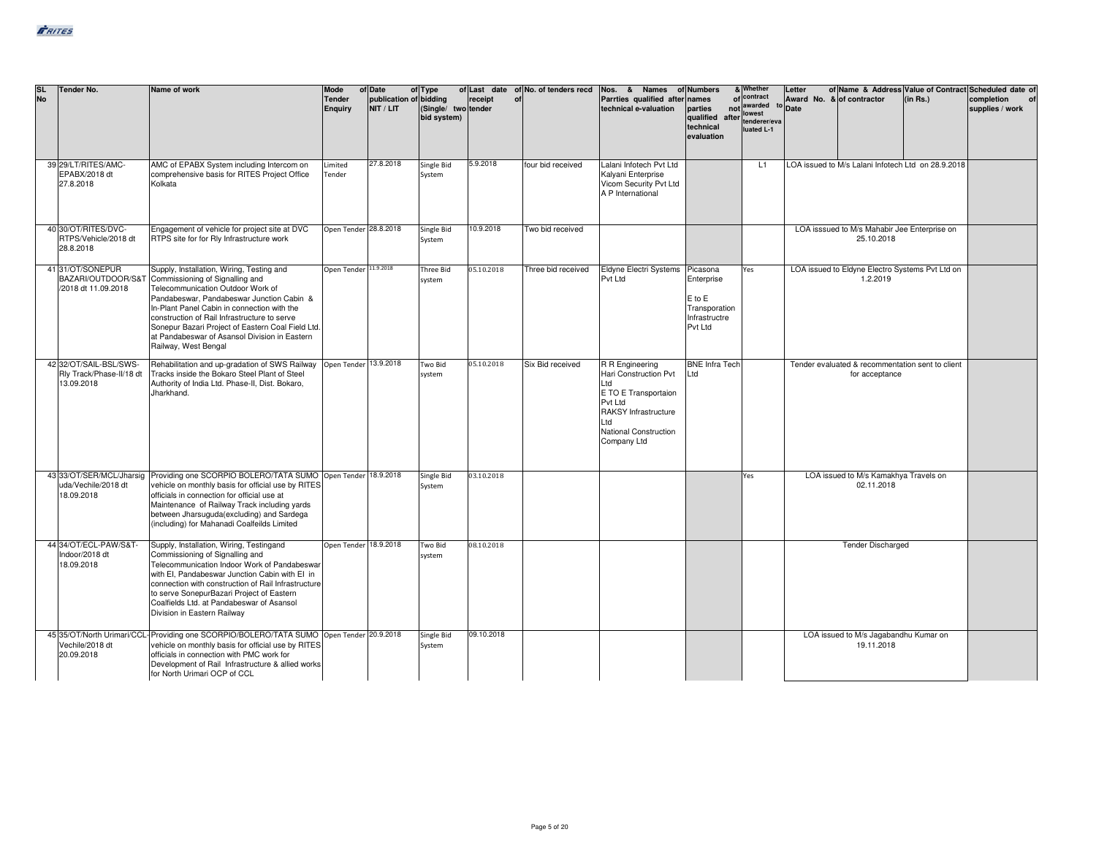| <b>SL</b><br><b>No</b> | Tender No.                                                       | Name of work                                                                                                                                                                                                                                                                                                                                                                                | Mode<br><b>Tender</b><br>Enguiry | of Date<br>publication of bidding<br>NIT / LIT | of Type<br>(Single/ two tender<br>bid system) | receipt<br>of | of Last date of No. of tenders recd | Nos. & Names<br>Parrties qualified after names<br>technical e-valuation                                                                                          | of Numbers<br>parties<br>qualified after tenderer/eva<br>technical<br>evaluation  | & Whether<br>of contract<br>not awarded<br>lowest<br>luated L-1 | Letter<br>to Date | Award No. & of contractor                                          | (in Rs.) | of Name & Address Value of Contract Scheduled date of<br>completion<br>supplies / work |
|------------------------|------------------------------------------------------------------|---------------------------------------------------------------------------------------------------------------------------------------------------------------------------------------------------------------------------------------------------------------------------------------------------------------------------------------------------------------------------------------------|----------------------------------|------------------------------------------------|-----------------------------------------------|---------------|-------------------------------------|------------------------------------------------------------------------------------------------------------------------------------------------------------------|-----------------------------------------------------------------------------------|-----------------------------------------------------------------|-------------------|--------------------------------------------------------------------|----------|----------------------------------------------------------------------------------------|
|                        | 39 29/LT/RITES/AMC-<br>EPABX/2018 dt<br>27.8.2018                | AMC of EPABX System including Intercom on<br>comprehensive basis for RITES Project Office<br>Kolkata                                                                                                                                                                                                                                                                                        | Limited<br>Tender                | 27.8.2018                                      | Single Bid<br>System                          | 5.9.2018      | four bid received                   | Lalani Infotech Pvt Ltd<br>Kalyani Enterprise<br>Vicom Security Pvt Ltd<br>A P International                                                                     |                                                                                   | L1                                                              |                   | LOA issued to M/s Lalani Infotech Ltd on 28.9.2018                 |          |                                                                                        |
|                        | 40 30/OT/RITES/DVC-<br>RTPS/Vehicle/2018 dt<br>28.8.2018         | Engagement of vehicle for project site at DVC<br>RTPS site for for Rly Infrastructure work                                                                                                                                                                                                                                                                                                  | Open Tender 28.8.2018            |                                                | Single Bid<br>System                          | 10.9.2018     | Two bid received                    |                                                                                                                                                                  |                                                                                   |                                                                 |                   | LOA isssued to M/s Mahabir Jee Enterprise on<br>25.10.2018         |          |                                                                                        |
|                        | 41 31/OT/SONEPUR<br>BAZARI/OUTDOOR/S&T<br>/2018 dt 11.09.2018    | Supply, Installation, Wiring, Testing and<br>Commissioning of Signalling and<br>Telecommunication Outdoor Work of<br>Pandabeswar, Pandabeswar Junction Cabin &<br>In-Plant Panel Cabin in connection with the<br>construction of Rail Infrastructure to serve<br>Sonepur Bazari Project of Eastern Coal Field Ltd.<br>at Pandabeswar of Asansol Division in Eastern<br>Railway, West Bengal | Open Tender 11.9.2018            |                                                | <b>Three Bid</b><br>system                    | 05.10.2018    | Three bid received                  | <b>Eldyne Electri Systems</b><br>Pvt Ltd                                                                                                                         | Picasona<br>Enterprise<br>$E$ to $E$<br>Transporation<br>Infrastructre<br>Pvt Ltd | Yes                                                             |                   | LOA issued to Eldyne Electro Systems Pvt Ltd on<br>1.2.2019        |          |                                                                                        |
|                        | 42 32/OT/SAIL-BSL/SWS-<br>Rly Track/Phase-II/18 dt<br>13.09.2018 | Rehabilitation and up-gradation of SWS Railway<br>Tracks inside the Bokaro Steel Plant of Steel<br>Authority of India Ltd. Phase-II, Dist. Bokaro,<br>Jharkhand.                                                                                                                                                                                                                            | Open Tender 13.9.2018            |                                                | Two Bid<br>system                             | 05.10.2018    | Six Bid received                    | R R Engineering<br>Hari Construction Pvt<br>Ltd<br>E TO E Transportaion<br>Pvt Ltd<br><b>RAKSY Infrastructure</b><br>Ltd<br>National Construction<br>Company Ltd | <b>BNE Infra Tech</b><br>Ltd                                                      |                                                                 |                   | Tender evaluated & recommentation sent to client<br>for acceptance |          |                                                                                        |
|                        | uda/Vechile/2018 dt<br>18.09.2018                                | 43 33/OT/SER/MCL/Jharsig Providing one SCORPIO BOLERO/TATA SUMO Open Tender 18.9.2018<br>vehicle on monthly basis for official use by RITES<br>officials in connection for official use at<br>Maintenance of Railway Track including yards<br>between Jharsuguda(excluding) and Sardega<br>(including) for Mahanadi Coalfeilds Limited                                                      |                                  |                                                | Single Bid<br>System                          | 03.10.2018    |                                     |                                                                                                                                                                  |                                                                                   | Yes                                                             |                   | LOA issued to M/s Kamakhya Travels on<br>02.11.2018                |          |                                                                                        |
|                        | 44 34/OT/ECL-PAW/S&T-<br>Indoor/2018 dt<br>18.09.2018            | Supply, Installation, Wiring, Testingand<br>Commissioning of Signalling and<br>Telecommunication Indoor Work of Pandabeswar<br>with EI. Pandabeswar Junction Cabin with EI in<br>connection with construction of Rail Infrastructure<br>to serve SonepurBazari Project of Eastern<br>Coalfields Ltd. at Pandabeswar of Asansol<br>Division in Eastern Railway                               | Open Tender 18.9.2018            |                                                | <b>Two Bid</b><br>system                      | 08.10.2018    |                                     |                                                                                                                                                                  |                                                                                   |                                                                 |                   | <b>Tender Discharged</b>                                           |          |                                                                                        |
|                        | Vechile/2018 dt<br>20.09.2018                                    | 45 35/OT/North Urimari/CCL- Providing one SCORPIO/BOLERO/TATA SUMO Open Tender 20.9.2018<br>vehicle on monthly basis for official use by RITES<br>officials in connection with PMC work for<br>Development of Rail Infrastructure & allied works<br>for North Urimari OCP of CCL                                                                                                            |                                  |                                                | Single Bid<br>System                          | 09.10.2018    |                                     |                                                                                                                                                                  |                                                                                   |                                                                 |                   | LOA issued to M/s Jagabandhu Kumar on<br>19.11.2018                |          |                                                                                        |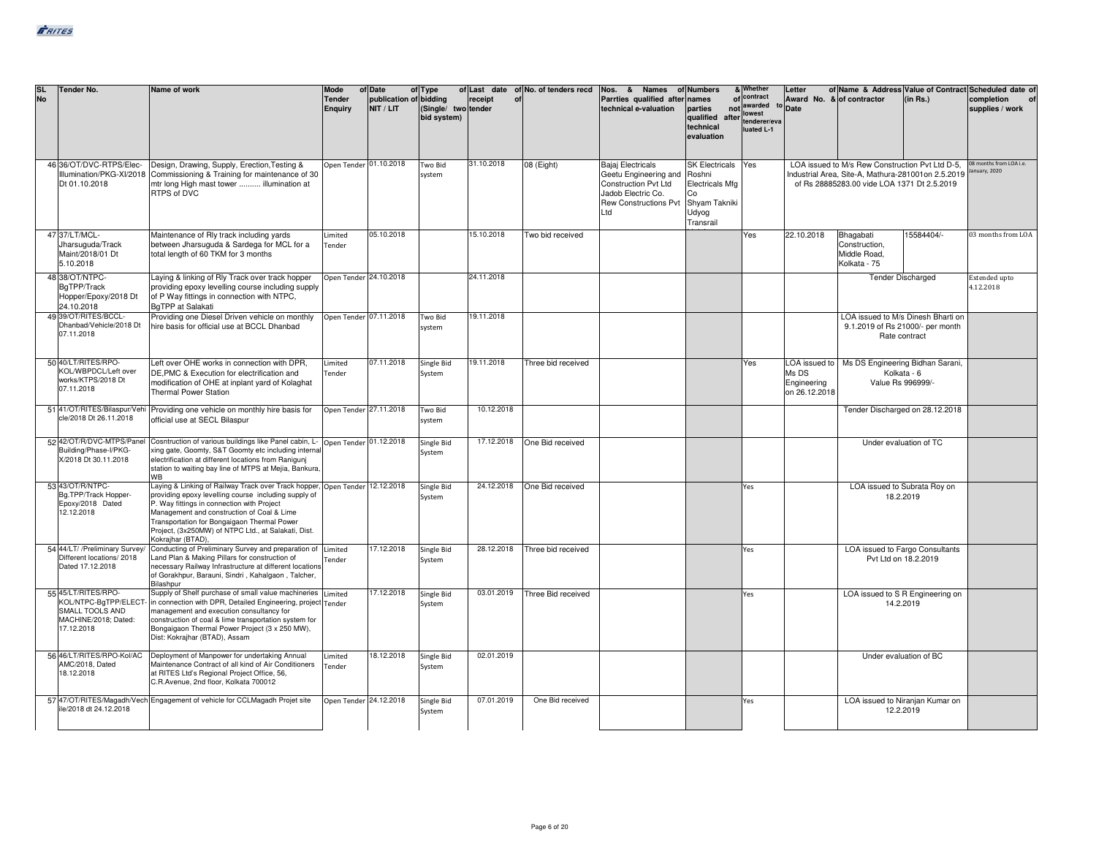| <b>SL</b><br><b>No</b> | Tender No.                                                                                           | Name of work                                                                                                                                                                                                                                                                                                                                               | Mode<br><b>Tender</b><br><b>Enquiry</b>          | of Date<br>publication of bidding<br>NIT / LIT | of Type<br>(Single/ two tender<br>bid system) | receipt                  | of Last date of No. of tenders recd<br>of | Nos. & Names<br>Parrties qualified after<br>technical e-valuation                                                                      | of Numbers<br>names<br>parties<br>qualified<br>technical<br>evaluation                          | & Whether<br>of contract<br>not awarded to Date<br>lowest<br>after tenderer/eva<br>luated L-1 | Letter<br>Award No. & of contractor   |                                                                                                                                                      | (in Rs.)                                          | of Name & Address Value of Contract Scheduled date of<br>completion<br>supplies / work |
|------------------------|------------------------------------------------------------------------------------------------------|------------------------------------------------------------------------------------------------------------------------------------------------------------------------------------------------------------------------------------------------------------------------------------------------------------------------------------------------------------|--------------------------------------------------|------------------------------------------------|-----------------------------------------------|--------------------------|-------------------------------------------|----------------------------------------------------------------------------------------------------------------------------------------|-------------------------------------------------------------------------------------------------|-----------------------------------------------------------------------------------------------|---------------------------------------|------------------------------------------------------------------------------------------------------------------------------------------------------|---------------------------------------------------|----------------------------------------------------------------------------------------|
|                        | 46 36/OT/DVC-RTPS/Elec-<br>Illumination/PKG-XI/2018<br>Dt 01.10.2018                                 | Design, Drawing, Supply, Erection, Testing &<br>Commissioning & Training for maintenance of 30<br>mtr long High mast tower  illumination at<br>RTPS of DVC                                                                                                                                                                                                 | Open Tender 01.10.2018                           |                                                | Two Bid<br>system                             | 31.10.2018               | 08 (Eight)                                | <b>Bajaj Electricals</b><br>Geetu Engineering and<br>Construction Pvt Ltd<br>Jadob Electric Co.<br><b>Rew Constructions Pvt</b><br>Ltd | <b>SK Electricals</b><br>Roshni<br>Electricals Mfg<br>Co<br>Shyam Takniki<br>Udyog<br>Transrail | Yes                                                                                           |                                       | LOA issued to M/s Rew Construction Pvt Ltd D-5.<br>Industrial Area, Site-A, Mathura-281001on 2.5.2019<br>of Rs 28885283.00 vide LOA 1371 Dt 2.5.2019 |                                                   | 08 months from LOA i.e.<br>anuary, 2020                                                |
|                        | 47 37/LT/MCL-<br>Jharsuguda/Track<br>Maint/2018/01 Dt<br>5.10.2018                                   | Maintenance of Rly track including yards<br>between Jharsuguda & Sardega for MCL for a<br>total length of 60 TKM for 3 months                                                                                                                                                                                                                              | Limited<br>Tender                                | 05.10.2018                                     |                                               | 15.10.2018               | Two bid received                          |                                                                                                                                        |                                                                                                 | Yes                                                                                           | 22.10.2018                            | Bhagabati<br>Construction,<br>Middle Road.<br>Kolkata - 75                                                                                           | 15584404/-                                        | 03 months from LOA                                                                     |
|                        | 48 38/OT/NTPC-<br>BqTPP/Track<br>Hopper/Epoxy/2018 Dt<br>24.10.2018<br>49 39/OT/RITES/BCCL-          | Laying & linking of Rly Track over track hopper<br>providing epoxy levelling course including supply<br>of P Way fittings in connection with NTPC,<br>BqTPP at Salakati                                                                                                                                                                                    | Open Tender 24.10.2018<br>Open Tender 07.11.2018 |                                                |                                               | 24.11.2018<br>19.11.2018 |                                           |                                                                                                                                        |                                                                                                 |                                                                                               |                                       | <b>Tender Discharged</b>                                                                                                                             |                                                   | Extended upto<br>4.12.2018                                                             |
|                        | Dhanbad/Vehicle/2018 Dt<br>07.11.2018                                                                | Providing one Diesel Driven vehicle on monthly<br>hire basis for official use at BCCL Dhanbad                                                                                                                                                                                                                                                              |                                                  |                                                | Two Bid<br>system                             |                          |                                           |                                                                                                                                        |                                                                                                 |                                                                                               |                                       | LOA issued to M/s Dinesh Bharti on                                                                                                                   | 9.1.2019 of Rs 21000/- per month<br>Rate contract |                                                                                        |
|                        | 50 40/LT/RITES/RPO-<br>KOL/WBPDCL/Left over<br>works/KTPS/2018 Dt<br>07.11.2018                      | Left over OHE works in connection with DPR,<br>DE, PMC & Execution for electrification and<br>modification of OHE at inplant yard of Kolaghat<br><b>Thermal Power Station</b>                                                                                                                                                                              | Limited<br>Tender                                | 07.11.2018                                     | Single Bid<br>System                          | 19.11.2018               | Three bid received                        |                                                                                                                                        |                                                                                                 | Yes                                                                                           | Ms DS<br>Engineering<br>on 26.12.2018 | LOA issued to   Ms DS Engineering Bidhan Sarani,<br>Value Rs 996999/-                                                                                | Kolkata - 6                                       |                                                                                        |
|                        | 51 41/OT/RITES/Bilaspur/Vehi<br>cle/2018 Dt 26.11.2018                                               | Providing one vehicle on monthly hire basis for<br>official use at SECL Bilaspur                                                                                                                                                                                                                                                                           | Open Tender 27.11.2018                           |                                                | Two Bid<br>system                             | 10.12.2018               |                                           |                                                                                                                                        |                                                                                                 |                                                                                               |                                       |                                                                                                                                                      | Tender Discharged on 28.12.2018                   |                                                                                        |
|                        | 52 42/OT/R/DVC-MTPS/Panel<br>Building/Phase-I/PKG-<br>X/2018 Dt 30.11.2018                           | Cosntruction of various buildings like Panel cabin, L- Open Tender 01.12.2018<br>xing gate, Goomty, S&T Goomty etc including internal<br>electrification at different locations from Raniguni<br>station to waiting bay line of MTPS at Mejia, Bankura,<br>WB                                                                                              |                                                  |                                                | Single Bid<br>System                          | 17.12.2018               | One Bid received                          |                                                                                                                                        |                                                                                                 |                                                                                               |                                       |                                                                                                                                                      | Under evaluation of TC                            |                                                                                        |
|                        | 53 43/OT/R/NTPC-<br>Bg.TPP/Track Hopper-<br>Epoxy/2018 Dated<br>12.12.2018                           | Laying & Linking of Railway Track over Track hopper, Open Tender 12.12.2018<br>providing epoxy levelling course including supply of<br>P. Way fittings in connection with Project<br>Management and construction of Coal & Lime<br>Transportation for Bongaigaon Thermal Power<br>Project, (3x250MW) of NTPC Ltd., at Salakati, Dist.<br>Kokrajhar (BTAD), |                                                  |                                                | Single Bid<br>System                          | 24.12.2018               | One Bid received                          |                                                                                                                                        |                                                                                                 | Yes                                                                                           |                                       | LOA issued to Subrata Roy on                                                                                                                         | 18.2.2019                                         |                                                                                        |
|                        | 54 44/LT/ /Preliminary Survey/<br>Different locations/ 2018<br>Dated 17.12.2018                      | Conducting of Preliminary Survey and preparation of<br>Land Plan & Making Pillars for construction of<br>necessary Railway Infrastructure at different locations<br>of Gorakhpur, Barauni, Sindri, Kahalgaon, Talcher,<br>Bilashpur                                                                                                                        | Limited<br>Tender                                | 17.12.2018                                     | Single Bid<br>System                          | 28.12.2018               | Three bid received                        |                                                                                                                                        |                                                                                                 | Yes                                                                                           |                                       | Pvt Ltd on 18.2.2019                                                                                                                                 | LOA issued to Fargo Consultants                   |                                                                                        |
|                        | 55 45/LT/RITES/RPO-<br>KOL/NTPC-BgTPP/ELECT<br>SMALL TOOLS AND<br>MACHINE/2018; Dated:<br>17.12.2018 | Supply of Shelf purchase of small value machineries Limited<br>in connection with DPR, Detailed Engineering, project Tender<br>management and execution consultancy for<br>construction of coal & lime transportation system for<br>Bongaigaon Thermal Power Project (3 x 250 MW),<br>Dist: Kokrajhar (BTAD), Assam                                        |                                                  | 17.12.2018                                     | Single Bid<br>System                          | 03.01.2019               | Three Bid received                        |                                                                                                                                        |                                                                                                 | Yes                                                                                           |                                       | LOA issued to S R Engineering on<br>14.2.2019                                                                                                        |                                                   |                                                                                        |
|                        | 56 46/LT/RITES/RPO-Kol/AC<br>AMC/2018, Dated<br>18.12.2018                                           | Deployment of Manpower for undertaking Annual<br>Maintenance Contract of all kind of Air Conditioners<br>at RITES Ltd's Regional Project Office, 56,<br>C.R.Avenue, 2nd floor, Kolkata 700012                                                                                                                                                              | Limited<br>Tender                                | 18.12.2018                                     | Single Bid<br>System                          | 02.01.2019               |                                           |                                                                                                                                        |                                                                                                 |                                                                                               |                                       | Under evaluation of BC                                                                                                                               |                                                   |                                                                                        |
|                        | ile/2018 dt 24.12.2018                                                                               | 57 47/OT/RITES/Magadh/Vech Engagement of vehicle for CCLMagadh Projet site                                                                                                                                                                                                                                                                                 |                                                  | Open Tender 24.12.2018                         | Single Bid<br>System                          | 07.01.2019               | One Bid received                          |                                                                                                                                        |                                                                                                 | Yes                                                                                           |                                       |                                                                                                                                                      | LOA issued to Niranjan Kumar on<br>12.2.2019      |                                                                                        |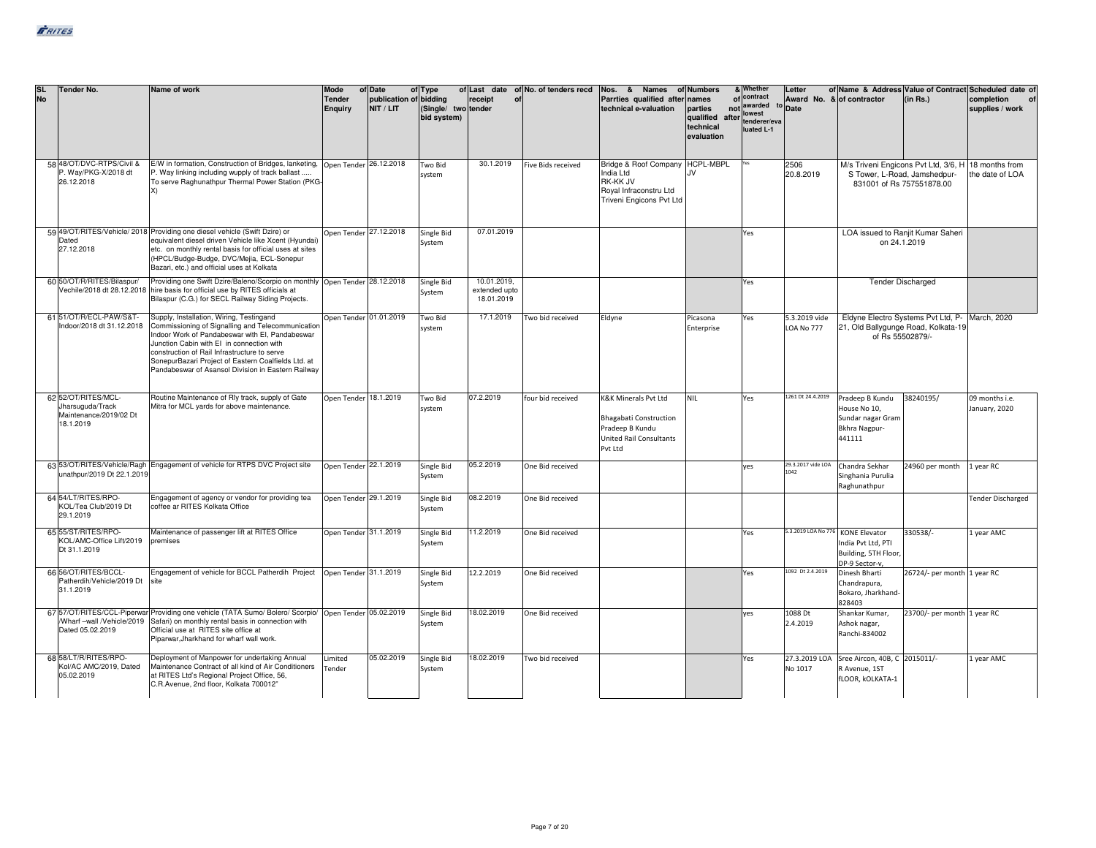| <b>SL</b><br><b>No</b> | <b>Tender No.</b>                                                              | Name of work                                                                                                                                                                                                                                                                                                                                               | Mode<br><b>Tender</b><br>Enguiry | of Date<br>publication of bidding<br>NIT / LIT | of Type<br>(Single/ two tender<br>bid system) | receipt<br>of                              | of Last date of No. of tenders recd | Nos. & Names of Numbers<br>Parrties qualified after<br>technical e-valuation                                          | names<br>parties<br>qualified after<br>technical<br>evaluation | & Whether<br>of contract<br>not awarded<br>to<br>lowest<br>tenderer/eva<br>luated L-1 | Letter<br>Award No. & of contractor<br><b>Date</b> |                                                                                                   | (in Rs.)                                            | of Name & Address Value of Contract Scheduled date of<br>completion<br>supplies / work |
|------------------------|--------------------------------------------------------------------------------|------------------------------------------------------------------------------------------------------------------------------------------------------------------------------------------------------------------------------------------------------------------------------------------------------------------------------------------------------------|----------------------------------|------------------------------------------------|-----------------------------------------------|--------------------------------------------|-------------------------------------|-----------------------------------------------------------------------------------------------------------------------|----------------------------------------------------------------|---------------------------------------------------------------------------------------|----------------------------------------------------|---------------------------------------------------------------------------------------------------|-----------------------------------------------------|----------------------------------------------------------------------------------------|
|                        | 58 48/OT/DVC-RTPS/Civil &<br>P. Wav/PKG-X/2018 dt<br>26.12.2018                | E/W in formation, Construction of Bridges, lanketing, Open Tender 26.12.2018<br>P. Way linking including wupply of track ballast<br>To serve Raghunathpur Thermal Power Station (PKG-                                                                                                                                                                      |                                  |                                                | Two Bid<br>system                             | 30.1.2019                                  | Five Bids received                  | Bridge & Roof Company HCPL-MBPL<br>India Ltd<br><b>RK-KK JV</b><br>Roval Infraconstru Ltd<br>Triveni Engicons Pvt Ltd | 1V                                                             |                                                                                       | 2506<br>20.8.2019                                  | S Tower, L-Road, Jamshedpur-<br>831001 of Rs 757551878.00                                         | M/s Triveni Engicons Pvt Ltd, 3/6, H 18 months from | the date of LOA                                                                        |
|                        | Dated<br>27.12.2018                                                            | 59 49/OT/RITES/Vehicle/ 2018 Providing one diesel vehicle (Swift Dzire) or<br>equivalent diesel driven Vehicle like Xcent (Hyundai)<br>etc. on monthly rental basis for official uses at sites<br>(HPCL/Budge-Budge, DVC/Mejia, ECL-Sonepur<br>Bazari, etc.) and official uses at Kolkata                                                                  | Open Tender 27.12.2018           |                                                | Single Bid<br>System                          | 07.01.2019                                 |                                     |                                                                                                                       |                                                                | Yes                                                                                   |                                                    | LOA issued to Ranjit Kumar Saheri<br>on 24.1.2019                                                 |                                                     |                                                                                        |
|                        | 60 50/OT/R/RITES/Bilaspur/                                                     | Providing one Swift Dzire/Baleno/Scorpio on monthly Open Tender 28.12.2018<br>Vechile/2018 dt 28.12.2018 hire basis for official use by RITES officials at<br>Bilaspur (C.G.) for SECL Railway Siding Projects.                                                                                                                                            |                                  |                                                | Single Bid<br>System                          | 10.01.2019.<br>extended upto<br>18.01.2019 |                                     |                                                                                                                       |                                                                | Yes                                                                                   |                                                    |                                                                                                   | <b>Tender Discharged</b>                            |                                                                                        |
|                        | 61 51/OT/R/ECL-PAW/S&T-<br>ndoor/2018 dt 31.12.2018                            | Supply, Installation, Wiring, Testingand<br>Commissioning of Signalling and Telecommunication<br>Indoor Work of Pandabeswar with EI, Pandabeswar<br>Junction Cabin with EI in connection with<br>construction of Rail Infrastructure to serve<br>SonepurBazari Project of Eastern Coalfields Ltd. at<br>Pandabeswar of Asansol Division in Eastern Railway | Open Tender 01.01.2019           |                                                | Two Bid<br>system                             | 17.1.2019                                  | Two bid received                    | Eldyne                                                                                                                | Picasona<br>Enterprise                                         | Yes                                                                                   | 5.3.2019 vide<br><b>LOA No 777</b>                 | 21, Old Ballygunge Road, Kolkata-19<br>of Rs 55502879/-                                           | Eldyne Electro Systems Pvt Ltd, P- March, 2020      |                                                                                        |
|                        | 62 52/OT/RITES/MCL-<br>Jharsuguda/Track<br>Maintenance/2019/02 Dt<br>18.1.2019 | Routine Maintenance of Rly track, supply of Gate<br>Mitra for MCL yards for above maintenance.                                                                                                                                                                                                                                                             | Open Tender 18.1.2019            |                                                | Two Bid<br>system                             | 07.2.2019                                  | four bid received                   | K&K Minerals Pvt Ltd<br><b>Bhagabati Construction</b><br>Pradeep B Kundu<br><b>United Rail Consultants</b><br>Pvt Ltd | <b>NIL</b>                                                     | Yes                                                                                   | 1261 Dt 24.4.2019                                  | Pradeep B Kundu<br>House No 10,<br>Sundar nagar Gram<br>Bkhra Nagpur-<br>441111                   | 38240195/                                           | 09 months i.e.<br>January, 2020                                                        |
|                        | unathpur/2019 Dt 22.1.2019                                                     | 63 53/OT/RITES/Vehicle/Ragh Engagement of vehicle for RTPS DVC Project site                                                                                                                                                                                                                                                                                | Open Tender 22.1.2019            |                                                | Single Bid<br>System                          | 05.2.2019                                  | One Bid received                    |                                                                                                                       |                                                                | yes                                                                                   | 29.3.2017 vide LOA<br>1042                         | Chandra Sekhar<br>Singhania Purulia<br>Raghunathpur                                               | 24960 per month                                     | 1 year RC                                                                              |
|                        | 64 54/LT/RITES/RPO-<br>KOL/Tea Club/2019 Dt<br>29.1.2019                       | Engagement of agency or vendor for providing tea<br>coffee ar RITES Kolkata Office                                                                                                                                                                                                                                                                         | Open Tender 29.1.2019            |                                                | Single Bid<br>System                          | 08.2.2019                                  | One Bid received                    |                                                                                                                       |                                                                |                                                                                       |                                                    |                                                                                                   |                                                     | <b>Tender Discharged</b>                                                               |
|                        | 65 55/ST/RITES/RPO-<br>KOL/AMC-Office Lift/2019<br>Dt 31.1.2019                | Maintenance of passenger lift at RITES Office<br>premises                                                                                                                                                                                                                                                                                                  | Open Tender 31.1.2019            |                                                | Single Bid<br>System                          | 11.2.2019                                  | One Bid received                    |                                                                                                                       |                                                                | Yes                                                                                   |                                                    | 5.3.2019 LOA No 776 KONE Elevator<br>India Pvt Ltd, PTI<br>Building, 5TH Floor,<br>DP-9 Sector-v, | 330538/-                                            | 1 year AMC                                                                             |
|                        | 66 56/OT/RITES/BCCL-<br>Patherdih/Vehicle/2019 Dt<br>31.1.2019                 | Engagement of vehicle for BCCL Patherdih Project   Open Tender 31.1.2019<br><b>site</b>                                                                                                                                                                                                                                                                    |                                  |                                                | Single Bid<br>System                          | 12.2.2019                                  | One Bid received                    |                                                                                                                       |                                                                | Yes                                                                                   | 1092 Dt 2.4.2019                                   | Dinesh Bharti<br>Chandrapura,<br>Bokaro, Jharkhand-<br>828403                                     | 26724/- per month 1 year RC                         |                                                                                        |
|                        | Dated 05.02.2019                                                               | 67 57/OT/RITES/CCL-Piperwar Providing one vehicle (TATA Sumo/ Bolero/ Scorpio/ Open Tender 05.02.2019<br>Wharf -wall /Vehicle/2019 Safari) on monthly rental basis in connection with<br>Official use at RITES site office at<br>Piparwar.Jharkhand for wharf wall work.                                                                                   |                                  |                                                | Single Bid<br>System                          | 18.02.2019                                 | One Bid received                    |                                                                                                                       |                                                                | ves                                                                                   | 1088 Dt<br>2.4.2019                                | Shankar Kumar,<br>Ashok nagar,<br>Ranchi-834002                                                   | 23700/- per month 1 year RC                         |                                                                                        |
|                        | 68 58/LT/R/RITES/RPO-<br>Kol/AC AMC/2019, Dated<br>05.02.2019                  | Deployment of Manpower for undertaking Annual<br>Maintenance Contract of all kind of Air Conditioners<br>at RITES Ltd's Regional Project Office, 56,<br>C.R.Avenue, 2nd floor, Kolkata 700012"                                                                                                                                                             | Limited<br>Tender                | 05.02.2019                                     | Single Bid<br>System                          | 18.02.2019                                 | Two bid received                    |                                                                                                                       |                                                                | Yes                                                                                   | No 1017                                            | 27.3.2019 LOA Sree Aircon, 40B, C 2015011/-<br>R Avenue, 1ST<br>fLOOR, kOLKATA-1                  |                                                     | 1 year AMC                                                                             |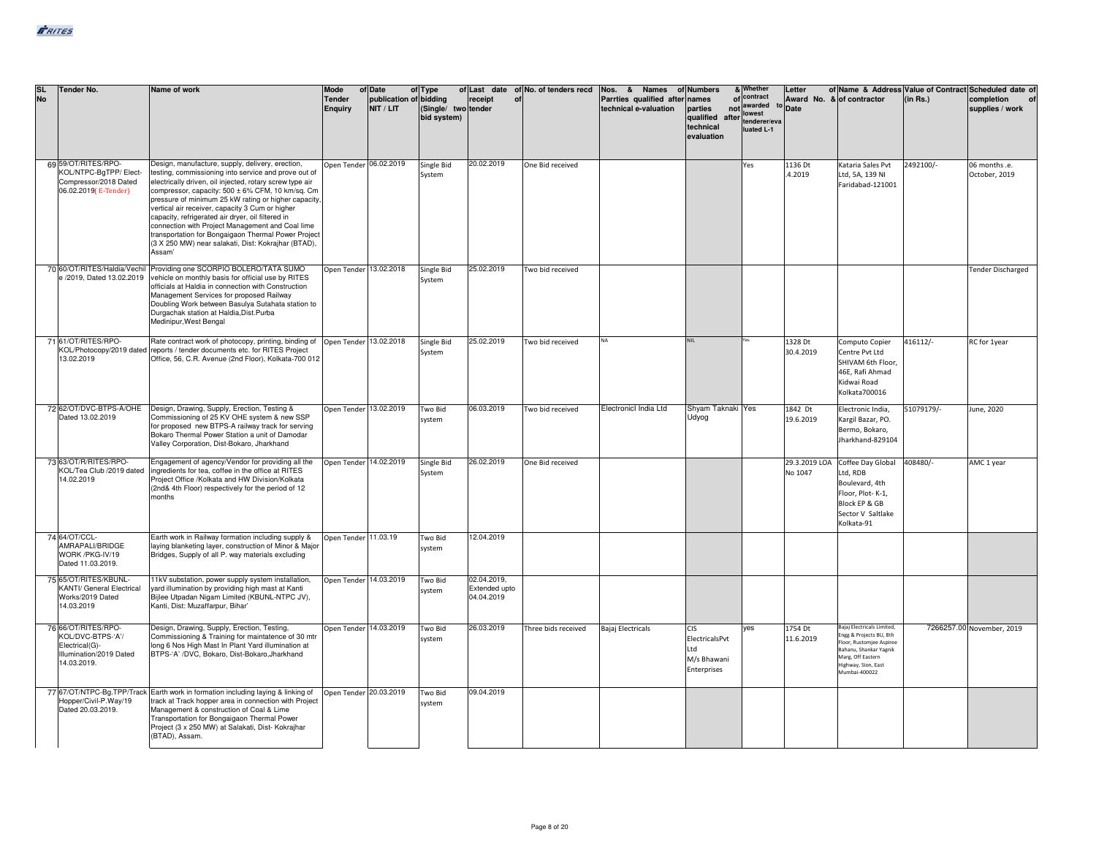| <b>SL</b><br><b>No</b> | <b>Tender No.</b>                                                                                    | Name of work                                                                                                                                                                                                                                                                                                                                                                                                                                                                                                                                                         | Mode<br><b>Tender</b><br><b>Enquiry</b> | of Date<br>publication of bidding<br>NIT / LIT | of Type<br>(Single/ two tender<br>bid system) | receipt                                    | of Last date of No. of tenders recd<br>of | Nos. & Names<br>Parrties qualified after<br>technical e-valuation | of Numbers<br>names<br>parties<br>qualified<br>after<br>technical<br>evaluation | & Whether<br>of contract<br>not awarded<br>lowest<br>tenderer/eva<br>luated L-1 | Letter<br>Award No. & of contractor<br>to Date |                                                                                                                                                                          | (in Rs.)   | of Name & Address Value of Contract Scheduled date of<br>completion<br>supplies / work |
|------------------------|------------------------------------------------------------------------------------------------------|----------------------------------------------------------------------------------------------------------------------------------------------------------------------------------------------------------------------------------------------------------------------------------------------------------------------------------------------------------------------------------------------------------------------------------------------------------------------------------------------------------------------------------------------------------------------|-----------------------------------------|------------------------------------------------|-----------------------------------------------|--------------------------------------------|-------------------------------------------|-------------------------------------------------------------------|---------------------------------------------------------------------------------|---------------------------------------------------------------------------------|------------------------------------------------|--------------------------------------------------------------------------------------------------------------------------------------------------------------------------|------------|----------------------------------------------------------------------------------------|
|                        | 69 59/OT/RITES/RPO-<br>KOL/NTPC-BgTPP/ Elect-<br>Compressor/2018 Dated<br>06.02.2019(E-Tender)       | Design, manufacture, supply, delivery, erection,<br>testing, commissioning into service and prove out of<br>electrically driven, oil injected, rotary screw type air<br>compressor, capacity: 500 ± 6% CFM, 10 km/sq. Cm<br>pressure of minimum 25 kW rating or higher capacity,<br>vertical air receiver, capacity 3 Cum or higher<br>capacity, refrigerated air dryer, oil filtered in<br>connection with Project Management and Coal lime<br>transportation for Bongaigaon Thermal Power Project<br>(3 X 250 MW) near salakati, Dist: Kokrajhar (BTAD),<br>Assam' | Open Tender 06.02.2019                  |                                                | Single Bid<br>System                          | 20.02.2019                                 | One Bid received                          |                                                                   |                                                                                 | Yes                                                                             | 1136 Dt<br>4.2019                              | Kataria Sales Pvt<br>Ltd, 5A, 139 NI<br>Faridabad-121001                                                                                                                 | 2492100/-  | 06 months .e.<br>October, 2019                                                         |
|                        |                                                                                                      | 70 60/OT/RITES/Haldia/Vechil Providing one SCORPIO BOLERO/TATA SUMO<br>2019, Dated 13.02.2019 vehicle on monthly basis for official use by RITES<br>officials at Haldia in connection with Construction<br>Management Services for proposed Railway<br>Doubling Work between Basulya Sutahata station to<br>Durgachak station at Haldia.Dist.Purba<br>Medinipur, West Bengal                                                                                                                                                                                         | Open Tender 13.02.2018                  |                                                | Single Bid<br>System                          | 25.02.2019                                 | Two bid received                          |                                                                   |                                                                                 |                                                                                 |                                                |                                                                                                                                                                          |            | <b>Tender Discharged</b>                                                               |
|                        | 71 61/OT/RITES/RPO-<br>13.02.2019                                                                    | Rate contract work of photocopy, printing, binding of Open Tender 13.02.2018<br>KOL/Photocopy/2019 dated reports / tender documents etc. for RITES Project<br>Office, 56, C.R. Avenue (2nd Floor), Kolkata-700 012                                                                                                                                                                                                                                                                                                                                                   |                                         |                                                | Single Bid<br>System                          | 25.02.2019                                 | Two bid received                          | <b>NA</b>                                                         | <b>NII</b>                                                                      |                                                                                 | 1328 Dt<br>30.4.2019                           | Computo Copier<br>Centre Pvt Ltd<br>SHIVAM 6th Floor,<br>46E, Rafi Ahmad<br>Kidwai Road<br>Kolkata700016                                                                 | 416112/-   | RC for 1year                                                                           |
|                        | 72 62/OT/DVC-BTPS-A/OHE<br>Dated 13.02.2019                                                          | Design, Drawing, Supply, Erection, Testing &<br>Commissioning of 25 KV OHE system & new SSP<br>for proposed new BTPS-A railway track for serving<br>Bokaro Thermal Power Station a unit of Damodar<br>Valley Corporation, Dist-Bokaro, Jharkhand                                                                                                                                                                                                                                                                                                                     | Open Tender 13.02.2019                  |                                                | Two Bid<br>system                             | 06.03.2019                                 | Two bid received                          | Electronicl India Ltd                                             | Shyam Taknaki Yes<br>Udyog                                                      |                                                                                 | 1842 Dt<br>19.6.2019                           | Electronic India,<br>Kargil Bazar, PO.<br>Bermo, Bokaro,<br>Jharkhand-829104                                                                                             | 51079179/- | June, 2020                                                                             |
|                        | 73 63/OT/R/RITES/RPO-<br><ol 2019="" club="" dated<br="" tea="">14.02.2019</ol>                      | Engagement of agency/Vendor for providing all the<br>ingredients for tea, coffee in the office at RITES<br>Project Office /Kolkata and HW Division/Kolkata<br>(2nd& 4th Floor) respectively for the period of 12<br>months                                                                                                                                                                                                                                                                                                                                           | Open Tender 14.02.2019                  |                                                | Single Bid<br>System                          | 26.02.2019                                 | One Bid received                          |                                                                   |                                                                                 |                                                                                 | No 1047                                        | 29.3.2019 LOA Coffee Day Global<br>Ltd, RDB<br>Boulevard, 4th<br>Floor, Plot-K-1,<br>Block EP & GB<br>Sector V Saltlake<br>Kolkata-91                                    | 408480/-   | AMC 1 year                                                                             |
|                        | 74 64/OT/CCL-<br>AMRAPALI/BRIDGE<br>WORK /PKG-IV/19<br>Dated 11.03.2019.                             | Earth work in Railway formation including supply &<br>laying blanketing layer, construction of Minor & Major<br>Bridges, Supply of all P. way materials excluding                                                                                                                                                                                                                                                                                                                                                                                                    | Open Tender 11.03.19                    |                                                | Two Bid<br>system                             | 12.04.2019                                 |                                           |                                                                   |                                                                                 |                                                                                 |                                                |                                                                                                                                                                          |            |                                                                                        |
|                        | 75 65/OT/RITES/KBUNL-<br><b>KANTI/ General Electrical</b><br>Works/2019 Dated<br>14.03.2019          | 11kV substation, power supply system installation,<br>yard illumination by providing high mast at Kanti<br>Bijlee Utpadan Nigam Limited (KBUNL-NTPC JV),<br>Kanti, Dist: Muzaffarpur, Bihar'                                                                                                                                                                                                                                                                                                                                                                         | Open Tender 14.03.2019                  |                                                | Two Bid<br>system                             | 02.04.2019,<br>Extended upto<br>04.04.2019 |                                           |                                                                   |                                                                                 |                                                                                 |                                                |                                                                                                                                                                          |            |                                                                                        |
|                        | 76 66/OT/RITES/RPO-<br>KOL/DVC-BTPS-'A'/<br>Electrical(G)-<br>Illumination/2019 Dated<br>14.03.2019. | Design, Drawing, Supply, Erection, Testing,<br>Commissioning & Training for maintatence of 30 mtr<br>long 6 Nos High Mast In Plant Yard illumination at<br>BTPS-'A' /DVC, Bokaro, Dist-Bokaro, Jharkhand                                                                                                                                                                                                                                                                                                                                                             | Open Tender 14.03.2019                  |                                                | Two Bid<br>system                             | 26.03.2019                                 | Three bids received                       | Bajaj Electricals                                                 | <b>CIS</b><br>ElectricalsPvt<br>Ltd<br>M/s Bhawani<br>Enterprises               | yes                                                                             | 1754 Dt<br>11.6.2019                           | Bajaj Electricals Limited,<br>Engg & Projects BU, 8th<br>Floor, Rustomjee Aspiree<br>Bahanu, Shankar Yagnik<br>Marg, Off Eastern<br>Highway, Sion, East<br>Mumbai-400022 |            | 7266257.00 November, 2019                                                              |
|                        | lopper/Civil-P.Way/19<br>Dated 20.03.2019.                                                           | 77 67/OT/NTPC-Bg.TPP/Track Earth work in formation including laying & linking of<br>track at Track hopper area in connection with Project<br>Management & construction of Coal & Lime<br>Transportation for Bongaigaon Thermal Power<br>Project (3 x 250 MW) at Salakati, Dist- Kokrajhar<br>(BTAD), Assam.                                                                                                                                                                                                                                                          | Open Tender 20.03.2019                  |                                                | Two Bid<br>system                             | 09.04.2019                                 |                                           |                                                                   |                                                                                 |                                                                                 |                                                |                                                                                                                                                                          |            |                                                                                        |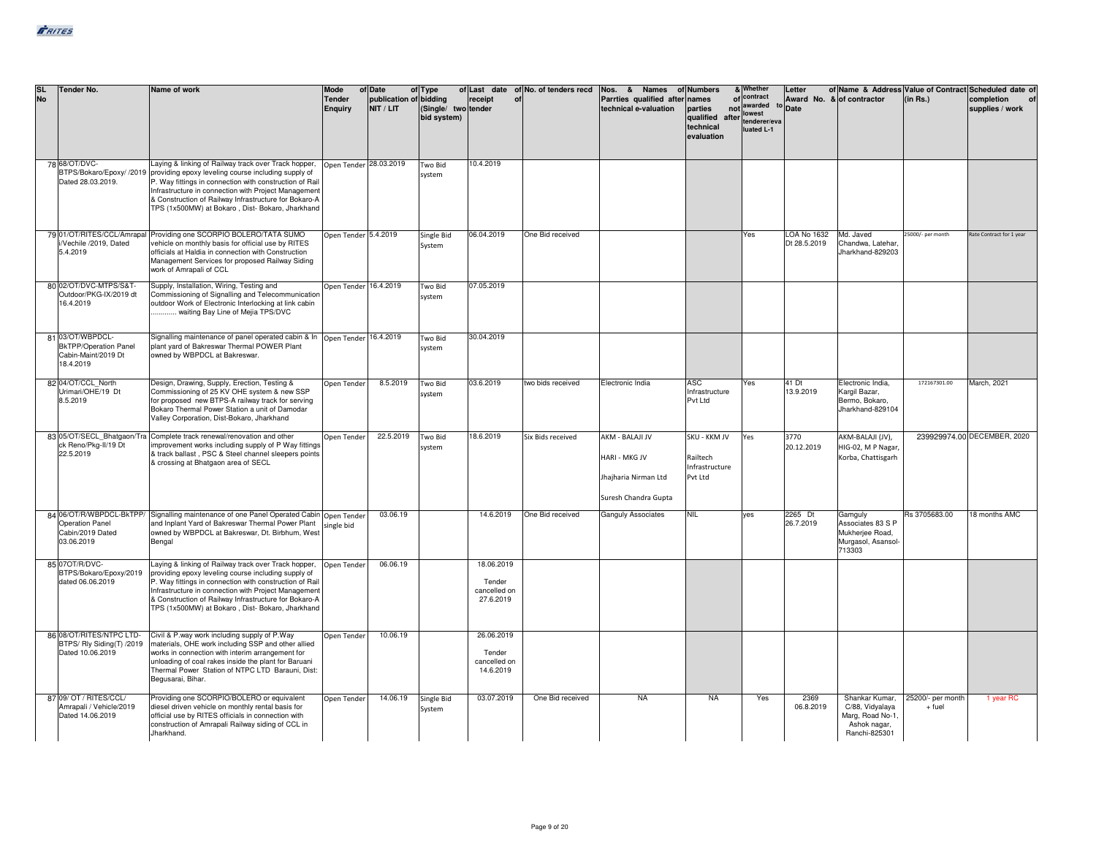| <b>SL</b><br><b>No</b> | <b>Tender No.</b>                                                                    | Name of work                                                                                                                                                                                                                                                                                                                                                                               | Mode<br><b>Tender</b><br><b>Enquiry</b> | of Date<br>publication of bidding<br>NIT / LIT | of Type<br>(Single/ two tender<br>bid system) | receipt<br>of                                     | of Last date of No. of tenders recd | Nos. & Names of Numbers<br>Parrties qualified after<br>technical e-valuation            | names<br>parties<br>qualified after tenderer/eva<br>technical<br>evaluation | & Whether<br>of contract<br>not awarded<br>luated L-1 | Letter<br><sup>to</sup> Date | of Name & Address Value of Contract Scheduled date of<br>Award No. & of contractor     | (in Rs.)                    | completion<br>supplies / work |
|------------------------|--------------------------------------------------------------------------------------|--------------------------------------------------------------------------------------------------------------------------------------------------------------------------------------------------------------------------------------------------------------------------------------------------------------------------------------------------------------------------------------------|-----------------------------------------|------------------------------------------------|-----------------------------------------------|---------------------------------------------------|-------------------------------------|-----------------------------------------------------------------------------------------|-----------------------------------------------------------------------------|-------------------------------------------------------|------------------------------|----------------------------------------------------------------------------------------|-----------------------------|-------------------------------|
|                        | 78 68/OT/DVC-<br>Dated 28.03.2019.                                                   | Laying & linking of Railway track over Track hopper, Open Tender 28.03.2019<br>BTPS/Bokaro/Epoxy/ /2019 providing epoxy leveling course including supply of<br>P. Way fittings in connection with construction of Rail<br>Infrastructure in connection with Project Management<br>& Construction of Railway Infrastructure for Bokaro-A<br>TPS (1x500MW) at Bokaro, Dist-Bokaro, Jharkhand |                                         |                                                | Two Bid<br>system                             | 10.4.2019                                         |                                     |                                                                                         |                                                                             |                                                       |                              |                                                                                        |                             |                               |
|                        | Vechile /2019, Dated<br>5.4.2019                                                     | 79 01/OT/RITES/CCL/Amrapal Providing one SCORPIO BOLERO/TATA SUMO<br>vehicle on monthly basis for official use by RITES<br>officials at Haldia in connection with Construction<br>Management Services for proposed Railway Siding<br>work of Amrapali of CCL                                                                                                                               | Open Tender 5.4.2019                    |                                                | Single Bid<br>System                          | 06.04.2019                                        | One Bid received                    |                                                                                         |                                                                             | Yes                                                   | LOA No 1632<br>Dt 28.5.2019  | Md. Javed<br>Chandwa, Latehar.<br>Jharkhand-829203                                     | 25000/- per month           | Rate Contract for 1 year      |
|                        | 80 02/OT/DVC-MTPS/S&T-<br>Outdoor/PKG-IX/2019 dt<br>16.4.2019                        | Supply, Installation, Wiring, Testing and<br>Commissioning of Signalling and Telecommunication<br>outdoor Work of Electronic Interlocking at link cabin<br>waiting Bay Line of Mejia TPS/DVC                                                                                                                                                                                               | Open Tender 16.4.2019                   |                                                | Two Bid<br>system                             | 07.05.2019                                        |                                     |                                                                                         |                                                                             |                                                       |                              |                                                                                        |                             |                               |
|                        | 81 03/OT/WBPDCL-<br><b>BkTPP/Operation Panel</b><br>Cabin-Maint/2019 Dt<br>18.4.2019 | Signalling maintenance of panel operated cabin & In Open Tender 16.4.2019<br>plant yard of Bakreswar Thermal POWER Plant<br>owned by WBPDCL at Bakreswar.                                                                                                                                                                                                                                  |                                         |                                                | Two Bid<br>system                             | 30.04.2019                                        |                                     |                                                                                         |                                                                             |                                                       |                              |                                                                                        |                             |                               |
|                        | 82 04/OT/CCL North<br>Urimari/OHE/19 Dt<br>8.5.2019                                  | Design, Drawing, Supply, Erection, Testing &<br>Commissioning of 25 KV OHE system & new SSP<br>for proposed new BTPS-A railway track for serving<br>Bokaro Thermal Power Station a unit of Damodar<br>Valley Corporation, Dist-Bokaro, Jharkhand                                                                                                                                           | Open Tender                             | 8.5.2019                                       | Two Bid<br>system                             | 03.6.2019                                         | two bids received                   | Electronic India                                                                        | ASC.<br>Infrastructure<br>Pvt Ltd                                           | Yes                                                   | 41 Dt<br>13.9.2019           | Electronic India.<br>Kargil Bazar,<br>Bermo, Bokaro,<br>Jharkhand-829104               | 172167301.00                | March, 2021                   |
|                        | ck Reno/Pkg-II/19 Dt<br>22.5.2019                                                    | 83 05/OT/SECL Bhatgaon/Tra Complete track renewal/renovation and other<br>improvement works including supply of P Way fittings<br>& track ballast, PSC & Steel channel sleepers points<br>& crossing at Bhatgaon area of SECL                                                                                                                                                              | Open Tender                             | 22.5.2019                                      | Two Bid<br>system                             | 18.6.2019                                         | Six Bids received                   | AKM - BALAJI JV<br><b>HARI - MKG JV</b><br>Jhajharia Nirman Ltd<br>Suresh Chandra Gupta | SKU - KKM JV<br>Railtech<br>Infrastructure<br>Pvt Ltd                       | Yes                                                   | 3770<br>20.12.2019           | AKM-BALAJI (JV),<br>HIG-02, M P Nagar,<br>Korba, Chattisgarh                           |                             | 239929974.00 DECEMBER, 2020   |
|                        | Operation Panel<br>Cabin/2019 Dated<br>03.06.2019                                    | 84 06/OT/R/WBPDCL-BkTPP/ Signalling maintenance of one Panel Operated Cabin Open Tender<br>and Inplant Yard of Bakreswar Thermal Power Plant<br>owned by WBPDCL at Bakreswar, Dt. Birbhum, West<br>Bengal                                                                                                                                                                                  | single bid                              | 03.06.19                                       |                                               | 14.6.2019                                         | One Bid received                    | Ganguly Associates                                                                      | NIL.                                                                        | <b>ZAV</b>                                            | 2265 Dt<br>26.7.2019         | Gamguly<br>Associates 83 S P<br>Mukherjee Road,<br>Murgasol, Asansol-<br>713303        | Rs 3705683.00               | 18 months AMC                 |
|                        | 85 07 OT/R/DVC-<br>BTPS/Bokaro/Epoxy/2019<br>dated 06.06.2019                        | Laying & linking of Railway track over Track hopper,<br>providing epoxy leveling course including supply of<br>P. Way fittings in connection with construction of Rail<br>Infrastructure in connection with Project Management<br>& Construction of Railway Infrastructure for Bokaro-A<br>TPS (1x500MW) at Bokaro, Dist-Bokaro, Jharkhand                                                 | Open Tender                             | 06.06.19                                       |                                               | 18.06.2019<br>Tender<br>cancelled on<br>27.6.2019 |                                     |                                                                                         |                                                                             |                                                       |                              |                                                                                        |                             |                               |
|                        | 86 08/OT/RITES/NTPC LTD-<br>BTPS/Rly Siding(T) /2019<br>Dated 10.06.2019             | Civil & P.way work including supply of P.Way<br>materials. OHE work including SSP and other allied<br>works in connection with interim arrangement for<br>unloading of coal rakes inside the plant for Baruani<br>Thermal Power Station of NTPC LTD Barauni, Dist:<br>Begusarai, Bihar,                                                                                                    | Open Tender                             | 10.06.19                                       |                                               | 26.06.2019<br>Tender<br>cancelled on<br>14.6.2019 |                                     |                                                                                         |                                                                             |                                                       |                              |                                                                                        |                             |                               |
|                        | 87 09/ OT / RITES/CCL/<br>Amrapali / Vehicle/2019<br>Dated 14.06.2019                | Providing one SCORPIO/BOLERO or equivalent<br>diesel driven vehicle on monthly rental basis for<br>official use by RITES officials in connection with<br>construction of Amrapali Railway siding of CCL in<br>Jharkhand.                                                                                                                                                                   | Open Tender                             | 14.06.19                                       | Single Bid<br>System                          | 03.07.2019                                        | One Bid received                    | <b>NA</b>                                                                               | <b>NA</b>                                                                   | Yes                                                   | 2369<br>06.8.2019            | Shankar Kumar,<br>C/88, Vidyalaya<br>Marg, Road No-1,<br>Ashok nagar,<br>Ranchi-825301 | 25200/- per month<br>+ fuel | 1 year RC                     |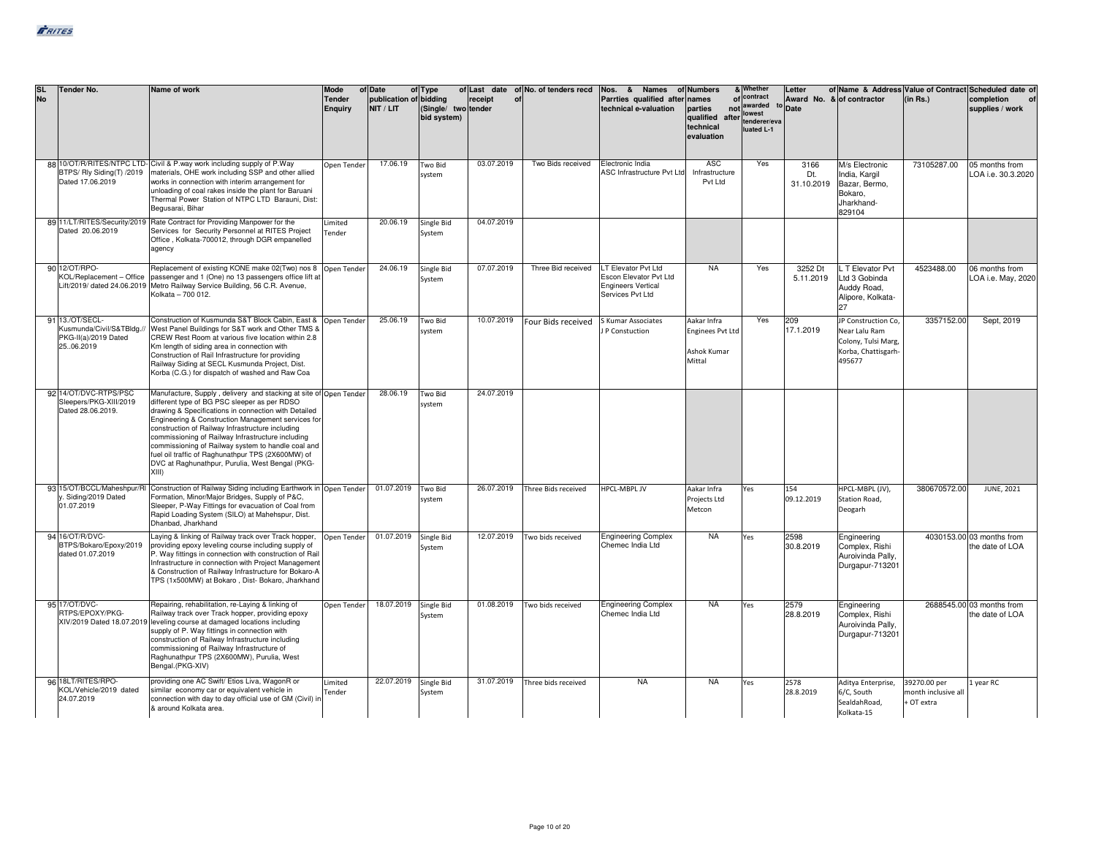| <b>SL</b><br><b>No</b> | <b>Tender No.</b>                                                                  | Name of work                                                                                                                                                                                                                                                                                                                                                                                                                                                                                                    | Mode<br><b>Tender</b><br><b>Enquiry</b> | of Date<br>publication of bidding<br>NIT / LIT | of Type<br>(Single/ two tender<br>bid system) | receipt<br>of | of Last date of No. of tenders recd | Nos. & Names of Numbers<br>Parrties qualified after names<br>technical e-valuation             | parties<br>qualified<br>after<br>technical<br>evaluation        | & Whether<br>of contract<br>not awarded<br>lowest<br>tenderer/eva<br>luated L-1 | Letter<br>Award No. & of contractor<br>to Date |                                                                                              | of Name & Address Value of Contract Scheduled date of<br>(in Rs.) | completion<br>supplies / work                |
|------------------------|------------------------------------------------------------------------------------|-----------------------------------------------------------------------------------------------------------------------------------------------------------------------------------------------------------------------------------------------------------------------------------------------------------------------------------------------------------------------------------------------------------------------------------------------------------------------------------------------------------------|-----------------------------------------|------------------------------------------------|-----------------------------------------------|---------------|-------------------------------------|------------------------------------------------------------------------------------------------|-----------------------------------------------------------------|---------------------------------------------------------------------------------|------------------------------------------------|----------------------------------------------------------------------------------------------|-------------------------------------------------------------------|----------------------------------------------|
|                        | BTPS/Rly Siding(T) /2019<br>Dated 17.06.2019                                       | 88 10/OT/R/RITES/NTPC LTD- Civil & P.way work including supply of P.Way<br>materials, OHE work including SSP and other allied<br>works in connection with interim arrangement for<br>unloading of coal rakes inside the plant for Baruani<br>Thermal Power Station of NTPC LTD Barauni, Dist:<br>Begusarai, Bihar                                                                                                                                                                                               | Open Tender                             | 17.06.19                                       | Two Bid<br>system                             | 03.07.2019    | Two Bids received                   | Electronic India<br>ASC Infrastructure Pvt Ltd                                                 | ASC<br>Infrastructure<br>Pvt Ltd                                | Yes                                                                             | 3166<br>Dt.<br>31.10.2019                      | M/s Electronic<br>India, Kargil<br>Bazar, Bermo,<br>Bokaro,<br>Jharkhand-<br>829104          | 73105287.00                                                       | 05 months from<br>LOA i.e. 30.3.2020         |
|                        | 89 11/LT/RITES/Security/2019<br>Dated 20.06.2019                                   | Rate Contract for Providing Manpower for the<br>Services for Security Personnel at RITES Project<br>Office, Kolkata-700012, through DGR empanelled<br>agency                                                                                                                                                                                                                                                                                                                                                    | Limited<br>Tender                       | 20.06.19                                       | Single Bid<br>System                          | 04.07.2019    |                                     |                                                                                                |                                                                 |                                                                                 |                                                |                                                                                              |                                                                   |                                              |
|                        | 90 12/OT/RPO-<br>KOL/Replacement - Office                                          | Replacement of existing KONE make 02(Two) nos 8 Open Tender<br>passenger and 1 (One) no 13 passengers office lift at<br>Lift/2019/ dated 24.06.2019 Metro Railway Service Building, 56 C.R. Avenue,<br>Kolkata - 700 012.                                                                                                                                                                                                                                                                                       |                                         | 24.06.19                                       | Single Bid<br>System                          | 07.07.2019    | Three Bid received                  | LT Elevator Pvt Ltd<br>Escon Elevator Pvt Ltd<br><b>Engineers Vertical</b><br>Services Pvt Ltd | <b>NA</b>                                                       | Yes                                                                             | 3252 Dt<br>5.11.2019                           | L T Elevator Pvt<br>Ltd 3 Gobinda<br>Auddy Road,<br>Alipore, Kolkata-                        | 4523488.00                                                        | 06 months from<br>LOA i.e. May, 2020         |
|                        | 91 13./OT/SECL-<br>Kusmunda/Civil/S&TBldg.//<br>PKG-II(a)/2019 Dated<br>25.06.2019 | Construction of Kusmunda S&T Block Cabin, East & Open Tender<br>West Panel Buildings for S&T work and Other TMS &<br>CREW Rest Room at various five location within 2.8<br>Km length of siding area in connection with<br>Construction of Rail Infrastructure for providing<br>Railway Siding at SECL Kusmunda Project, Dist.<br>Korba (C.G.) for dispatch of washed and Raw Coa                                                                                                                                |                                         | 25.06.19                                       | Two Bid<br>system                             | 10.07.2019    | Four Bids received                  | S Kumar Associates<br>P Constuction                                                            | Aakar Infra<br><b>Enginees Pvt Ltd</b><br>Ashok Kumar<br>Mittal | Yes                                                                             | 209<br>17.1.2019                               | JP Construction Co,<br>Near Lalu Ram<br>Colony, Tulsi Marg,<br>Korba, Chattisgarh-<br>495677 | 3357152.00                                                        | Sept, 2019                                   |
|                        | 92 14/OT/DVC-RTPS/PSC<br>Sleepers/PKG-XIII/2019<br>Dated 28.06.2019.               | Manufacture, Supply, delivery and stacking at site of Open Tender<br>different type of BG PSC sleeper as per RDSO<br>drawing & Specifications in connection with Detailed<br>Engineering & Construction Management services for<br>construction of Railway Infrastructure including<br>commissioning of Railway Infrastructure including<br>commissioning of Railway system to handle coal and<br>fuel oil traffic of Raghunathpur TPS (2X600MW) of<br>DVC at Raghunathpur, Purulia, West Bengal (PKG-<br>XIII) |                                         | 28.06.19                                       | Two Bid<br>system                             | 24.07.2019    |                                     |                                                                                                |                                                                 |                                                                                 |                                                |                                                                                              |                                                                   |                                              |
|                        | 93 15/OT/BCCL/Maheshpur/RI<br>. Siding/2019 Dated<br>01.07.2019                    | Construction of Railway Siding including Earthwork in Open Tender<br>Formation, Minor/Major Bridges, Supply of P&C,<br>Sleeper, P-Way Fittings for evacuation of Coal from<br>Rapid Loading System (SILO) at Mahehspur, Dist.<br>Dhanbad, Jharkhand                                                                                                                                                                                                                                                             |                                         | 01.07.2019                                     | Two Bid<br>system                             | 26.07.2019    | Three Bids received                 | HPCL-MBPL JV                                                                                   | Aakar Infra<br>Projects Ltd<br>Metcon                           | Yes                                                                             | 154<br>09.12.2019                              | HPCL-MBPL (JV),<br>Station Road,<br>Deogarh                                                  | 380670572.00                                                      | JUNE, 2021                                   |
|                        | 94 16/OT/R/DVC-<br>BTPS/Bokaro/Epoxy/2019<br>dated 01.07.2019                      | Laying & linking of Railway track over Track hopper,<br>providing epoxy leveling course including supply of<br>P. Way fittings in connection with construction of Rail<br>Infrastructure in connection with Project Management<br>& Construction of Railway Infrastructure for Bokaro-A<br>TPS (1x500MW) at Bokaro, Dist- Bokaro, Jharkhand                                                                                                                                                                     | Open Tender                             | 01.07.2019                                     | Single Bid<br>System                          | 12.07.2019    | Two bids received                   | <b>Engineering Complex</b><br>Chemec India Ltd                                                 | <b>NA</b>                                                       | Yes                                                                             | 2598<br>30.8.2019                              | Engineering<br>Complex, Rishi<br>Auroivinda Pally,<br>Durgapur-713201                        |                                                                   | 4030153.00 03 months from<br>the date of LOA |
|                        | 95 17/OT/DVC-<br>RTPS/EPOXY/PKG-<br>XIV/2019 Dated 18.07.2019                      | Repairing, rehabilitation, re-Laying & linking of<br>Railway track over Track hopper, providing epoxy<br>leveling course at damaged locations including<br>supply of P. Way fittings in connection with<br>construction of Railway Infrastructure including<br>commissioning of Railway Infrastructure of<br>Raghunathpur TPS (2X600MW), Purulia, West<br>Bengal.(PKG-XIV)                                                                                                                                      | Open Tender                             | 18.07.2019                                     | Single Bid<br>System                          | 01.08.2019    | Two bids received                   | <b>Engineering Complex</b><br>Chemec India Ltd                                                 | <b>NA</b>                                                       | Yes                                                                             | 2579<br>28.8.2019                              | Engineering<br>Complex, Rishi<br>Auroivinda Pally,<br>Durgapur-713201                        |                                                                   | 2688545.00 03 months from<br>the date of LOA |
|                        | 96 18LT/RITES/RPO-<br>KOL/Vehicle/2019 dated<br>24.07.2019                         | providing one AC Swift/ Etios Liva, WagonR or<br>similar economy car or equivalent vehicle in<br>connection with day to day official use of GM (Civil) ir<br>& around Kolkata area.                                                                                                                                                                                                                                                                                                                             | Limited<br>Tender                       | 22.07.2019                                     | Single Bid<br>System                          | 31.07.2019    | Three bids received                 | <b>NA</b>                                                                                      | <b>NA</b>                                                       | Yes                                                                             | 2578<br>28.8.2019                              | Aditya Enterprise,<br>6/C, South<br>SealdahRoad,<br>Kolkata-15                               | 39270.00 per<br>month inclusive all<br>+ OT extra                 | 1 year RC                                    |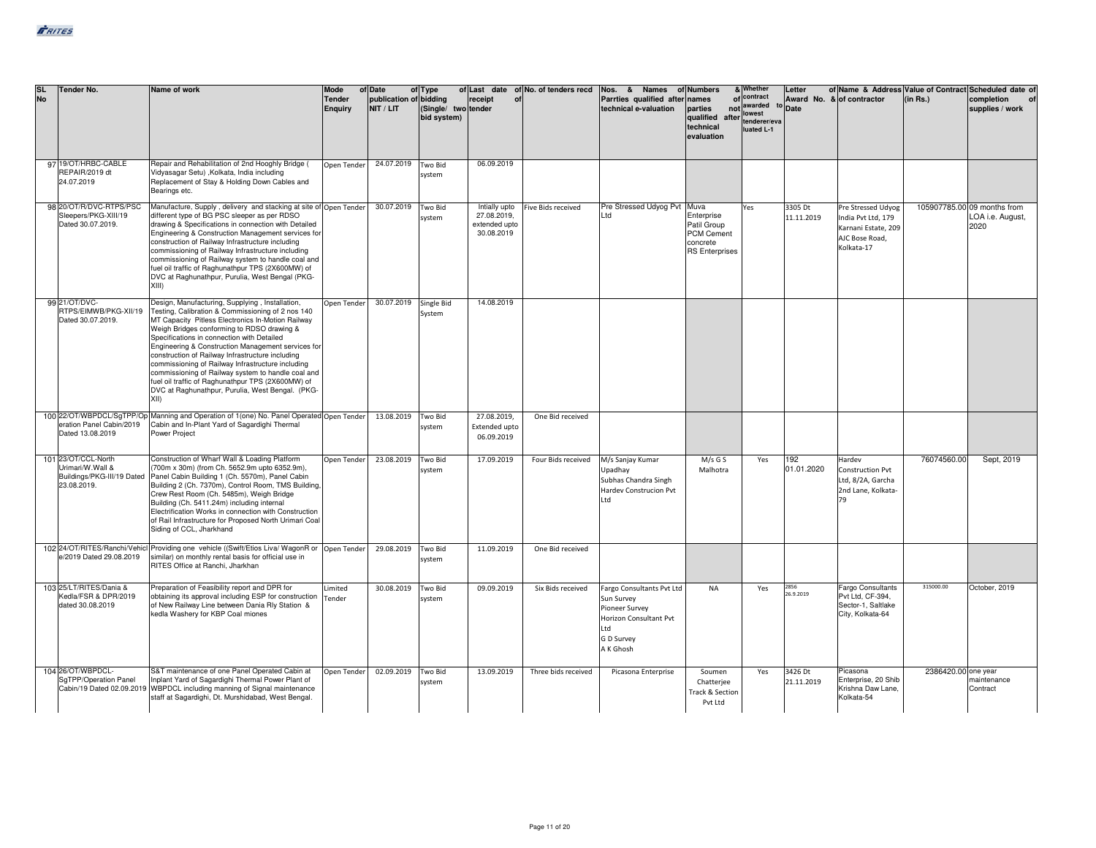| <b>SL</b><br><b>No</b> | <b>Tender No.</b>                                                                    | Name of work                                                                                                                                                                                                                                                                                                                                                                                                                                                                                                                                                                                       | <b>Mode</b><br><b>Tender</b><br>Enguiry | of Date<br>publication of bidding<br>NIT / LIT | of Type<br>(Single/ two tender<br>bid system) | receipt                                                     | of Last date of No. of tenders recd<br>of | Nos. & Names of Numbers<br>Parrties qualified after<br>technical e-valuation                                          | names<br>parties<br>qualified<br>after<br>technical<br>evaluation                    | & Whether<br>of contract<br>not awarded<br>lowest<br>tenderer/eva<br>luated L-1 | Letter<br>to Date     | Award No. & of contractor                                                                       | (in Rs.)            | of Name & Address Value of Contract Scheduled date of<br>completion<br>supplies / work |
|------------------------|--------------------------------------------------------------------------------------|----------------------------------------------------------------------------------------------------------------------------------------------------------------------------------------------------------------------------------------------------------------------------------------------------------------------------------------------------------------------------------------------------------------------------------------------------------------------------------------------------------------------------------------------------------------------------------------------------|-----------------------------------------|------------------------------------------------|-----------------------------------------------|-------------------------------------------------------------|-------------------------------------------|-----------------------------------------------------------------------------------------------------------------------|--------------------------------------------------------------------------------------|---------------------------------------------------------------------------------|-----------------------|-------------------------------------------------------------------------------------------------|---------------------|----------------------------------------------------------------------------------------|
|                        | 97 19/OT/HRBC-CABLE<br>REPAIR/2019 dt<br>24.07.2019                                  | Repair and Rehabilitation of 2nd Hooghly Bridge (<br>Vidyasagar Setu) , Kolkata, India including<br>Replacement of Stay & Holding Down Cables and<br>Bearings etc.                                                                                                                                                                                                                                                                                                                                                                                                                                 | Open Tender                             | 24.07.2019                                     | Two Bid<br>system                             | 06.09.2019                                                  |                                           |                                                                                                                       |                                                                                      |                                                                                 |                       |                                                                                                 |                     |                                                                                        |
|                        | 98 20/OT/R/DVC-RTPS/PSC<br>Sleepers/PKG-XIII/19<br>Dated 30.07.2019.                 | Manufacture, Supply, delivery and stacking at site of Open Tender<br>different type of BG PSC sleeper as per RDSO<br>drawing & Specifications in connection with Detailed<br>Engineering & Construction Management services for<br>construction of Railway Infrastructure including<br>commissioning of Railway Infrastructure including<br>commissioning of Railway system to handle coal and<br>fuel oil traffic of Raghunathpur TPS (2X600MW) of<br>DVC at Raghunathpur, Purulia, West Bengal (PKG-<br>XIII)                                                                                    |                                         | 30.07.2019                                     | <b>Two Bid</b><br>system                      | Intially upto<br>27.08.2019.<br>extended upto<br>30.08.2019 | Five Bids received                        | Pre Stressed Udyog Pvt<br>Ltd                                                                                         | Muva<br>Enterprise<br>Patil Group<br>PCM Cement<br>concrete<br><b>RS Enterprises</b> | Yes                                                                             | 3305 Dt<br>11.11.2019 | Pre Stressed Udyog<br>India Pvt Ltd, 179<br>Karnani Estate, 209<br>AJC Bose Road,<br>Kolkata-17 |                     | 105907785.00 09 months from<br>LOA i.e. August,<br>2020                                |
|                        | 99 21/OT/DVC-<br>RTPS/EIMWB/PKG-XII/19<br>Dated 30.07.2019.                          | Design, Manufacturing, Supplying, Installation,<br>Testing, Calibration & Commissioning of 2 nos 140<br>MT Capacity Pitless Electronics In-Motion Railway<br>Weigh Bridges conforming to RDSO drawing &<br>Specifications in connection with Detailed<br>Engineering & Construction Management services for<br>construction of Railway Infrastructure including<br>commissioning of Railway Infrastructure including<br>commissioning of Railway system to handle coal and<br>fuel oil traffic of Raghunathpur TPS (2X600MW) of<br>DVC at Raghunathpur, Purulia, West Bengal. (PKG-<br><b>XIII</b> | Open Tender                             | 30.07.2019                                     | Single Bid<br>System                          | 14.08.2019                                                  |                                           |                                                                                                                       |                                                                                      |                                                                                 |                       |                                                                                                 |                     |                                                                                        |
|                        | eration Panel Cabin/2019<br>Dated 13.08.2019                                         | 100 22/OT/WBPDCL/SgTPP/Op Manning and Operation of 1(one) No. Panel Operated Open Tender<br>Cabin and In-Plant Yard of Sagardighi Thermal<br>Power Project                                                                                                                                                                                                                                                                                                                                                                                                                                         |                                         | 13.08.2019                                     | Two Bid<br>system                             | 27.08.2019,<br><b>Extended upto</b><br>06.09.2019           | One Bid received                          |                                                                                                                       |                                                                                      |                                                                                 |                       |                                                                                                 |                     |                                                                                        |
|                        | 101 23/OT/CCL-North<br>Jrimari/W.Wall &<br>Buildings/PKG-III/19 Dated<br>23.08.2019. | Construction of Wharf Wall & Loading Platform<br>(700m x 30m) (from Ch. 5652.9m upto 6352.9m),<br>Panel Cabin Building 1 (Ch. 5570m), Panel Cabin<br>Building 2 (Ch. 7370m), Control Room, TMS Building,<br>Crew Rest Room (Ch. 5485m), Weigh Bridge<br>Building (Ch. 5411.24m) including internal<br>Electrification Works in connection with Construction<br>of Rail Infrastructure for Proposed North Urimari Coal<br>Siding of CCL, Jharkhand                                                                                                                                                  | Open Tender                             | 23.08.2019                                     | Two Bid<br>system                             | 17.09.2019                                                  | Four Bids received                        | M/s Sanjay Kumar<br>Upadhay<br>Subhas Chandra Singh<br>Hardev Construcion Pvt<br>Ltd                                  | $M/s$ G S<br>Malhotra                                                                | Yes                                                                             | 192<br>01.01.2020     | Hardev<br><b>Construction Pvt</b><br>Ltd, 8/2A, Garcha<br>2nd Lane, Kolkata-<br>79              | 76074560.00         | Sept, 2019                                                                             |
|                        | e/2019 Dated 29.08.2019                                                              | 102 24/OT/RITES/Ranchi/Vehicl Providing one vehicle ((Swift/Etios Liva/ WagonR or  Open Tender<br>similar) on monthly rental basis for official use in<br>RITES Office at Ranchi, Jharkhan                                                                                                                                                                                                                                                                                                                                                                                                         |                                         | 29.08.2019                                     | Two Bid<br>system                             | 11.09.2019                                                  | One Bid received                          |                                                                                                                       |                                                                                      |                                                                                 |                       |                                                                                                 |                     |                                                                                        |
|                        | 103 25/LT/RITES/Dania &<br>Kedla/FSR & DPR/2019<br>dated 30.08.2019                  | Preparation of Feasibility report and DPR for<br>obtaining its approval including ESP for construction<br>of New Railway Line between Dania Rly Station &<br>kedla Washery for KBP Coal miones                                                                                                                                                                                                                                                                                                                                                                                                     | Limited<br>Tender                       | 30.08.2019                                     | Two Bid<br>system                             | 09.09.2019                                                  | Six Bids received                         | Fargo Consultants Pvt Ltd<br>Sun Survey<br>Pioneer Survey<br>Horizon Consultant Pvt<br>htl<br>G D Survey<br>A K Ghosh | <b>NA</b>                                                                            | Yes                                                                             | 2856<br>26.9.2019     | <b>Fargo Consultants</b><br>Pvt Ltd, CF-394,<br>Sector-1, Saltlake<br>City, Kolkata-64          | 315000.00           | October, 2019                                                                          |
|                        | 104 26/OT/WBPDCL-<br>SqTPP/Operation Panel                                           | S&T maintenance of one Panel Operated Cabin at<br>Inplant Yard of Sagardighi Thermal Power Plant of<br>Cabin/19 Dated 02.09.2019 WBPDCL including manning of Signal maintenance<br>staff at Sagardighi, Dt. Murshidabad, West Bengal.                                                                                                                                                                                                                                                                                                                                                              | Open Tender                             | 02.09.2019                                     | Two Bid<br>system                             | 13.09.2019                                                  | Three bids received                       | Picasona Enterprise                                                                                                   | Soumen<br>Chatterjee<br>Track & Section<br>Pvt Ltd                                   | Yes                                                                             | 3426 Dt<br>21.11.2019 | Picasona<br>Enterprise, 20 Shib<br>Krishna Daw Lane,<br>Kolkata-54                              | 2386420.00 one year | maintenance<br>Contract                                                                |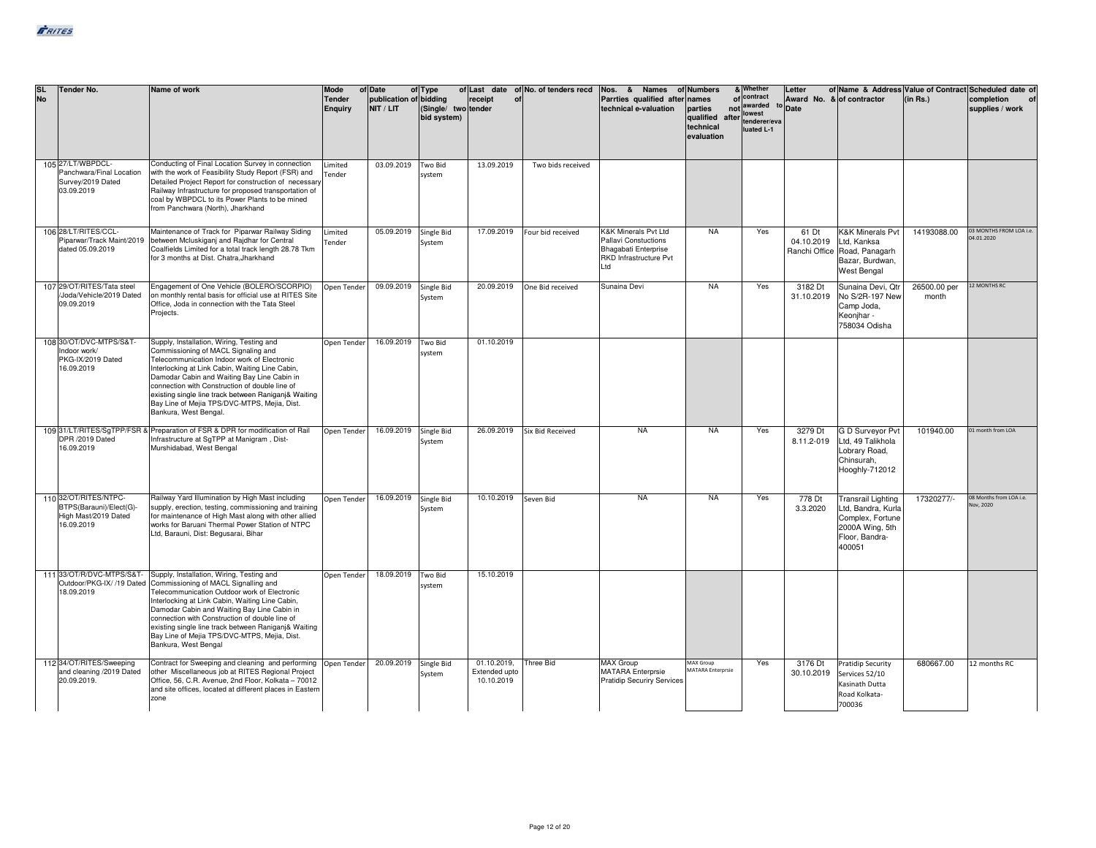| <b>SL</b><br><b>No</b> | <b>Tender No.</b>                                                                      | Name of work                                                                                                                                                                                                                                                                                                                                                                                                                                    | Mode<br><b>Tender</b><br>Enguiry | of Date<br>publication of bidding<br>NIT / LIT | of Type<br>(Single/ two tender<br>bid system) | receipt<br>of                              | of Last date of No. of tenders recd | Nos. & Names<br>Parrties qualified after<br>technical e-valuation                                     | of Numbers<br>Inames<br>parties<br>qualified<br>technical<br>evaluation | & Whether<br>of contract<br>not awarded<br>lowest<br>after tenderer/eva<br>luated L-1 | Letter<br>Award No. & of contractor<br>to Date |                                                                                                                    | (in Rs.)              | of Name & Address Value of Contract Scheduled date of<br>completion<br>supplies / work |
|------------------------|----------------------------------------------------------------------------------------|-------------------------------------------------------------------------------------------------------------------------------------------------------------------------------------------------------------------------------------------------------------------------------------------------------------------------------------------------------------------------------------------------------------------------------------------------|----------------------------------|------------------------------------------------|-----------------------------------------------|--------------------------------------------|-------------------------------------|-------------------------------------------------------------------------------------------------------|-------------------------------------------------------------------------|---------------------------------------------------------------------------------------|------------------------------------------------|--------------------------------------------------------------------------------------------------------------------|-----------------------|----------------------------------------------------------------------------------------|
|                        | 105 27/LT/WBPDCL-<br>Panchwara/Final Location<br>Survey/2019 Dated<br>03.09.2019       | Conducting of Final Location Survey in connection<br>with the work of Feasibility Study Report (FSR) and<br>Detailed Project Report for construction of necessary<br>Railway Infrastructure for proposed transportation of<br>coal by WBPDCL to its Power Plants to be mined<br>from Panchwara (North), Jharkhand                                                                                                                               | Limited<br>Tender                | 03.09.2019                                     | Two Bid<br>system                             | 13.09.2019                                 | Two bids received                   |                                                                                                       |                                                                         |                                                                                       |                                                |                                                                                                                    |                       |                                                                                        |
|                        | 106 28/LT/RITES/CCL-<br>Piparwar/Track Maint/2019<br>dated 05.09.2019                  | Maintenance of Track for Piparwar Railway Siding<br>between Mcluskiganj and Rajdhar for Central<br>Coalfields Limited for a total track length 28.78 Tkm<br>for 3 months at Dist. Chatra, Jharkhand                                                                                                                                                                                                                                             | Limited<br>Tender                | 05.09.2019                                     | Single Bid<br>System                          | 17.09.2019                                 | Four bid received                   | K&K Minerals Pvt Ltd<br>Pallavi Constuctions<br>Bhagabati Enterprise<br>RKD Infrastructure Pvt<br>Ltd | <b>NA</b>                                                               | Yes                                                                                   | 61 Dt<br>04.10.2019                            | <b>K&amp;K Minerals Pvt</b><br>Ltd, Kanksa<br>Ranchi Office Road, Panagarh<br>Bazar, Burdwan,<br>West Bengal       | 14193088.00           | 03 MONTHS FROM LOA i.e.<br>04.01.2020                                                  |
|                        | 107 29/OT/RITES/Tata steel<br>Joda/Vehicle/2019 Dated<br>09.09.2019                    | Engagement of One Vehicle (BOLERO/SCORPIO)<br>on monthly rental basis for official use at RITES Site<br>Office, Joda in connection with the Tata Steel<br>Projects.                                                                                                                                                                                                                                                                             | Open Tender                      | 09.09.2019                                     | Single Bid<br>System                          |                                            | 20.09.2019 One Bid received         | Sunaina Devi                                                                                          | <b>NA</b>                                                               | Yes                                                                                   | 3182 Dt<br>31.10.2019                          | Sunaina Devi, Qtr<br>No S/2R-197 New<br>Camp Joda,<br>Keonjhar -<br>758034 Odisha                                  | 26500.00 per<br>month | <b>12 MONTHS RC</b>                                                                    |
|                        | 108 30/OT/DVC-MTPS/S&T-<br>Indoor work/<br>PKG-IX/2019 Dated<br>16.09.2019             | Supply, Installation, Wiring, Testing and<br>Commissioning of MACL Signaling and<br>Telecommunication Indoor work of Electronic<br>Interlocking at Link Cabin, Waiting Line Cabin,<br>Damodar Cabin and Waiting Bay Line Cabin in<br>connection with Construction of double line of<br>existing single line track between Raniganj& Waiting<br>Bay Line of Mejia TPS/DVC-MTPS, Mejia, Dist.<br>Bankura, West Bengal.                            | Open Tender                      | 16.09.2019                                     | Two Bid<br>system                             | 01.10.2019                                 |                                     |                                                                                                       |                                                                         |                                                                                       |                                                |                                                                                                                    |                       |                                                                                        |
|                        | DPR /2019 Dated<br>16.09.2019                                                          | 109 31/LT/RITES/SgTPP/FSR & Preparation of FSR & DPR for modification of Rail<br>Infrastructure at SqTPP at Manigram, Dist-<br>Murshidabad, West Bengal                                                                                                                                                                                                                                                                                         | Open Tender                      | 16.09.2019 Single Bid                          | System                                        | 26.09.2019                                 | <b>Six Bid Received</b>             | <b>NA</b>                                                                                             | <b>NA</b>                                                               | Yes                                                                                   | 3279 Dt<br>8.11.2-019                          | G D Surveyor Pvt<br>Ltd, 49 Talikhola<br>Lobrary Road,<br>Chinsurah,<br>Hooghly-712012                             | 101940.00             | 01 month from LOA                                                                      |
|                        | 110 32/OT/RITES/NTPC-<br>BTPS(Barauni)/Elect(G)-<br>High Mast/2019 Dated<br>16.09.2019 | Railway Yard Illumination by High Mast including<br>supply, erection, testing, commissioning and training<br>for maintenance of High Mast along with other allied<br>works for Baruani Thermal Power Station of NTPC<br>Ltd, Barauni, Dist: Begusarai, Bihar                                                                                                                                                                                    | Open Tender                      | 16.09.2019                                     | Single Bid<br>System                          | 10.10.2019                                 | Seven Bid                           | <b>NA</b>                                                                                             | <b>NA</b>                                                               | Yes                                                                                   | 778 Dt<br>3.3.2020                             | <b>Transrail Lighting</b><br>Ltd, Bandra, Kurla<br>Complex, Fortune<br>2000A Wing, 5th<br>Floor, Bandra-<br>400051 | 17320277/-            | 08 Months from LOA i.e.<br>Vov, 2020                                                   |
|                        | 111 33/OT/R/DVC-MTPS/S&T-<br>18.09.2019                                                | Supply, Installation, Wiring, Testing and<br>Outdoor/PKG-IX/ /19 Dated Commissioning of MACL Signalling and<br>Telecommunication Outdoor work of Electronic<br>Interlocking at Link Cabin, Waiting Line Cabin,<br>Damodar Cabin and Waiting Bay Line Cabin in<br>connection with Construction of double line of<br>existing single line track between Raniganj& Waiting<br>Bay Line of Mejia TPS/DVC-MTPS, Mejia, Dist.<br>Bankura, West Bengal | Open Tender                      | 18.09.2019                                     | Two Bid<br>system                             | 15.10.2019                                 |                                     |                                                                                                       |                                                                         |                                                                                       |                                                |                                                                                                                    |                       |                                                                                        |
|                        | 112 34/OT/RITES/Sweeping<br>and cleaning /2019 Dated<br>20.09.2019.                    | Contract for Sweeping and cleaning and performing Open Tender<br>other Miscellaneous job at RITES Regional Project<br>Office, 56, C.R. Avenue, 2nd Floor, Kolkata - 70012<br>and site offices, located at different places in Eastern<br>zone                                                                                                                                                                                                   |                                  | 20.09.2019                                     | Single Bid<br>System                          | 01.10.2019,<br>Extended upto<br>10.10.2019 | <b>Three Bid</b>                    | <b>MAX Group</b><br><b>MATARA</b> Enterprsie<br><b>Pratidip Securiry Services</b>                     | MAX Group<br><b>MATARA Enterprsie</b>                                   | Yes                                                                                   | 3176 Dt                                        | <b>Pratidip Security</b><br>30.10.2019 Services 52/10<br>Kasinath Dutta<br>Road Kolkata-<br>700036                 | 680667.00             | 12 months RC                                                                           |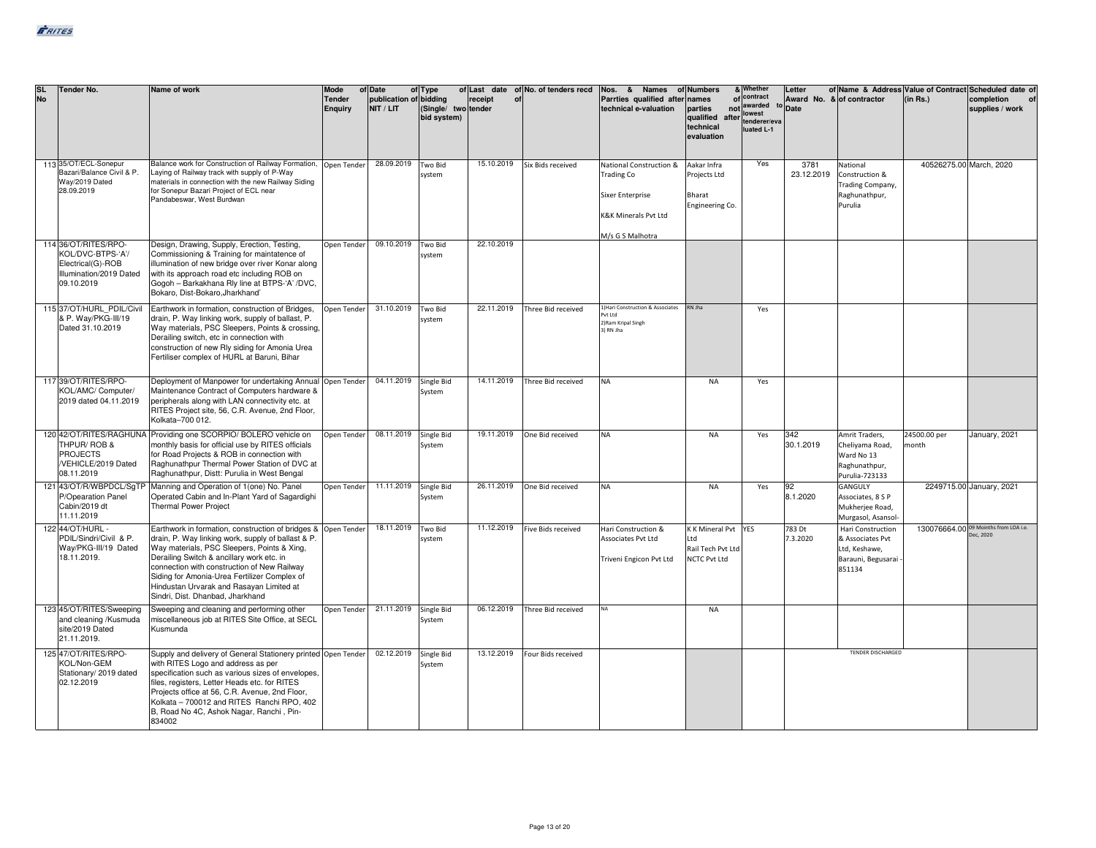| <b>SL</b><br>No | Tender No.                                                                                              | Name of work                                                                                                                                                                                                                                                                                                                                                                                   | Mode<br><b>Tender</b><br><b>Enquiry</b> | of Date<br>publication of bidding<br>NIT / LIT | of Type<br>(Single/ two tender<br>bid system) | receipt<br>of | of Last date of No. of tenders recd | Nos. & Names<br>Parrties qualified after<br>technical e-valuation                                     | of Numbers<br>names<br>parties<br>qualified<br>after<br>technical<br>evaluation | & Whether<br>of contract<br>not awarded<br>lowest<br>tenderer/eva<br>luated L-1 | Letter<br>Award No. & of contractor<br>Date |                                                                                        | (in Rs.)                | of Name & Address Value of Contract Scheduled date of<br>completion<br>supplies / work |
|-----------------|---------------------------------------------------------------------------------------------------------|------------------------------------------------------------------------------------------------------------------------------------------------------------------------------------------------------------------------------------------------------------------------------------------------------------------------------------------------------------------------------------------------|-----------------------------------------|------------------------------------------------|-----------------------------------------------|---------------|-------------------------------------|-------------------------------------------------------------------------------------------------------|---------------------------------------------------------------------------------|---------------------------------------------------------------------------------|---------------------------------------------|----------------------------------------------------------------------------------------|-------------------------|----------------------------------------------------------------------------------------|
|                 | 113 35/OT/ECL-Sonepur<br>Bazari/Balance Civil & P.<br>Way/2019 Dated<br>28.09.2019                      | Balance work for Construction of Railway Formation,<br>Laying of Railway track with supply of P-Way<br>materials in connection with the new Railway Siding<br>for Sonepur Bazari Project of ECL near<br>Pandabeswar, West Burdwan                                                                                                                                                              | Open Tender                             | 28.09.2019                                     | Two Bid<br>system                             | 15.10.2019    | Six Bids received                   | National Construction &<br>Trading Co<br>Sixer Enterprise<br>K&K Minerals Pvt Ltd<br>M/s G S Malhotra | Aakar Infra<br>Projects Ltd<br>Bharat<br>Engineering Co.                        | Yes                                                                             | 3781<br>23.12.2019                          | National<br>Construction &<br>Trading Company,<br>Raghunathpur,<br>Purulia             | 40526275.00 March, 2020 |                                                                                        |
|                 | 114 36/OT/RITES/RPO-<br>KOL/DVC-BTPS-'A'/<br>Electrical(G)-ROB<br>Illumination/2019 Dated<br>09.10.2019 | Design, Drawing, Supply, Erection, Testing,<br>Commissioning & Training for maintatence of<br>illumination of new bridge over river Konar along<br>with its approach road etc including ROB on<br>Gogoh - Barkakhana Rly line at BTPS-'A' /DVC,<br>Bokaro, Dist-Bokaro, Jharkhand'                                                                                                             | Open Tender                             | 09.10.2019                                     | Two Bid<br>system                             | 22.10.2019    |                                     |                                                                                                       |                                                                                 |                                                                                 |                                             |                                                                                        |                         |                                                                                        |
|                 | 115 37/OT/HURL PDIL/Civil<br>& P. Wav/PKG-III/19<br>Dated 31.10.2019                                    | Earthwork in formation, construction of Bridges,<br>drain, P. Way linking work, supply of ballast, P.<br>Way materials, PSC Sleepers, Points & crossing,<br>Derailing switch, etc in connection with<br>construction of new Rly siding for Amonia Urea<br>Fertiliser complex of HURL at Baruni, Bihar                                                                                          | Open Tender                             | 31.10.2019                                     | Two Bid<br>system                             | 22.11.2019    | Three Bid received                  | 1) Hari Construction & Associates<br>Put Itd<br>2) Ram Kripal Singh<br>3) RN Iha                      | RN Iha                                                                          | Yes                                                                             |                                             |                                                                                        |                         |                                                                                        |
|                 | 117 39/OT/RITES/RPO-<br>KOL/AMC/ Computer/<br>2019 dated 04.11.2019                                     | Deployment of Manpower for undertaking Annual Open Tender<br>Maintenance Contract of Computers hardware &<br>peripherals along with LAN connectivity etc. at<br>RITES Project site, 56, C.R. Avenue, 2nd Floor,<br>Kolkata-700 012.                                                                                                                                                            |                                         | 04.11.2019                                     | Single Bid<br>System                          | 14.11.2019    | Three Bid received                  | <b>NA</b>                                                                                             | <b>NA</b>                                                                       | Yes                                                                             |                                             |                                                                                        |                         |                                                                                        |
|                 | THPUR/ROB &<br><b>PROJECTS</b><br>/VEHICLE/2019 Dated<br>08.11.2019                                     | 120 42/OT/RITES/RAGHUNA Providing one SCORPIO/ BOLERO vehicle on<br>monthly basis for official use by RITES officials<br>for Road Projects & ROB in connection with<br>Raghunathpur Thermal Power Station of DVC at<br>Raghunathpur, Distt: Purulia in West Bengal                                                                                                                             | Open Tender                             | 08.11.2019                                     | Single Bid<br>System                          | 19.11.2019    | One Bid received                    | <b>NA</b>                                                                                             | <b>NA</b>                                                                       | Yes                                                                             | 342<br>30.1.2019                            | Amrit Traders,<br>Cheliyama Road,<br>Ward No 13<br>Raghunathpur,<br>Purulia-723133     | 24500.00 per<br>month   | January, 2021                                                                          |
|                 | P/Opearation Panel<br>Cabin/2019 dt<br>11.11.2019                                                       | 121 43/OT/R/WBPDCL/SgTP Manning and Operation of 1(one) No. Panel<br>Operated Cabin and In-Plant Yard of Sagardighi<br><b>Thermal Power Project</b>                                                                                                                                                                                                                                            | Open Tender 11.11.2019                  |                                                | Single Bid<br>System                          | 26.11.2019    | One Bid received                    | <b>NA</b>                                                                                             | <b>NA</b>                                                                       | Yes                                                                             | 92<br>8.1.2020                              | GANGULY<br>Associates, 8 S P<br>Mukherjee Road,<br>Murgasol, Asansol-                  |                         | 2249715.00 January, 2021                                                               |
|                 | 122 44/OT/HURL -<br>PDIL/Sindri/Civil & P.<br>Wav/PKG-III/19 Dated<br>18.11.2019.                       | Earthwork in formation, construction of bridges & Open Tender<br>drain, P. Way linking work, supply of ballast & P.<br>Way materials, PSC Sleepers, Points & Xing,<br>Derailing Switch & ancillary work etc. in<br>connection with construction of New Railway<br>Siding for Amonia-Urea Fertilizer Complex of<br>Hindustan Urvarak and Rasayan Limited at<br>Sindri, Dist, Dhanbad, Jharkhand |                                         | 18.11.2019                                     | Two Bid<br>system                             | 11.12.2019    | Five Bids received                  | Hari Construction &<br>Associates Pvt Ltd<br>Triveni Engicon Pvt Ltd                                  | K K Mineral Pvt<br>Ltd<br>Rail Tech Pvt Ltd<br><b>NCTC Pvt Ltd</b>              | <b>YES</b>                                                                      | 783 Dt<br>7.3.2020                          | Hari Construction<br>& Associates Pvt<br>Ltd, Keshawe,<br>Barauni, Begusarai<br>851134 |                         | 130076664.00 09 Moinths from LOA i.e.<br>ec, 2020                                      |
|                 | 123 45/OT/RITES/Sweeping<br>and cleaning /Kusmuda<br>site/2019 Dated<br>21.11.2019.                     | Sweeping and cleaning and performing other<br>miscellaneous job at RITES Site Office, at SECL<br>Kusmunda                                                                                                                                                                                                                                                                                      | Open Tender                             | 21.11.2019                                     | Single Bid<br>System                          | 06.12.2019    | Three Bid received                  | NA                                                                                                    | <b>NA</b>                                                                       |                                                                                 |                                             |                                                                                        |                         |                                                                                        |
|                 | 125 47/OT/RITES/RPO-<br>KOL/Non-GEM<br>Stationary/ 2019 dated<br>02.12.2019                             | Supply and delivery of General Stationery printed Open Tender<br>with RITES Logo and address as per<br>specification such as various sizes of envelopes,<br>files, registers, Letter Heads etc. for RITES<br>Projects office at 56, C.R. Avenue, 2nd Floor,<br>Kolkata - 700012 and RITES Ranchi RPO, 402<br>B, Road No 4C, Ashok Nagar, Ranchi, Pin-<br>834002                                |                                         | 02.12.2019                                     | <b>Single Bid</b><br>System                   | 13.12.2019    | Four Bids received                  |                                                                                                       |                                                                                 |                                                                                 |                                             | <b>TENDER DISCHARGED</b>                                                               |                         |                                                                                        |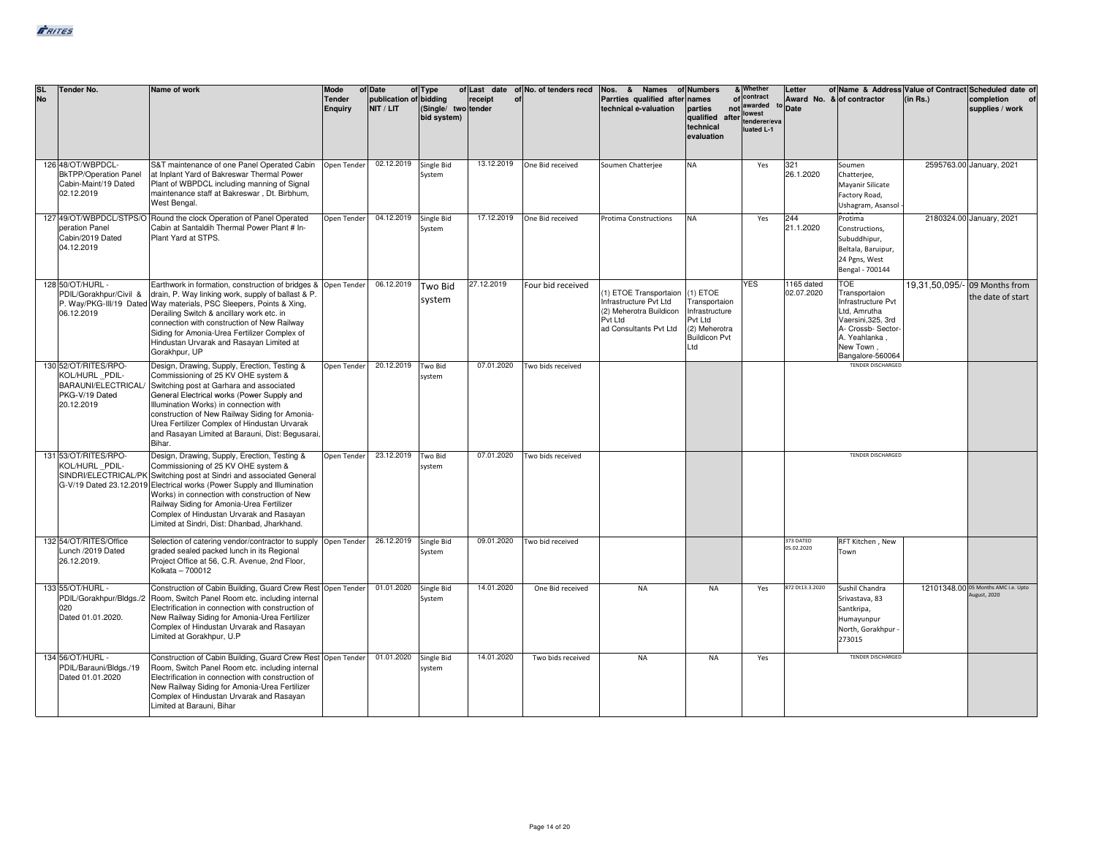| <b>SL</b><br><b>No</b> | <b>Tender No.</b>                                                                            | Name of work                                                                                                                                                                                                                                                                                                                                                                                                | Mode<br><b>Tender</b><br><b>Enquiry</b> | of Date<br>publication of bidding<br>NIT / LIT | of Type<br>(Single/ two tender<br>bid system) | receipt<br>of | of Last date of No. of tenders recd | Nos. & Names of Numbers<br>Parrties qualified after names<br>technical e-valuation                              | parties<br>qualified<br>after<br>technical<br>evaluation                                                 | & Whether<br>of contract<br>not awarded<br>lowest<br>tenderer/eva<br>luated L-1 | Letter<br>to Date        | of Name & Address Value of Contract Scheduled date of<br>Award No. & of contractor                                                                              | (in Rs.) | completion<br>supplies / work                      |
|------------------------|----------------------------------------------------------------------------------------------|-------------------------------------------------------------------------------------------------------------------------------------------------------------------------------------------------------------------------------------------------------------------------------------------------------------------------------------------------------------------------------------------------------------|-----------------------------------------|------------------------------------------------|-----------------------------------------------|---------------|-------------------------------------|-----------------------------------------------------------------------------------------------------------------|----------------------------------------------------------------------------------------------------------|---------------------------------------------------------------------------------|--------------------------|-----------------------------------------------------------------------------------------------------------------------------------------------------------------|----------|----------------------------------------------------|
|                        | 126 48/OT/WBPDCL-<br><b>BkTPP/Operation Panel</b><br>Cabin-Maint/19 Dated<br>02.12.2019      | S&T maintenance of one Panel Operated Cabin<br>at Inplant Yard of Bakreswar Thermal Power<br>Plant of WBPDCL including manning of Signal<br>maintenance staff at Bakreswar, Dt. Birbhum,<br>West Bengal.                                                                                                                                                                                                    | Open Tender                             | 02.12.2019                                     | Single Bid<br>System                          | 13.12.2019    | One Bid received                    | Soumen Chatterjee                                                                                               | <b>NA</b>                                                                                                | Yes                                                                             | 321<br>26.1.2020         | Soumen<br>Chatterjee,<br>Mayanir Silicate<br>Factory Road,<br>Ushagram, Asansol                                                                                 |          | 2595763.00 January, 2021                           |
|                        | peration Panel<br>Cabin/2019 Dated<br>04.12.2019                                             | 127 49/OT/WBPDCL/STPS/O Round the clock Operation of Panel Operated<br>Cabin at Santaldih Thermal Power Plant # In-<br>Plant Yard at STPS.                                                                                                                                                                                                                                                                  | Open Tender                             | 04.12.2019                                     | Single Bid<br>System                          | 17.12.2019    | One Bid received                    | Protima Constructions                                                                                           | <b>NA</b>                                                                                                | Yes                                                                             | 244<br>21.1.2020         | Protima<br>Constructions,<br>Subuddhipur,<br>Beltala, Baruipur,<br>24 Pgns, West<br>Bengal - 700144                                                             |          | 2180324.00 January, 2021                           |
|                        | 128 50/OT/HURL -<br>PDIL/Gorakhpur/Civil &<br>06.12.2019                                     | Earthwork in formation, construction of bridges & Open Tender<br>drain, P. Way linking work, supply of ballast & P.<br>P. Way/PKG-III/19 Dated Way materials, PSC Sleepers, Points & Xing,<br>Derailing Switch & ancillary work etc. in<br>connection with construction of New Railway<br>Siding for Amonia-Urea Fertilizer Complex of<br>Hindustan Urvarak and Rasayan Limited at<br>Gorakhpur, UP         |                                         | 06.12.2019                                     | <b>Two Bid</b><br>system                      | 27.12.2019    | Four bid received                   | 1) ETOE Transportaion<br>Infrastructure Pvt Ltd<br>(2) Meherotra Buildicon<br>Pvt Ltd<br>ad Consultants Pvt Ltd | $(1)$ ETOE<br>Transportaion<br>Infrastructure<br>Pvt Ltd<br>(2) Meherotra<br><b>Buildicon Pvt</b><br>Ltd | <b>YES</b>                                                                      | 1165 dated<br>02.07.2020 | <b>TOE</b><br>Transportaion<br>Infrastructure Pvt<br>Ltd, Amrutha<br>Vaersini, 325, 3rd<br>A- Crossb- Sector-<br>A. Yeahlanka,<br>New Town,<br>Bangalore-560064 |          | 19,31,50,095/- 09 Months from<br>the date of start |
|                        | 130 52/OT/RITES/RPO-<br>KOL/HURL PDIL-<br>BARAUNI/ELECTRICAL<br>PKG-V/19 Dated<br>20.12.2019 | Design, Drawing, Supply, Erection, Testing &<br>Commissioning of 25 KV OHE system &<br>Switching post at Garhara and associated<br>General Electrical works (Power Supply and<br>Illumination Works) in connection with<br>construction of New Railway Siding for Amonia-<br>Urea Fertilizer Complex of Hindustan Urvarak<br>and Rasayan Limited at Barauni, Dist: Begusarai,<br>Bihar.                     | Open Tender                             | 20.12.2019                                     | Two Bid<br>system                             | 07.01.2020    | Two bids received                   |                                                                                                                 |                                                                                                          |                                                                                 |                          | <b>TENDER DISCHARGED</b>                                                                                                                                        |          |                                                    |
|                        | 131 53/OT/RITES/RPO-<br>KOL/HURL PDIL-<br>SINDRI/ELECTRICAL/PK                               | Design, Drawing, Supply, Erection, Testing &<br>Commissioning of 25 KV OHE system &<br>Switching post at Sindri and associated General<br>G-V/19 Dated 23.12.2019 Electrical works (Power Supply and Illumination<br>Works) in connection with construction of New<br>Railway Siding for Amonia-Urea Fertilizer<br>Complex of Hindustan Urvarak and Rasayan<br>Limited at Sindri, Dist: Dhanbad, Jharkhand, | Open Tender                             | 23.12.2019                                     | Two Bid<br>system                             | 07.01.2020    | Two bids received                   |                                                                                                                 |                                                                                                          |                                                                                 |                          | <b>TENDER DISCHARGED</b>                                                                                                                                        |          |                                                    |
|                        | 132 54/OT/RITES/Office<br>Lunch /2019 Dated<br>26.12.2019.                                   | Selection of catering vendor/contractor to supply  Open Tender<br>graded sealed packed lunch in its Regional<br>Project Office at 56, C.R. Avenue, 2nd Floor,<br>Kolkata - 700012                                                                                                                                                                                                                           |                                         | 26.12.2019                                     | Single Bid<br>System                          | 09.01.2020    | Two bid received                    |                                                                                                                 |                                                                                                          |                                                                                 | 373 DATED<br>05.02.2020  | RFT Kitchen, New<br>Town                                                                                                                                        |          |                                                    |
|                        | 133 55/OT/HURL -<br>PDIL/Gorakhpur/Bldgs./2<br>020<br>Dated 01.01.2020.                      | Construction of Cabin Building, Guard Crew Rest Open Tender<br>Room, Switch Panel Room etc. including internal<br>Electrification in connection with construction of<br>New Railway Siding for Amonia-Urea Fertilizer<br>Complex of Hindustan Urvarak and Rasayan<br>Limited at Gorakhpur, U.P                                                                                                              |                                         | 01.01.2020                                     | Single Bid<br>System                          | 14.01.2020    | One Bid received                    | <b>NA</b>                                                                                                       | <b>NA</b>                                                                                                | Yes                                                                             | 872 Dt13.3.2020          | Sushil Chandra<br>Srivastava, 83<br>Santkripa,<br>Humayunpur<br>North, Gorakhpur -<br>273015                                                                    |          | 12101348.00 05 Months AMC i.e. Upto<br>ugust, 2020 |
|                        | 134 56/OT/HURL -<br>PDIL/Barauni/Bldgs./19<br>Dated 01.01.2020                               | Construction of Cabin Building, Guard Crew Rest Open Tender<br>Room, Switch Panel Room etc. including internal<br>Electrification in connection with construction of<br>New Railway Siding for Amonia-Urea Fertilizer<br>Complex of Hindustan Urvarak and Rasayan<br>Limited at Barauni, Bihar                                                                                                              |                                         | 01.01.2020                                     | Single Bid<br>system                          | 14.01.2020    | Two bids received                   | <b>NA</b>                                                                                                       | <b>NA</b>                                                                                                | Yes                                                                             |                          | <b>TENDER DISCHARGED</b>                                                                                                                                        |          |                                                    |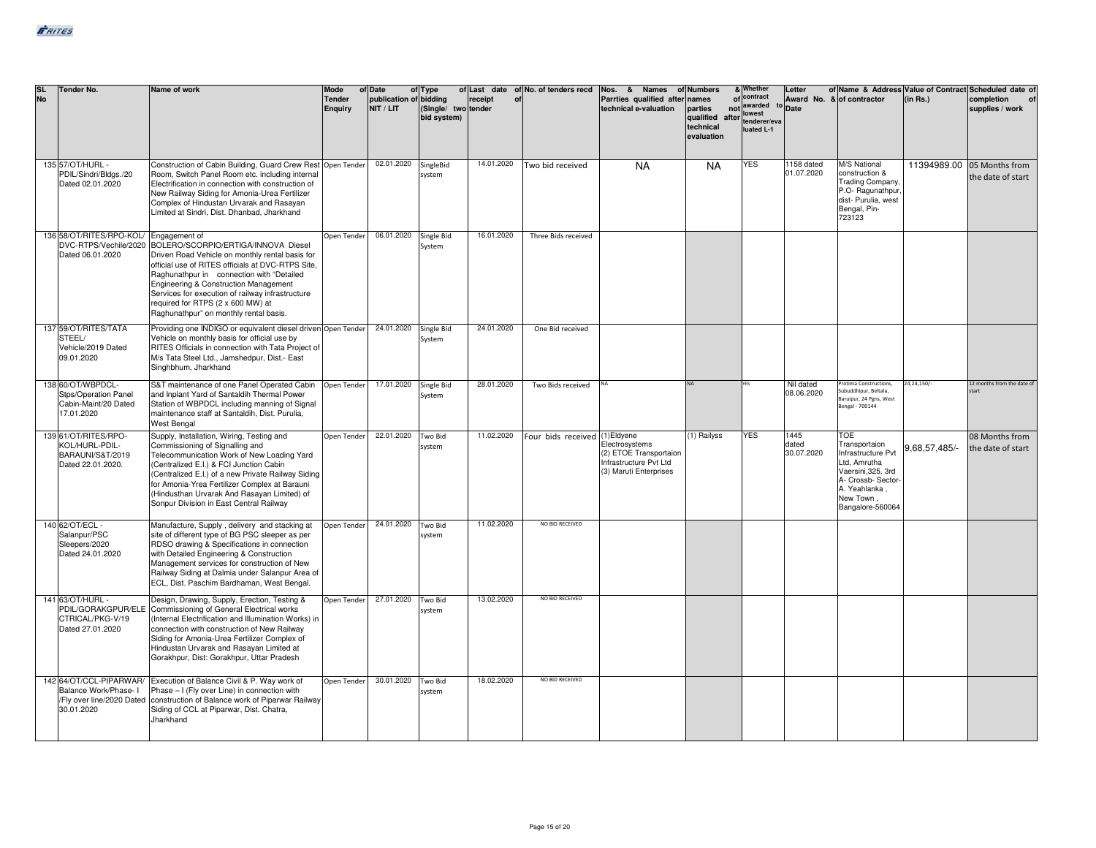| <b>SL</b><br><b>No</b> | Tender No.                                                                                  | Name of work                                                                                                                                                                                                                                                                                                                                                           | Mode<br><b>Tender</b><br><b>Enquiry</b> | of Date<br>publication of bidding<br>NIT / LIT | of Type<br>(Single/ two tender<br>bid system) | receipt<br>of | of Last date of No. of tenders recd | Nos. & Names<br>Parrties qualified after<br>technical e-valuation                            | of Numbers<br>names<br>parties<br>qualified after lowest<br>technical<br>evaluation | & Whether<br>of contract<br>not awarded<br>tenderer/eva<br>luated L-1 | Letter<br><sup>to</sup> Date | Award No. & of contractor                                                                                                                                      | (in Rs.)      | of Name & Address Value of Contract Scheduled date of<br>completion<br>supplies / work |
|------------------------|---------------------------------------------------------------------------------------------|------------------------------------------------------------------------------------------------------------------------------------------------------------------------------------------------------------------------------------------------------------------------------------------------------------------------------------------------------------------------|-----------------------------------------|------------------------------------------------|-----------------------------------------------|---------------|-------------------------------------|----------------------------------------------------------------------------------------------|-------------------------------------------------------------------------------------|-----------------------------------------------------------------------|------------------------------|----------------------------------------------------------------------------------------------------------------------------------------------------------------|---------------|----------------------------------------------------------------------------------------|
|                        | 135 57/OT/HURL -<br>PDIL/Sindri/Bldgs./20<br>Dated 02.01.2020                               | Construction of Cabin Building, Guard Crew Rest Open Tender<br>Room, Switch Panel Room etc. including internal<br>Electrification in connection with construction of<br>New Railway Siding for Amonia-Urea Fertilizer<br>Complex of Hindustan Urvarak and Rasayan<br>Limited at Sindri, Dist. Dhanbad, Jharkhand                                                       |                                         | 02.01.2020                                     | SingleBid<br>system                           | 14.01.2020    | Two bid received                    | <b>NA</b>                                                                                    | <b>NA</b>                                                                           | <b>YES</b>                                                            | 1158 dated<br>01.07.2020     | <b>M/S National</b><br>construction &<br><b>Trading Company,</b><br>P.O-Ragunathpur<br>dist- Purulia, west<br>Bengal, Pin-<br>723123                           |               | 11394989.00 05 Months from<br>the date of start                                        |
|                        | 136 58/OT/RITES/RPO-KOL/ Engagement of<br>DVC-RTPS/Vechile/2020<br>Dated 06.01.2020         | BOLERO/SCORPIO/ERTIGA/INNOVA Diesel<br>Driven Road Vehicle on monthly rental basis for<br>official use of RITES officials at DVC-RTPS Site.<br>Raghunathpur in connection with "Detailed<br>Engineering & Construction Management<br>Services for execution of railway infrastructure<br>required for RTPS (2 x 600 MW) at<br>Raghunathpur" on monthly rental basis.   | Open Tender                             | 06.01.2020                                     | Single Bid<br>System                          | 16.01.2020    | Three Bids received                 |                                                                                              |                                                                                     |                                                                       |                              |                                                                                                                                                                |               |                                                                                        |
|                        | 137 59/OT/RITES/TATA<br>STEEL/<br>Vehicle/2019 Dated<br>09.01.2020                          | Providing one INDIGO or equivalent diesel driven Open Tender<br>Vehicle on monthly basis for official use by<br>RITES Officials in connection with Tata Project of<br>M/s Tata Steel Ltd., Jamshedpur, Dist.- East<br>Singhbhum, Jharkhand                                                                                                                             |                                         | 24.01.2020                                     | Single Bid<br>System                          | 24.01.2020    | One Bid received                    |                                                                                              |                                                                                     |                                                                       |                              |                                                                                                                                                                |               |                                                                                        |
|                        | 138 60/OT/WBPDCL-<br>Stps/Operation Panel<br>Cabin-Maint/20 Dated<br>17.01.2020             | S&T maintenance of one Panel Operated Cabin<br>and Inplant Yard of Santaldih Thermal Power<br>Station of WBPDCL including manning of Signal<br>maintenance staff at Santaldih, Dist. Purulia,<br>West Bengal                                                                                                                                                           | Open Tender                             | 17.01.2020                                     | Single Bid<br>System                          | 28.01.2020    | Two Bids received                   |                                                                                              |                                                                                     |                                                                       | Nil dated<br>08.06.2020      | Protima Constructions,<br>Subuddhipur, Beltala,<br>Baruipur, 24 Pgns, West<br>Bengal - 700144                                                                  | 24,24,150/-   | 12 months from the date of<br>start                                                    |
|                        | 139 61/OT/RITES/RPO-<br>KOL/HURL-PDIL-<br>BARAUNI/S&T/2019<br>Dated 22.01.2020.             | Supply, Installation, Wiring, Testing and<br>Commissioning of Signalling and<br>Telecommunication Work of New Loading Yard<br>(Centralized E.I.) & FCI Junction Cabin<br>(Centralized E.I.) of a new Private Railway Siding<br>for Amonia-Yrea Fertilizer Complex at Barauni<br>(Hindusthan Urvarak And Rasayan Limited) of<br>Sonpur Division in East Central Railway | Open Tender                             | 22.01.2020                                     | Two Bid<br>system                             | 11.02.2020    | Four bids received (1) Eldyene      | Electrosystems<br>(2) ETOE Transportaion<br>Infrastructure Pvt Ltd<br>(3) Maruti Enterprises | (1) Railyss                                                                         | <b>YES</b>                                                            | 1445<br>dated<br>30.07.2020  | <b>TOE</b><br>Transportaion<br>Infrastructure Pvt<br>Ltd. Amrutha<br>Vaersini, 325, 3rd<br>A- Crossb- Sector-<br>A. Yeahlanka<br>New Town.<br>Bangalore-560064 | 9,68,57,485/- | 08 Months from<br>the date of start                                                    |
|                        | 140 62/OT/ECL -<br>Salanpur/PSC<br>Sleepers/2020<br>Dated 24.01.2020                        | Manufacture, Supply, delivery and stacking at<br>site of different type of BG PSC sleeper as per<br>RDSO drawing & Specifications in connection<br>with Detailed Engineering & Construction<br>Management services for construction of New<br>Railway Siding at Dalmia under Salanpur Area of<br>ECL, Dist. Paschim Bardhaman, West Bengal.                            | Open Tender                             | 24.01.2020                                     | Two Bid<br>system                             | 11.02.2020    | NO BID RECEIVED                     |                                                                                              |                                                                                     |                                                                       |                              |                                                                                                                                                                |               |                                                                                        |
|                        | 141 63/OT/HURL -<br>PDIL/GORAKGPUR/ELE<br>CTRICAL/PKG-V/19<br>Dated 27.01.2020              | Design, Drawing, Supply, Erection, Testing &<br>Commissioning of General Electrical works<br>(Internal Electrification and Illumination Works) in<br>connection with construction of New Railway<br>Siding for Amonia-Urea Fertilizer Complex of<br>Hindustan Urvarak and Rasayan Limited at<br>Gorakhpur, Dist: Gorakhpur, Uttar Pradesh                              | Open Tender                             | 27.01.2020                                     | Two Bid<br>system                             | 13.02.2020    | NO BID RECEIVED                     |                                                                                              |                                                                                     |                                                                       |                              |                                                                                                                                                                |               |                                                                                        |
|                        | 142 64/OT/CCL-PIPARWAR/<br>Balance Work/Phase- I<br>/Fly over line/2020 Dated<br>30.01.2020 | Execution of Balance Civil & P. Way work of<br>Phase - I (Fly over Line) in connection with<br>construction of Balance work of Piparwar Railway<br>Siding of CCL at Piparwar, Dist. Chatra,<br>Jharkhand                                                                                                                                                               | Open Tender                             | 30.01.2020                                     | Two Bid<br>system                             | 18.02.2020    | NO BID RECEIVED                     |                                                                                              |                                                                                     |                                                                       |                              |                                                                                                                                                                |               |                                                                                        |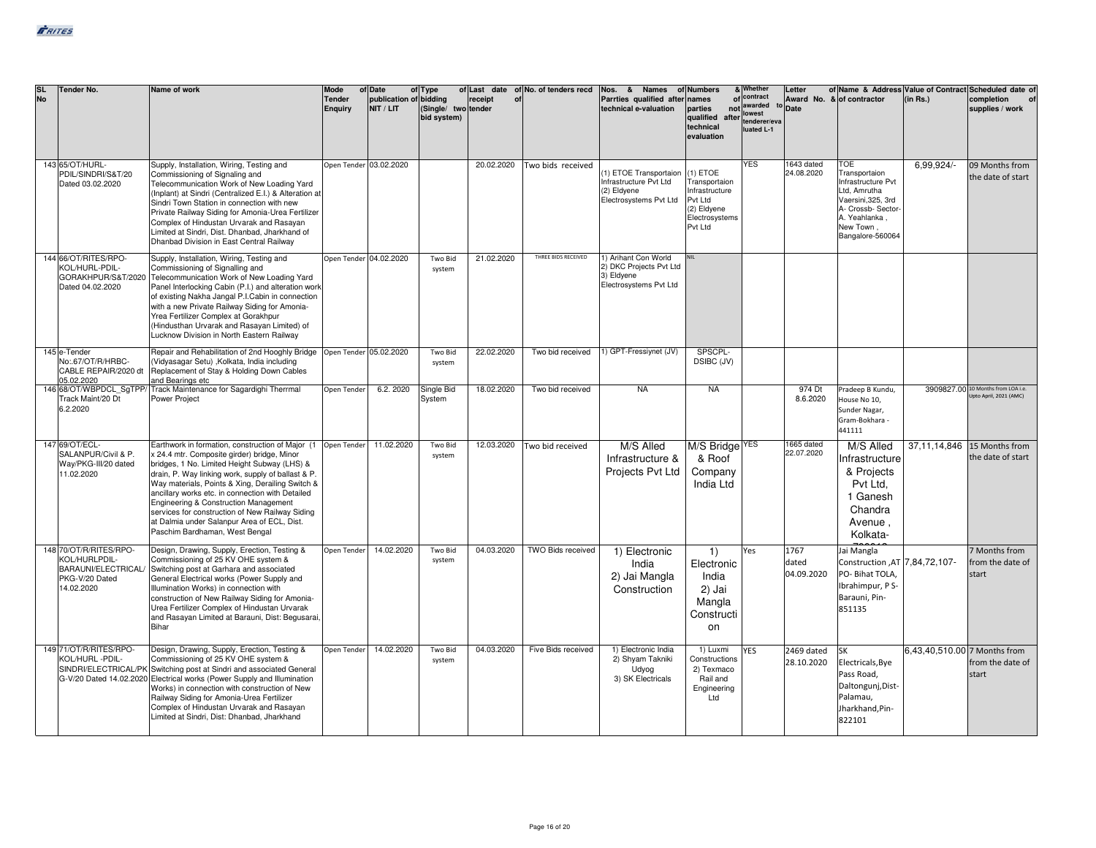| <b>SL</b><br><b>No</b> | <b>Tender No.</b>                                                                             | Name of work                                                                                                                                                                                                                                                                                                                                                                                                                                                                                               | Mode<br><b>Tender</b><br><b>Enquiry</b> | of Date<br>publication of bidding<br>NIT / LIT | of Type<br>(Single/ two tender<br>bid system) | receipt<br>of | of Last date of No. of tenders recd | Nos. & Names<br>Parrties qualified after<br>technical e-valuation                        | of Numbers<br>names<br>parties<br>qualified<br>after<br>technical<br>evaluation                      | & Whether<br>of contract<br>not awarded<br>lowest<br>tenderer/eva<br>luated L-1 | Letter<br>Award No. & of contractor<br><sup>to</sup> Date |                                                                                                                                                                 | (in Rs.)                     | of Name & Address Value of Contract Scheduled date of<br>completion<br>supplies / work |
|------------------------|-----------------------------------------------------------------------------------------------|------------------------------------------------------------------------------------------------------------------------------------------------------------------------------------------------------------------------------------------------------------------------------------------------------------------------------------------------------------------------------------------------------------------------------------------------------------------------------------------------------------|-----------------------------------------|------------------------------------------------|-----------------------------------------------|---------------|-------------------------------------|------------------------------------------------------------------------------------------|------------------------------------------------------------------------------------------------------|---------------------------------------------------------------------------------|-----------------------------------------------------------|-----------------------------------------------------------------------------------------------------------------------------------------------------------------|------------------------------|----------------------------------------------------------------------------------------|
|                        | 143 65/OT/HURL-<br>PDIL/SINDRI/S&T/20<br>Dated 03.02.2020                                     | Supply, Installation, Wiring, Testing and<br>Commissioning of Signaling and<br>Telecommunication Work of New Loading Yard<br>(Inplant) at Sindri (Centralized E.I.) & Alteration at<br>Sindri Town Station in connection with new<br>Private Railway Siding for Amonia-Urea Fertilizer<br>Complex of Hindustan Urvarak and Rasayan<br>Limited at Sindri, Dist. Dhanbad, Jharkhand of<br>Dhanbad Division in East Central Railway                                                                           | Open Tender 03.02.2020                  |                                                |                                               | 20.02.2020    | Two bids received                   | 1) ETOE Transportaion<br>Infrastructure Pvt Ltd<br>(2) Eldyene<br>Electrosystems Pvt Ltd | $(1)$ ETOE<br>Transportaion<br>Infrastructure<br>Pvt Ltd<br>(2) Eldyene<br>Electrosystems<br>Pvt Ltd | <b>YES</b>                                                                      | 1643 dated<br>24.08.2020                                  | <b>TOE</b><br>Transportaion<br>Infrastructure Pvt<br>Ltd, Amrutha<br>Vaersini, 325, 3rd<br>A- Crossb- Sector-<br>A. Yeahlanka.<br>New Town,<br>Bangalore-560064 | 6.99.924/-                   | 09 Months from<br>the date of start                                                    |
|                        | 144 66/OT/RITES/RPO-<br>KOL/HURL-PDIL-<br>GORAKHPUR/S&T/2020<br>Dated 04.02.2020              | Supply, Installation, Wiring, Testing and<br>Commissioning of Signalling and<br>Telecommunication Work of New Loading Yard<br>Panel Interlocking Cabin (P.I.) and alteration work<br>of existing Nakha Jangal P.I.Cabin in connection<br>with a new Private Railway Siding for Amonia-<br>Yrea Fertilizer Complex at Gorakhpur<br>(Hindusthan Urvarak and Rasayan Limited) of<br>Lucknow Division in North Eastern Railway                                                                                 | Open Tender 04.02.2020                  |                                                | Two Bid<br>system                             | 21.02.2020    | THREE BIDS RECEIVED                 | 1) Arihant Con World<br>2) DKC Projects Pvt Ltd<br>3) Eldyene<br>Electrosystems Pvt Ltd  |                                                                                                      |                                                                                 |                                                           |                                                                                                                                                                 |                              |                                                                                        |
|                        | 145 e-Tender<br>No:.67/OT/R/HRBC-<br>CABLE REPAIR/2020 dt<br>05.02.2020                       | Repair and Rehabilitation of 2nd Hooghly Bridge<br>(Vidyasagar Setu) , Kolkata, India including<br>Replacement of Stay & Holding Down Cables<br>and Bearings etc                                                                                                                                                                                                                                                                                                                                           | Open Tender 05.02.2020                  |                                                | Two Bid<br>system                             | 22.02.2020    | Two bid received                    | 1) GPT-Fressiynet (JV)                                                                   | SPSCPL-<br>DSIBC (JV)                                                                                |                                                                                 |                                                           |                                                                                                                                                                 |                              |                                                                                        |
|                        | Track Maint/20 Dt<br>6.2.2020                                                                 | 146 68/OT/WBPDCL_SgTPP/ Track Maintenance for Sagardighi Therrmal<br>Power Project                                                                                                                                                                                                                                                                                                                                                                                                                         | Open Tender                             | 6.2.2020                                       | Single Bid<br>System                          | 18.02.2020    | Two bid received                    | <b>NA</b>                                                                                | <b>NA</b>                                                                                            |                                                                                 | 974 Dt<br>8.6.2020                                        | Pradeep B Kundu,<br>House No 10,<br>Sunder Nagar,<br>Gram-Bokhara -<br>441111                                                                                   |                              | 3909827.00 10 Months from LOA i.e.<br>Jpto April, 2021 (AMC)                           |
|                        | 147 69/OT/ECL-<br>SALANPUR/Civil & P.<br>Way/PKG-III/20 dated<br>11.02.2020                   | Earthwork in formation, construction of Major (1   Open Tender  <br>x 24.4 mtr. Composite girder) bridge, Minor<br>bridges, 1 No. Limited Height Subway (LHS) &<br>drain, P. Way linking work, supply of ballast & P.<br>Way materials, Points & Xing, Derailing Switch &<br>ancillary works etc. in connection with Detailed<br>Engineering & Construction Management<br>services for construction of New Railway Siding<br>at Dalmia under Salanpur Area of ECL, Dist.<br>Paschim Bardhaman, West Bengal |                                         | 11.02.2020                                     | Two Bid<br>system                             | 12.03.2020    | Two bid received                    | M/S Alled<br>Infrastructure &<br>Projects Pvt Ltd                                        | M/S Bridge <sup>YES</sup><br>& Roof<br>Company<br>India Ltd                                          |                                                                                 | 1665 dated<br>22.07.2020                                  | M/S Alled<br>Infrastructure<br>& Projects<br>Pvt Ltd.<br>1 Ganesh<br>Chandra<br>Avenue,<br>Kolkata-                                                             |                              | 37,11,14,846 15 Months from<br>the date of start                                       |
|                        | 148 70/OT/R/RITES/RPO-<br>KOL/HURLPDIL-<br>BARAUNI/ELECTRICAL<br>PKG-V/20 Dated<br>14.02.2020 | Design, Drawing, Supply, Erection, Testing &<br>Commissioning of 25 KV OHE system &<br>Switching post at Garhara and associated<br>General Electrical works (Power Supply and<br>Illumination Works) in connection with<br>construction of New Railway Siding for Amonia-<br>Urea Fertilizer Complex of Hindustan Urvarak<br>and Rasayan Limited at Barauni, Dist: Begusarai,<br>Bihar                                                                                                                     | Open Tender                             | 14.02.2020                                     | Two Bid<br>system                             | 04.03.2020    | TWO Bids received                   | 1) Electronic<br>India<br>2) Jai Mangla<br>Construction                                  | 1)<br>Electronic<br>India<br>2) Jai<br>Mangla<br>Constructi<br>on                                    | Yes                                                                             | 1767<br>dated<br>04.09.2020                               | Jai Mangla<br>Construction ,AT 7,84,72,107-<br>PO- Bihat TOLA,<br>Ibrahimpur, P S-<br>Barauni, Pin-<br>851135                                                   |                              | 7 Months from<br>from the date of<br>start                                             |
|                        | 149 71/OT/R/RITES/RPO-<br>KOL/HURL-PDIL-                                                      | Design, Drawing, Supply, Erection, Testing &<br>Commissioning of 25 KV OHE system &<br>SINDRI/ELECTRICAL/PK Switching post at Sindri and associated General<br>G-V/20 Dated 14.02.2020 Electrical works (Power Supply and Illumination<br>Works) in connection with construction of New<br>Railway Siding for Amonia-Urea Fertilizer<br>Complex of Hindustan Urvarak and Rasayan<br>Limited at Sindri, Dist: Dhanbad, Jharkhand                                                                            | Open Tender                             | 14.02.2020                                     | Two Bid<br>system                             | 04.03.2020    | Five Bids received                  | 1) Electronic India<br>2) Shyam Takniki<br>Udyog<br>3) SK Electricals                    | 1) Luxmi<br>Constructions<br>2) Texmaco<br>Rail and<br>Engineering<br>Ltd                            | <b>YES</b>                                                                      | 2469 dated<br>28.10.2020                                  | <b>SK</b><br>Electricals, Bye<br>Pass Road,<br>Daltongunj, Dist-<br>Palamau,<br>Jharkhand, Pin-<br>822101                                                       | 6,43,40,510.00 7 Months from | from the date of<br>start                                                              |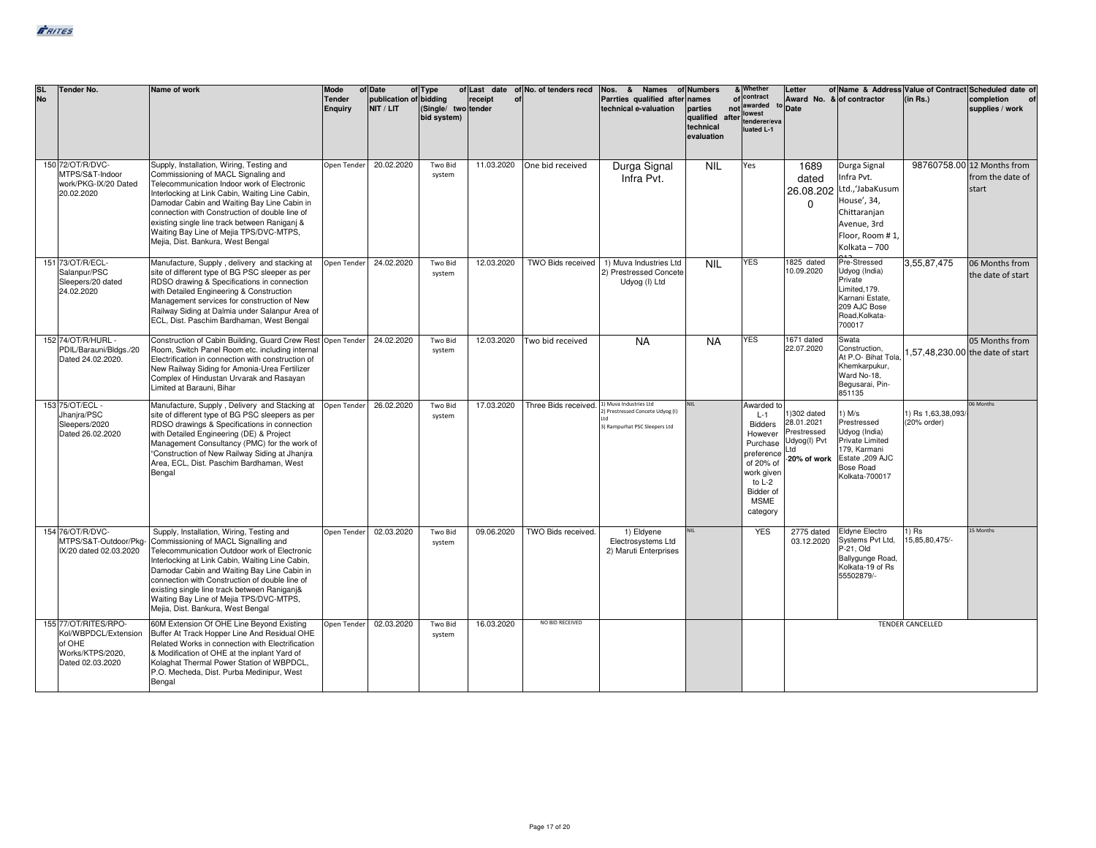| <b>SL</b><br><b>No</b> | Tender No.                                                                                     | Name of work                                                                                                                                                                                                                                                                                                                                                                                                          | Mode<br><b>Tender</b><br>Enguiry | of Date<br>publication of bidding<br>NIT / LIT | of Type<br>(Single/ two tender<br>bid system) | receipt<br>of | of Last date of No. of tenders recd         | Nos. & Names of Numbers<br>Parrties qualified after names<br>technical e-valuation | parties<br>qualified after<br>technical<br>evaluation | & Whether<br>of contract<br>not awarded<br>lowest<br>tenderer/eva<br>luated L-1                                                                         | Letter<br>Award No. & of contractor<br><sup>to</sup> Date                |                                                                                                                                             | (in Rs.)                          | of Name & Address Value of Contract Scheduled date of<br>completion<br>supplies / work |
|------------------------|------------------------------------------------------------------------------------------------|-----------------------------------------------------------------------------------------------------------------------------------------------------------------------------------------------------------------------------------------------------------------------------------------------------------------------------------------------------------------------------------------------------------------------|----------------------------------|------------------------------------------------|-----------------------------------------------|---------------|---------------------------------------------|------------------------------------------------------------------------------------|-------------------------------------------------------|---------------------------------------------------------------------------------------------------------------------------------------------------------|--------------------------------------------------------------------------|---------------------------------------------------------------------------------------------------------------------------------------------|-----------------------------------|----------------------------------------------------------------------------------------|
|                        | 150 72/OT/R/DVC-<br>MTPS/S&T-Indoor<br>work/PKG-IX/20 Dated<br>20.02.2020                      | Supply, Installation, Wiring, Testing and<br>Commissioning of MACL Signaling and<br>Telecommunication Indoor work of Electronic<br>Interlocking at Link Cabin, Waiting Line Cabin,<br>Damodar Cabin and Waiting Bay Line Cabin in<br>connection with Construction of double line of<br>existing single line track between Raniganj &<br>Waiting Bay Line of Mejia TPS/DVC-MTPS,<br>Mejia, Dist. Bankura, West Bengal  | Open Tender                      | 20.02.2020                                     | Two Bid<br>system                             | 11.03.2020    | One bid received                            | Durga Signal<br>Infra Pvt.                                                         | <b>NIL</b>                                            | Yes                                                                                                                                                     | 1689<br>dated<br>26.08.202<br>$\Omega$                                   | Durga Signal<br>Infra Pvt.<br>Ltd., JabaKusum<br>House', 34,<br>Chittaranjan<br>Avenue, 3rd<br>Floor, Room #1,<br>Kolkata - 700             |                                   | 98760758.00 12 Months from<br>from the date of<br>start                                |
|                        | 151 73/OT/R/ECL-<br>Salanpur/PSC<br>Sleepers/20 dated<br>24.02.2020                            | Manufacture, Supply, delivery and stacking at<br>site of different type of BG PSC sleeper as per<br>RDSO drawing & Specifications in connection<br>with Detailed Engineering & Construction<br>Management services for construction of New<br>Railway Siding at Dalmia under Salanpur Area of<br>ECL, Dist. Paschim Bardhaman, West Bengal                                                                            | Open Tender                      | 24.02.2020                                     | Two Bid<br>system                             | 12.03.2020    | TWO Bids received                           | 1) Muva Industries Ltd<br>2) Prestressed Concete<br>Udyog (I) Ltd                  | <b>NIL</b>                                            | <b>YES</b>                                                                                                                                              | 1825 dated<br>10.09.2020                                                 | Pre-Stressed<br>Udyog (India)<br>Private<br>Limited, 179.<br>Karnani Estate,<br>209 AJC Bose<br>Road.Kolkata-<br>700017                     | 3,55,87,475                       | 06 Months from<br>the date of start                                                    |
|                        | 152 74/OT/R/HURL -<br>PDIL/Barauni/Bldgs./20<br>Dated 24.02.2020.                              | Construction of Cabin Building, Guard Crew Rest Open Tender<br>Room, Switch Panel Room etc. including internal<br>Electrification in connection with construction of<br>New Railway Siding for Amonia-Urea Fertilizer<br>Complex of Hindustan Urvarak and Rasayan<br>Limited at Barauni, Bihar                                                                                                                        |                                  | 24.02.2020                                     | Two Bid<br>system                             | 12.03.2020    | Two bid received                            | <b>NA</b>                                                                          | <b>NA</b>                                             | <b>YES</b>                                                                                                                                              | 1671 dated<br>22.07.2020                                                 | Swata<br>Construction.<br>At P.O- Bihat Tola.<br>Khemkarpukur,<br>Ward No-18,<br>Begusarai, Pin-<br>851135                                  |                                   | 05 Months from<br>1,57,48,230.00 the date of start                                     |
|                        | 153 75/OT/ECL -<br>Jhanjra/PSC<br>Sleepers/2020<br>Dated 26.02.2020                            | Manufacture, Supply, Delivery and Stacking at<br>site of different type of BG PSC sleepers as per<br>RDSO drawings & Specifications in connection<br>with Detailed Engineering (DE) & Project<br>Management Consultancy (PMC) for the work of<br>"Construction of New Railway Siding at Jhanjra<br>Area, ECL, Dist. Paschim Bardhaman, West<br>Bengal                                                                 | Open Tender                      | 26.02.2020                                     | Two Bid<br>system                             | 17.03.2020    | Three Bids received. 1) Muva Industries Ltd | ) Prestressed Concete Udyog (I)<br>3) Rampurhat PSC Sleepers Ltd                   | <b>NII</b>                                            | Awarded to<br>$L-1$<br><b>Bidders</b><br>However<br>Purchase<br>preference<br>of 20% of<br>work given<br>to L-2<br>Bidder of<br><b>MSME</b><br>category | 1)302 dated<br>28.01.2021<br>Prestressed<br>Udyog(I) Pvt<br>-20% of work | $1)$ M/s<br>Prestressed<br>Udyog (India)<br><b>Private Limited</b><br>179, Karmani<br>Estate ,209 AJC<br><b>Bose Road</b><br>Kolkata-700017 | 1) Rs 1,63,38,093/<br>(20% order) | 06 Months                                                                              |
|                        | 154 76/OT/R/DVC-<br>MTPS/S&T-Outdoor/Pkg-<br>IX/20 dated 02.03.2020                            | Supply, Installation, Wiring, Testing and<br>Commissioning of MACL Signalling and<br>Telecommunication Outdoor work of Electronic<br>Interlocking at Link Cabin, Waiting Line Cabin,<br>Damodar Cabin and Waiting Bay Line Cabin in<br>connection with Construction of double line of<br>existing single line track between Raniganj&<br>Waiting Bay Line of Mejia TPS/DVC-MTPS,<br>Mejia, Dist. Bankura, West Bengal | Open Tender                      | 02.03.2020                                     | Two Bid<br>system                             | 09.06.2020    | TWO Bids received.                          | 1) Eldyene<br>Electrosystems Ltd<br>2) Maruti Enterprises                          |                                                       | <b>YES</b>                                                                                                                                              | 2775 dated<br>03.12.2020                                                 | <b>Eldyne Electro</b><br>Systems Pvt Ltd,<br>P-21, Old<br>Ballygunge Road,<br>Kolkata-19 of Rs<br>55502879/-                                | $1)$ Rs<br>15,85,80,475/-         | 15 Months                                                                              |
|                        | 155 77/OT/RITES/RPO-<br>Kol/WBPDCL/Extension<br>of OHE<br>Works/KTPS/2020,<br>Dated 02.03.2020 | 60M Extension Of OHE Line Beyond Existing<br>Buffer At Track Hopper Line And Residual OHE<br>Related Works in connection with Electrification<br>& Modification of OHE at the inplant Yard of<br>Kolaghat Thermal Power Station of WBPDCL,<br>P.O. Mecheda, Dist. Purba Medinipur, West<br>Bengal                                                                                                                     | Open Tender                      | 02.03.2020                                     | Two Bid<br>system                             | 16.03.2020    | NO BID RECEIVED                             |                                                                                    |                                                       |                                                                                                                                                         |                                                                          |                                                                                                                                             | <b>TENDER CANCELLED</b>           |                                                                                        |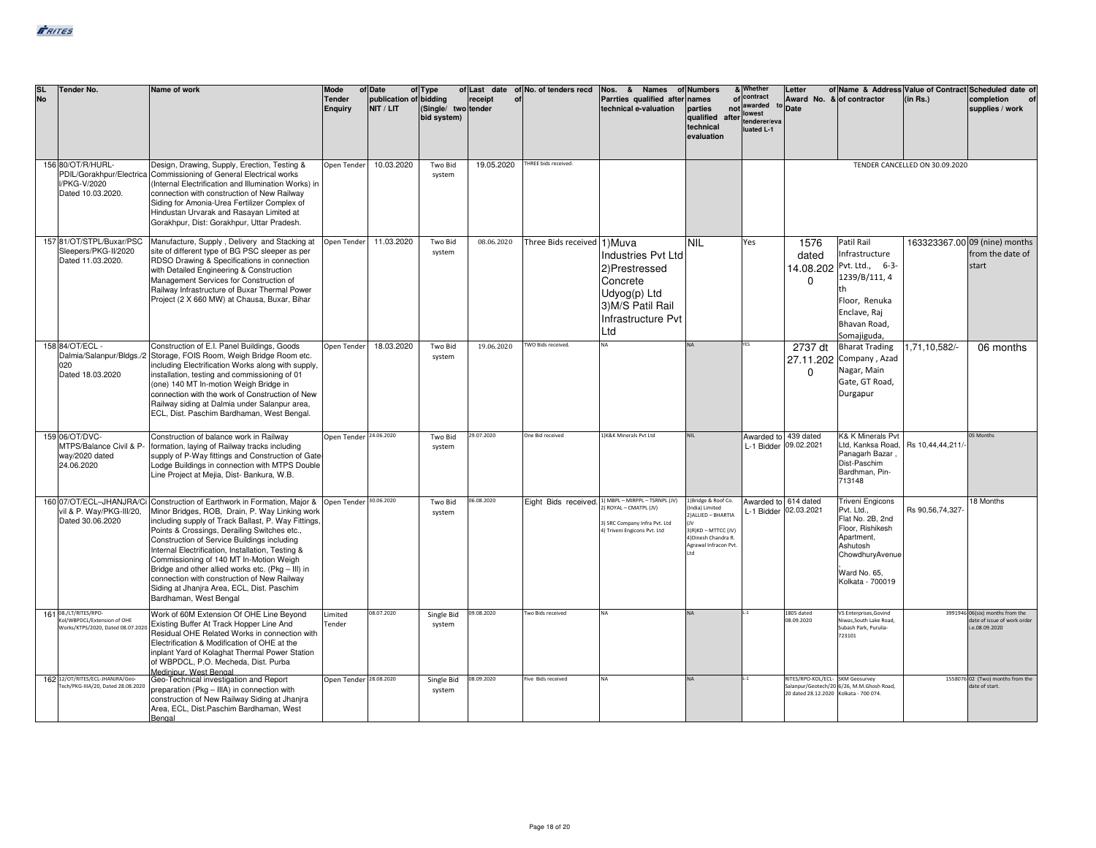| <b>SL</b><br><b>No</b> | <b>Tender No.</b>                                                                        | Name of work                                                                                                                                                                                                                                                                                                                                                                                                                                                                                                                                                 | <b>Mode</b><br><b>Tender</b><br>Enguiry | of Date<br>publication of bidding<br>NIT / LIT | of Type<br>(Single/ two tender<br>bid system) | receipt<br>of | of Last date of No. of tenders recd | Nos. & Names<br>Parrties qualified after<br>technical e-valuation                                                                    | of Numbers<br>names<br>parties<br>qualified<br>after<br>technical<br>evaluation                                                      | & Whether<br>of contract<br>not awarded<br>lowest<br>tenderer/eva<br>luated L-1 | Letter<br>to Date                                                          | of Name & Address Value of Contract Scheduled date of<br>Award No. & of contractor                                                                             | (in Rs.)                       | completion<br>supplies / work                                                  |
|------------------------|------------------------------------------------------------------------------------------|--------------------------------------------------------------------------------------------------------------------------------------------------------------------------------------------------------------------------------------------------------------------------------------------------------------------------------------------------------------------------------------------------------------------------------------------------------------------------------------------------------------------------------------------------------------|-----------------------------------------|------------------------------------------------|-----------------------------------------------|---------------|-------------------------------------|--------------------------------------------------------------------------------------------------------------------------------------|--------------------------------------------------------------------------------------------------------------------------------------|---------------------------------------------------------------------------------|----------------------------------------------------------------------------|----------------------------------------------------------------------------------------------------------------------------------------------------------------|--------------------------------|--------------------------------------------------------------------------------|
|                        | 156 80/OT/R/HURL-<br>//PKG-V/2020<br>Dated 10.03.2020.                                   | Design, Drawing, Supply, Erection, Testing &<br>PDIL/Gorakhpur/Electrica Commissioning of General Electrical works<br>(Internal Electrification and Illumination Works) in<br>connection with construction of New Railway<br>Siding for Amonia-Urea Fertilizer Complex of<br>Hindustan Urvarak and Rasayan Limited at<br>Gorakhpur, Dist: Gorakhpur, Uttar Pradesh.                                                                                                                                                                                          | Open Tender                             | 10.03.2020                                     | Two Bid<br>system                             | 19.05.2020    | HREE bids received.                 |                                                                                                                                      |                                                                                                                                      |                                                                                 |                                                                            |                                                                                                                                                                | TENDER CANCELLED ON 30.09.2020 |                                                                                |
|                        | 157 81/OT/STPL/Buxar/PSC<br>Sleepers/PKG-II/2020<br>Dated 11.03.2020.                    | Manufacture, Supply, Delivery and Stacking at<br>site of different type of BG PSC sleeper as per<br>RDSO Drawing & Specifications in connection<br>with Detailed Engineering & Construction<br>Management Services for Construction of<br>Railway Infrastructure of Buxar Thermal Power<br>Project (2 X 660 MW) at Chausa, Buxar, Bihar                                                                                                                                                                                                                      | Open Tender                             | 11.03.2020                                     | Two Bid<br>system                             | 08.06.2020    | Three Bids received 1) Muva         | <b>Industries Pvt Ltd</b><br>2)Prestressed<br>Concrete<br>Udyog(p) Ltd<br>3) M/S Patil Rail<br>Infrastructure Pvt<br>Ltd             | <b>NIL</b>                                                                                                                           | Yes                                                                             | 1576<br>dated<br>$\Omega$                                                  | Patil Rail<br>Infrastructure<br>14.08.202 Pvt. Ltd., 6-3-<br>1239/B/111, 4<br>Floor. Renuka<br>Enclave, Raj<br>Bhavan Road,<br>Somajiguda,                     |                                | 163323367.00 09 (nine) months<br>from the date of<br>start                     |
|                        | 158 84/OT/ECL -<br>020<br>Dated 18.03.2020                                               | Construction of E.I. Panel Buildings, Goods<br>Dalmia/Salanpur/Bldgs./2 Storage, FOIS Room, Weigh Bridge Room etc.<br>including Electrification Works along with supply,<br>installation, testing and commissioning of 01<br>(one) 140 MT In-motion Weigh Bridge in<br>connection with the work of Construction of New<br>Railway siding at Dalmia under Salanpur area,<br>ECL, Dist. Paschim Bardhaman, West Bengal.                                                                                                                                        | Open Tender                             | 18.03.2020                                     | Two Bid<br>system                             | 19.06.2020    | TWO Bids received.                  | NΔ                                                                                                                                   |                                                                                                                                      |                                                                                 | 2737 dt<br>$\Omega$                                                        | <b>Bharat Trading</b><br>27.11.202 Company, Azad<br>Nagar, Main<br>Gate, GT Road,<br>Durgapur                                                                  | 1,71,10,582/-                  | 06 months                                                                      |
|                        | 159 06/OT/DVC-<br>MTPS/Balance Civil & P-<br>way/2020 dated<br>24.06.2020                | Construction of balance work in Railway<br>formation, laying of Railway tracks including<br>supply of P-Way fittings and Construction of Gate<br>Lodge Buildings in connection with MTPS Double<br>Line Project at Mejia, Dist- Bankura, W.B.                                                                                                                                                                                                                                                                                                                | Open Tender 24.06.2020                  |                                                | Two Bid<br>system                             | 29.07.2020    | One Bid received                    | 1) K&K Minerals Pvt Ltd                                                                                                              |                                                                                                                                      | Awarded to 439 dated<br>L-1 Bidder 09.02.2021                                   |                                                                            | K& K Minerals Pvt<br>Ltd, Kanksa Road, Rs 10,44,44,211/<br>Panagarh Bazar,<br>Dist-Paschim<br>Bardhman, Pin-<br>713148                                         |                                | 05 Months                                                                      |
|                        | vil & P. Way/PKG-III/20,<br>Dated 30.06.2020                                             | 160 07/OT/ECL-JHANJRA/Ci Construction of Earthwork in Formation, Major &<br>Minor Bridges, ROB, Drain, P. Way Linking work<br>including supply of Track Ballast, P. Way Fittings,<br>Points & Crossings, Derailing Switches etc.,<br>Construction of Service Buildings including<br>Internal Electrification, Installation, Testing &<br>Commissioning of 140 MT In-Motion Weigh<br>Bridge and other allied works etc. (Pkg - III) in<br>connection with construction of New Railway<br>Siding at Jhanjra Area, ECL, Dist. Paschim<br>Bardhaman, West Bengal | Open Tender 30.06.2020                  |                                                | Two Bid<br>system                             | 06.08.2020    |                                     | Eight Bids received. 1) MBPL-MIRPPL-TSRNPL (JV)<br>ROYAL - CMATPL (JV)<br>3) SRC Company Infra Pvt. Ltd<br>Triveni Engicons Pvt. Ltd | L)Bridge & Roof Co.<br>India) Limited<br>2) ALLIED - BHARTIA<br>3)R)KD - MTTCC (JV)<br>4) Dinesh Chandra R.<br>Agrawal Infracon Pyt. | Awarded to 614 dated<br>L-1 Bidder 02.03.2021                                   |                                                                            | <b>Triveni Engicons</b><br>Pvt. Ltd.,<br>Flat No. 2B, 2nd<br>Floor, Rishikesh<br>Apartment.<br>Ashutosh<br>ChowdhuryAvenue<br>Ward No. 65.<br>Kolkata - 700019 | Rs 90,56,74,327                | 18 Months                                                                      |
|                        | 161 08./LT/RITES/RPO-<br>(ol/WBPDCL/Extension of OHE<br>Works/KTPS/2020, Dated 08.07.202 | Work of 60M Extension Of OHE Line Beyond<br>Existing Buffer At Track Hopper Line And<br>Residual OHE Related Works in connection with<br>Electrification & Modification of OHE at the<br>inplant Yard of Kolaghat Thermal Power Station<br>of WBPDCL, P.O. Mecheda, Dist. Purba<br>Medinipur, West Bengal                                                                                                                                                                                                                                                    | Limited<br>Tender                       | 08.07.2020                                     | Single Bid<br>system                          | 09.08.2020    | wo Bids received                    | NΔ                                                                                                                                   | <b>NA</b>                                                                                                                            |                                                                                 | 1805 dated<br>08.09.2020                                                   | VS Enterprises, Govind<br>Viwas, South Lake Road,<br>Subash Park, Purulia-<br>723101                                                                           |                                | 3991946 06(six) months from the<br>date of issue of work order<br>e.08.09.2020 |
|                        | 162 12/0T/RITES/ECL-JHANJRA/Geo-<br>Fech/PKG-IIIA/20, Dated 28.08.2020                   | Geo-Technical investigation and Report<br>preparation (Pkg - IIIA) in connection with<br>construction of New Railway Siding at Jhanjra<br>Area, ECL, Dist.Paschim Bardhaman, West<br>Bengal                                                                                                                                                                                                                                                                                                                                                                  | Open Tender 28.08.2020                  |                                                | Single Bid<br>system                          | 08.09.2020    | Five Bids received                  | NΔ                                                                                                                                   | NΔ.                                                                                                                                  |                                                                                 | RITES/RPO-KOL/ECL- SKM Geosurvey<br>20 dated 28.12.2020 Kolkata - 700 074. | Salanpur/Geotech/20 6/26, M.M.Ghosh Road,                                                                                                                      |                                | 1558076 02 (Two) months from the<br>date of start.                             |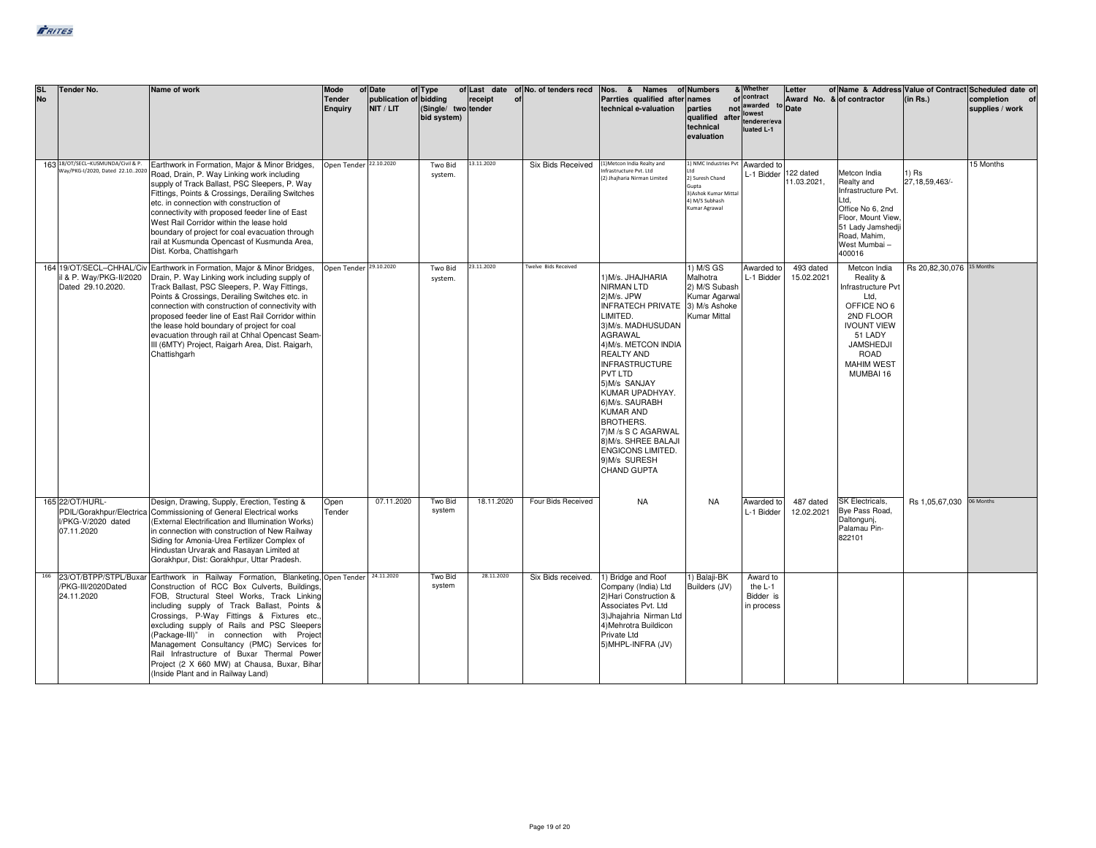| <b>SL</b> | <b>Tender No.</b><br><b>No</b>                                                  | Name of work                                                                                                                                                                                                                                                                                                                                                                                                                                                                                                                                            | Mode<br><b>Tender</b><br>Enguiry | of Date<br>publication of bidding<br>NIT / LIT | of Type<br>(Single/ two tender<br>bid system) | receipt<br>of | of Last date of No. of tenders recd | Nos. & Names of Numbers<br>Parrties qualified after names<br>technical e-valuation                                                                                                                                                                                                                                                                                                                 | parties<br>qualified after<br>technical<br>evaluation                                                         | & Whether<br>of contract<br>not awarded<br>lowest<br>tenderer/eva<br>luated L-1 | Letter<br>to Date        | of Name & Address Value of Contract Scheduled date of<br>Award No. & of contractor                                                                                                 | (in Rs.)                   | completion<br>supplies / work |
|-----------|---------------------------------------------------------------------------------|---------------------------------------------------------------------------------------------------------------------------------------------------------------------------------------------------------------------------------------------------------------------------------------------------------------------------------------------------------------------------------------------------------------------------------------------------------------------------------------------------------------------------------------------------------|----------------------------------|------------------------------------------------|-----------------------------------------------|---------------|-------------------------------------|----------------------------------------------------------------------------------------------------------------------------------------------------------------------------------------------------------------------------------------------------------------------------------------------------------------------------------------------------------------------------------------------------|---------------------------------------------------------------------------------------------------------------|---------------------------------------------------------------------------------|--------------------------|------------------------------------------------------------------------------------------------------------------------------------------------------------------------------------|----------------------------|-------------------------------|
|           | 163 18/0T/SECL-KUSMUNDA/Civil & P.                                              | Earthwork in Formation, Major & Minor Bridges,<br>Way/PKG-1/2020, Dated 22.102020 Road, Drain, P. Way Linking work including<br>supply of Track Ballast, PSC Sleepers, P. Way<br>Fittings, Points & Crossings, Derailing Switches<br>etc. in connection with construction of<br>connectivity with proposed feeder line of East<br>West Rail Corridor within the lease hold<br>boundary of project for coal evacuation through<br>rail at Kusmunda Opencast of Kusmunda Area,<br>Dist. Korba, Chattishgarh                                               | Open Tender 22.10.2020           |                                                | Two Bid<br>system.                            | 13.11.2020    | Six Bids Received                   | 1) Metcon India Realty and<br>frastructure Pvt. Ltd<br>(2) Jhajharia Nirman Limited                                                                                                                                                                                                                                                                                                                | L) NMC Industries Pvt<br>2) Suresh Chand<br>Gunta<br>3) Ashok Kumar Mittal<br>4) M/S Subhash<br>Kumar Agrawal | Awarded to<br>L-1 Bidder                                                        | 122 dated<br>11.03.2021. | Metcon India<br>Realty and<br>Infrastructure Pvt.<br>Ltd.<br>Office No 6, 2nd<br>Floor, Mount View.<br>51 Lady Jamshedji<br>Road, Mahim,<br>West Mumbai-<br>400016                 | 1) Rs<br>27, 18, 59, 463/- | 15 Months                     |
|           | il & P. Way/PKG-II/2020<br>Dated 29.10.2020.                                    | 164 19/OT/SECL-CHHAL/Civ Earthwork in Formation, Major & Minor Bridges,<br>Drain, P. Way Linking work including supply of<br>Track Ballast, PSC Sleepers, P. Way Fittings,<br>Points & Crossings, Derailing Switches etc. in<br>connection with construction of connectivity with<br>proposed feeder line of East Rail Corridor within<br>the lease hold boundary of project for coal<br>evacuation through rail at Chhal Opencast Seam-<br>III (6MTY) Project, Raigarh Area, Dist. Raigarh,<br>Chattishgarh                                            | Open Tender 29.10.2020           |                                                | Two Bid<br>system.                            | 23.11.2020    | Twelve Bids Received                | 1) M/s. JHAJHARIA<br>NIRMAN LTD<br>2) M/s. JPW<br><b>INFRATECH PRIVATE</b><br>LIMITED.<br>3) M/s. MADHUSUDAN<br>AGRAWAL<br>4) M/s. METCON INDIA<br>REALTY AND<br><b>INFRASTRUCTURE</b><br>PVT LTD<br>5)M/s SANJAY<br>KUMAR UPADHYAY.<br>6) M/s. SAURABH<br><b>KUMAR AND</b><br><b>BROTHERS.</b><br>7) M /s S C AGARWAL<br>8) M/s. SHREE BALAJI<br>ENGICONS LIMITED.<br>9)M/s SURESH<br>CHAND GUPTA | 1) M/S GS<br>Malhotra<br>2) M/S Subash<br>Kumar Agarwal<br>3) M/s Ashoke<br>Kumar Mittal                      | Awarded to<br>L-1 Bidder                                                        | 493 dated<br>15.02.2021  | Metcon India<br>Reality &<br>Infrastructure Pvt<br>Ltd.<br>OFFICE NO 6<br>2ND FLOOR<br><b>IVOUNT VIEW</b><br>51 LADY<br>JAMSHEDJI<br><b>ROAD</b><br><b>MAHIM WEST</b><br>MUMBAI 16 | Rs 20,82,30,076 15 Months  |                               |
|           | 165 22/OT/HURL-<br>PDIL/Gorakhpur/Electrica<br>I/PKG-V/2020 dated<br>07.11.2020 | Design, Drawing, Supply, Erection, Testing &<br>Commissioning of General Electrical works<br>(External Electrification and Illumination Works)<br>in connection with construction of New Railway<br>Siding for Amonia-Urea Fertilizer Complex of<br>Hindustan Urvarak and Rasayan Limited at<br>Gorakhpur, Dist: Gorakhpur, Uttar Pradesh.                                                                                                                                                                                                              | Open<br>Tender                   | 07.11.2020                                     | Two Bid<br>system                             | 18.11.2020    | Four Bids Received                  | <b>NA</b>                                                                                                                                                                                                                                                                                                                                                                                          | <b>NA</b>                                                                                                     | Awarded to<br>L-1 Bidder                                                        | 487 dated<br>12.02.2021  | SK Electricals,<br>Bye Pass Road,<br>Daltonguni,<br>Palamau Pin-<br>822101                                                                                                         | Rs 1,05,67,030             | 06 Months                     |
|           | /PKG-III/2020Dated<br>24.11.2020                                                | 166 23/OT/BTPP/STPL/Buxar Earthwork in Railway Formation, Blanketing, Open Tender<br>Construction of RCC Box Culverts, Buildings,<br>FOB, Structural Steel Works, Track Linking<br>including supply of Track Ballast, Points &<br>Crossings, P-Way Fittings & Fixtures etc.<br>excluding supply of Rails and PSC Sleepers<br>(Package-III)" in connection with Project<br>Management Consultancy (PMC) Services for<br>Rail Infrastructure of Buxar Thermal Power<br>Project (2 X 660 MW) at Chausa, Buxar, Bihar<br>(Inside Plant and in Railway Land) |                                  | 24.11.2020                                     | Two Bid<br>system                             | 28.11.2020    | Six Bids received.                  | 1) Bridge and Roof<br>Company (India) Ltd<br>2) Hari Construction &<br>Associates Pvt. Ltd<br>3) Jhajahria Nirman Ltd<br>4) Mehrotra Buildicon<br>Private Ltd<br>5) MHPL-INFRA (JV)                                                                                                                                                                                                                | 1) Balaji-BK<br>Builders (JV)                                                                                 | Award to<br>the L-1<br>Bidder is<br>in process                                  |                          |                                                                                                                                                                                    |                            |                               |